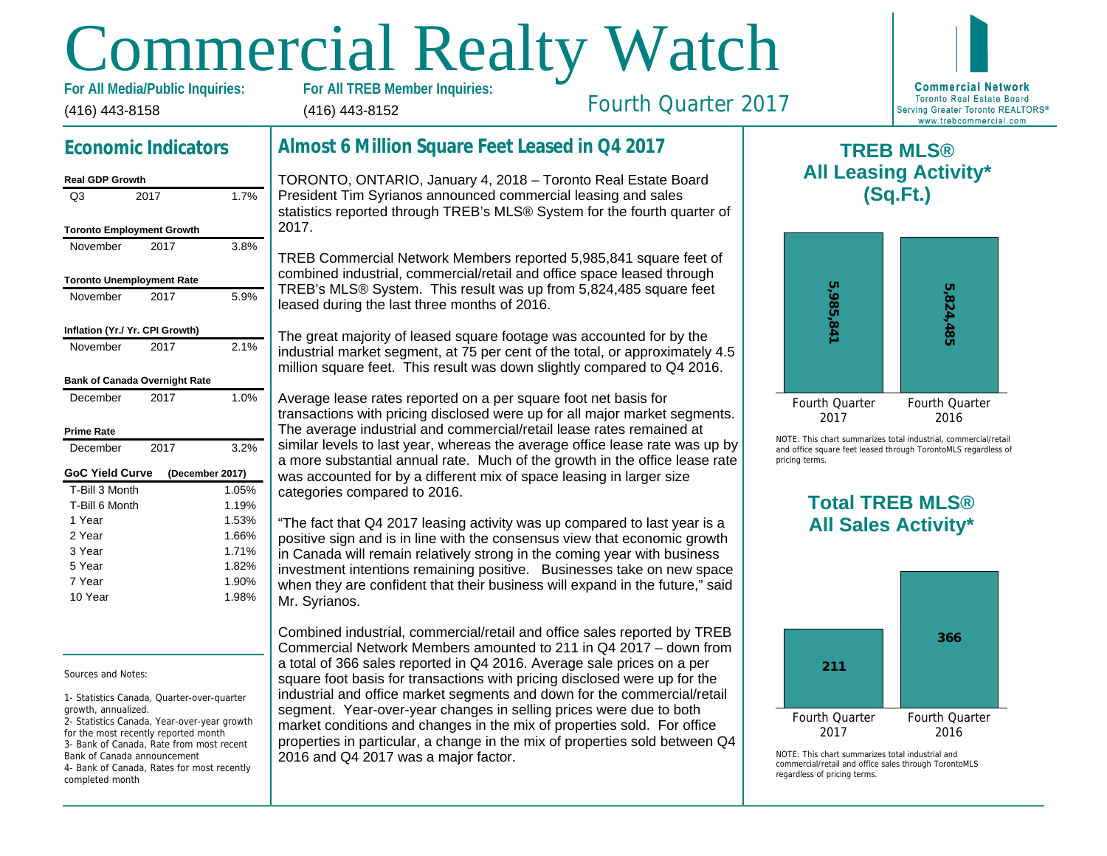# Commercial Realty Watch

(416) 443-8158 For All Media/Public Inquiries: (416) 443-8152

# Fourth Quarter 2017

## Economic Indicators

| <b>Real GDP Growth</b>           |      |                 |
|----------------------------------|------|-----------------|
| Q3                               | 2017 | 1.7%            |
| <b>Toronto Employment Growth</b> |      |                 |
| November                         | 2017 | 3.8%            |
| <b>Toronto Unemployment Rate</b> |      |                 |
| November                         | 2017 | 5.9%            |
| Inflation (Yr./ Yr. CPI Growth)  |      |                 |
| November                         | 2017 | 2.1%            |
| Bank of Canada Overnight Rate    |      |                 |
| December                         | 2017 | 1.0%            |
| Prime Rate                       |      |                 |
| December                         | 2017 | 3.2%            |
| GoC Yield Curve                  |      | (December 2017) |
| T-Bill 3 Month                   |      | 1.05%           |
| T-Bill 6 Month                   |      | 1.19%           |
| 1 Year                           |      | 1.53%           |
| 2 Year                           |      | 1.66%           |
| 3 Year                           |      | 1.71%           |
| 5 Year                           |      | 1.82%           |
| 7 Year                           |      | 1.90%           |
| 10 Year                          |      | 1.98%           |

Sources and Notes:

1- Statistics Canada, Quarter-over-quarter growth, annualized.

2- Statistics Canada, Year-over-year growth for the most recently reported month 3- Bank of Canada, Rate from most recent Bank of Canada announcement 4- Bank of Canada, Rates for most recently completed month

## Almost 6 Million Square Feet Leased in Q4 2017

TORONTO, ONTARIO, January 4, 2018 – Toronto Real Estate Board President Tim Syrianos announced commercial leasing and sales statistics reported through TREB's MLS® System for the fourth quarter of 2017.

TREB Commercial Network Members reported 5,985,841 square feet of combined industrial, commercial/retail and office space leased through TREB's MLS® System. This result was up from 5,824,485 square feet leased during the last three months of 2016.

The great majority of leased square footage was accounted for by the industrial market segment, at 75 per cent of the total, or approximately 4.5 million square feet. This result was down slightly compared to Q4 2016.

Average lease rates reported on a per square foot net basis for transactions with pricing disclosed were up for all major market segments. The average industrial and commercial/retail lease rates remained at similar levels to last year, whereas the average office lease rate was up by a more substantial annual rate. Much of the growth in the office lease rate was accounted for by a different mix of space leasing in larger size categories compared to 2016.

"The fact that Q4 2017 leasing activity was up compared to last year is a positive sign and is in line with the consensus view that economic growth in Canada will remain relatively strong in the coming year with business investment intentions remaining positive. Businesses take on new space when they are confident that their business will expand in the future," said Mr. Syrianos.

Combined industrial, commercial/retail and office sales reported by TREB Commercial Network Members amounted to 211 in Q4 2017 – down from a total of 366 sales reported in Q4 2016. Average sale prices on a per square foot basis for transactions with pricing disclosed were up for the industrial and office market segments and down for the commercial/retail segment. Year-over-year changes in selling prices were due to both market conditions and changes in the mix of properties sold. For office properties in particular, a change in the mix of properties sold between Q4 2016 and Q4 2017 was a major factor.

 $\mathsf T$ All Lea

NOTE: This chart sur and office square fee pricing terms.

## Total All Sa

 $NOTF: This chart sur$ commercial/retail and regardless of pricing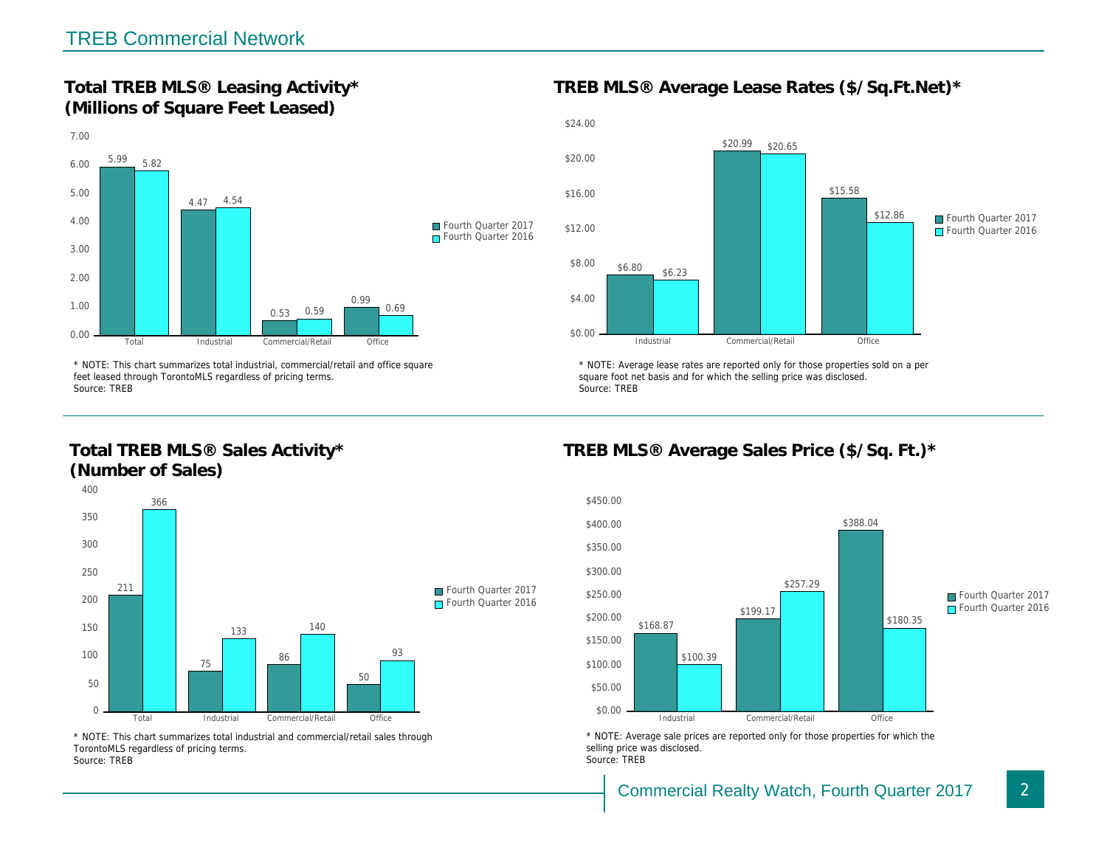Total TREB MLS® Leasing Activity\* (Millions of Square Feet Leased)

TREB MLS® Average Lease Rates (\$/So.

\* NOTE: This chart summarizes total industrial, commercial/retail and office square feet leased through TorontoMLS regardless of pricing terms. Source: TREB

Total TREB MLS® Sales Activity\* (Number of Sales)

\* NOTE: Average lease rates are reported only for those proper square foot net basis and for which the selling price was disclos Source: TREB

TREB MLS® Average Sales Price (\$/So.

\* NOTE: This chart summarizes total industrial and commercial/retail sales through TorontoMLS regardless of pricing terms. Source: TREB

\* NOTE: Average sale prices are reported only for those prope selling price was disclosed. Source: TREB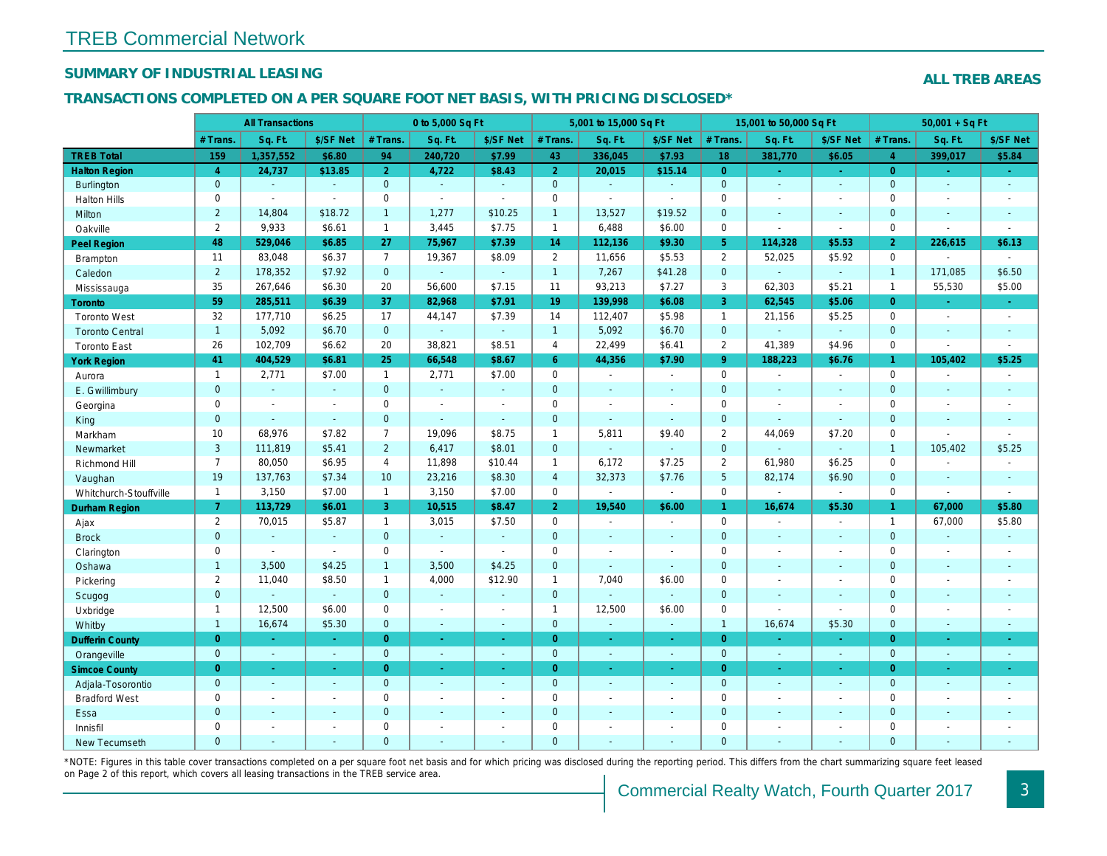## SUMMARY OF INDUSTRIAL LEASING

#### TRANSACTIONS COMPLETED ON A PER SQUARE FOOT NET BASIS, WITH PRICING DISCLOSED\*

|                        |                | <b>All Transactions</b>  |                |                | 0 to 5,000 Sq Ft |                          |                | 5,001 to 15,000 Sq Ft |                          |                 | 15,001 to 50,000 Sq Ft |                          |
|------------------------|----------------|--------------------------|----------------|----------------|------------------|--------------------------|----------------|-----------------------|--------------------------|-----------------|------------------------|--------------------------|
|                        | # Trans.       | Sq. Ft.                  | \$/SF Net      | # Trans.       | Sq. Ft.          | \$/SF Net                | # Trans.       | Sq. Ft.               | \$/SF Net                | # Trans.        | Sq. Ft.                | \$/SF Ne                 |
| <b>TREB Total</b>      | 159            | 1,357,552                | \$6.80         | 94             | 240,720          | \$7.99                   | 43             | 336,045               | \$7.93                   | 18              | 381,770                | \$6.05                   |
| <b>Halton Region</b>   | $\overline{4}$ | 24,737                   | \$13.85        | 2 <sup>1</sup> | 4,722            | \$8.43                   | 2 <sup>1</sup> | 20,015                | \$15.14                  | $\overline{0}$  |                        | $\omega_{\rm c}$         |
| <b>Burlington</b>      | $\mathbf 0$    | $\omega$                 | $\omega$       | $\mathbf 0$    | $\omega$         | $\omega$                 | $\mathbf 0$    | $\omega$              | $\omega$                 | $\mathbf{0}$    | $\Delta$               | $\omega$                 |
| <b>Halton Hills</b>    | 0              |                          | $\blacksquare$ | $\mathbf 0$    | $\sim$           | $\blacksquare$           | $\mathbf 0$    | ä,                    | $\blacksquare$           | $\mathbf 0$     | $\blacksquare$         | $\blacksquare$           |
| Milton                 | $\overline{2}$ | 14,804                   | \$18.72        | $\mathbf{1}$   | 1,277            | \$10.25                  | $\overline{1}$ | 13,527                | \$19.52                  | $\mathbf{0}$    | $\omega$               | $\sim$                   |
| Oakville               | $\overline{2}$ | 9,933                    | \$6.61         | $\mathbf{1}$   | 3,445            | \$7.75                   | $\mathbf{1}$   | 6,488                 | \$6.00                   | $\mathbf 0$     | $\sim$                 | $\blacksquare$           |
| Peel Region            | 48             | 529,046                  | \$6.85         | 27             | 75,967           | \$7.39                   | 14             | 112,136               | \$9.30                   | 5 <sup>5</sup>  | 114,328                | \$5.53                   |
| Brampton               | 11             | 83,048                   | \$6.37         | $\overline{7}$ | 19,367           | \$8.09                   | $\overline{2}$ | 11,656                | \$5.53                   | 2               | 52,025                 | \$5.92                   |
| Caledon                | $\overline{2}$ | 178,352                  | \$7.92         | $\mathbf{0}$   | $\omega$         | $\omega$                 | $\mathbf{1}$   | 7,267                 | \$41.28                  | $\mathbf{0}$    | $\blacksquare$         | $\blacksquare$           |
| Mississauga            | 35             | 267,646                  | \$6.30         | 20             | 56,600           | \$7.15                   | 11             | 93,213                | \$7.27                   | 3               | 62,303                 | \$5.21                   |
| Toronto                | 59             | 285,511                  | \$6.39         | 37             | 82,968           | \$7.91                   | 19             | 139,998               | \$6.08                   | 3               | 62,545                 | \$5.06                   |
| <b>Toronto West</b>    | 32             | 177,710                  | \$6.25         | 17             | 44,147           | \$7.39                   | 14             | 112,407               | \$5.98                   | $\mathbf{1}$    | 21,156                 | \$5.25                   |
| <b>Toronto Central</b> | $\mathbf{1}$   | 5,092                    | \$6.70         | $\overline{0}$ | $\omega$         | $\omega$                 | $\overline{1}$ | 5,092                 | \$6.70                   | $\overline{0}$  | $\Delta$               | $\sim$                   |
| <b>Toronto East</b>    | 26             | 102,709                  | \$6.62         | 20             | 38,821           | \$8.51                   | $\overline{4}$ | 22,499                | \$6.41                   | $\overline{2}$  | 41,389                 | \$4.96                   |
| <b>York Region</b>     | 41             | 404,529                  | \$6.81         | 25             | 66,548           | \$8.67                   | 6 <sup>°</sup> | 44,356                | \$7.90                   | 9 <sup>°</sup>  | 188,223                | \$6.76                   |
| Aurora                 | $\mathbf{1}$   | 2,771                    | \$7.00         | $\mathbf{1}$   | 2,771            | \$7.00                   | $\mathbf 0$    | $\blacksquare$        | $\blacksquare$           | $\mathbf 0$     | $\omega$               | $\blacksquare$           |
| E. Gwillimbury         | $\mathbf{0}$   | $\omega$                 | $\omega$       | $\mathbf{0}$   | $\omega$         | $\blacksquare$           | $\mathbf{0}$   | $\omega$              | $\omega$                 | $\mathbf{0}$    | $\omega$               | $\blacksquare$           |
| Georgina               | $\mathbf 0$    | $\sim$                   | $\sim$         | $\mathbf 0$    | $\blacksquare$   | $\blacksquare$           | $\mathbf 0$    | $\blacksquare$        | $\sim$                   | $\mathbf 0$     | $\blacksquare$         | $\blacksquare$           |
| King                   | $\mathbf{0}$   | $\overline{\phantom{a}}$ | $\sim$         | $\mathbf{0}$   | $\blacksquare$   | $\blacksquare$           | $\mathbf 0$    | $\omega$              | $\blacksquare$           | $\mathbf{0}$    | $\sim$                 | $\sim$                   |
| Markham                | 10             | 68,976                   | \$7.82         | $\overline{7}$ | 19,096           | \$8.75                   | $\mathbf{1}$   | 5,811                 | \$9.40                   | $\overline{2}$  | 44,069                 | \$7.20                   |
| Newmarket              | 3              | 111,819                  | \$5.41         | $\overline{2}$ | 6,417            | \$8.01                   | $\mathbf 0$    | ä,                    | ä,                       | $\mathbf{0}$    | ä,                     | $\blacksquare$           |
| Richmond Hill          | $\overline{7}$ | 80,050                   | \$6.95         | 4              | 11,898           | \$10.44                  | $\mathbf{1}$   | 6,172                 | \$7.25                   | 2               | 61,980                 | \$6.25                   |
| Vaughan                | 19             | 137,763                  | \$7.34         | 10             | 23,216           | \$8.30                   | $\overline{4}$ | 32,373                | \$7.76                   | $5\overline{5}$ | 82,174                 | \$6.90                   |
| Whitchurch-Stouffville | $\mathbf{1}$   | 3,150                    | \$7.00         | $\mathbf{1}$   | 3,150            | \$7.00                   | $\mathsf 0$    | $\omega$              | $\blacksquare$           | $\mathbf 0$     | $\sim$                 | $\blacksquare$           |
| Durham Region          | 7 <sup>1</sup> | 113,729                  | \$6.01         | 3              | 10,515           | \$8.47                   | 2 <sup>1</sup> | 19,540                | \$6.00                   | $\mathbf{1}$    | 16,674                 | \$5.30                   |
| Ajax                   | $\overline{2}$ | 70,015                   | \$5.87         | $\mathbf{1}$   | 3,015            | \$7.50                   | $\mathsf 0$    | $\blacksquare$        | $\sim$                   | $\mathbf 0$     | $\blacksquare$         | $\blacksquare$           |
| <b>Brock</b>           | $\mathbf{0}$   | $\blacksquare$           | $\omega$       | $\overline{0}$ | $\omega$         | $\blacksquare$           | $\mathbf{0}$   | $\blacksquare$        | $\blacksquare$           | $\mathbf{0}$    | $\blacksquare$         | $\blacksquare$           |
| Clarington             | $\mathbf 0$    | $\sim$                   | $\omega$       | $\mathbf 0$    | $\blacksquare$   | $\blacksquare$           | $\mathbf 0$    | $\blacksquare$        | $\blacksquare$           | $\mathbf 0$     | $\sim$                 | $\blacksquare$           |
| Oshawa                 | $\mathbf{1}$   | 3,500                    | \$4.25         | $\mathbf{1}$   | 3,500            | \$4.25                   | $\mathbf{0}$   | ٠                     | $\sim$                   | $\mathbf{0}$    | $\blacksquare$         | $\blacksquare$           |
| Pickering              | 2              | 11,040                   | \$8.50         | $\mathbf{1}$   | 4,000            | \$12.90                  | $\mathbf{1}$   | 7,040                 | \$6.00                   | $\mathbf 0$     | ÷.                     | $\overline{\phantom{a}}$ |
| Scugog                 | $\mathbf{0}$   |                          | $\omega$       | $\mathbf{0}$   | ÷.               | $\blacksquare$           | $\mathbf 0$    | ä,                    | $\omega$                 | $\mathbf{0}$    | $\omega$               | $\blacksquare$           |
| Uxbridge               | $\mathbf{1}$   | 12,500                   | \$6.00         | $\mathbf 0$    | $\sim$           | $\blacksquare$           | $\mathbf{1}$   | 12,500                | \$6.00                   | $\mathbf 0$     | $\sim$                 | $\blacksquare$           |
| Whitby                 | $\mathbf{1}$   | 16,674                   | \$5.30         | $\mathbf{0}$   | $\omega$         | $\sim$                   | $\mathbf{0}$   | $\omega$              | $\Delta$                 | $\mathbf{1}$    | 16,674                 | \$5.30                   |
| <b>Dufferin County</b> | $\overline{0}$ | $\omega$                 | $\sim$         | $\overline{0}$ | $\omega$         | $\omega$                 | $\overline{0}$ | $\omega$              | $\omega$                 | $\overline{0}$  | $\omega$               | $\omega$                 |
| Orangeville            | $\mathbf{0}$   | $\omega$                 | $\omega$       | $\mathbf{0}$   | $\mathcal{L}$    | $\blacksquare$           | $\mathbf{0}$   | $\sim$                | $\sim$                   | $\overline{0}$  | $\omega$               | $\sim$                   |
| <b>Simcoe County</b>   | $\overline{0}$ | $\bullet$                | $\omega$       | $\overline{0}$ | $\omega$         | ÷.                       | $\overline{0}$ | $\omega$              | ÷.                       | $\overline{0}$  | $\omega$               | $\sigma_{\rm c}$         |
| Adjala-Tosorontio      | $\mathbf{0}$   | $\sim$                   | $\sim$         | $\mathbf{0}$   | $\sim$           | $\blacksquare$           | $\mathbf{0}$   | $\blacksquare$        | $\blacksquare$           | $\overline{0}$  | $\blacksquare$         | $\sim$                   |
| <b>Bradford West</b>   | 0              | $\blacksquare$           | $\sim$         | $\mathbf 0$    | $\blacksquare$   | $\blacksquare$           | $\mathbf 0$    | $\blacksquare$        | $\blacksquare$           | $\mathbf 0$     | $\blacksquare$         | $\blacksquare$           |
| Essa                   | $\mathbf{0}$   | $\sim$                   | $\sim$         | $\mathbf 0$    | $\sim$           | $\blacksquare$           | $\mathbf 0$    | $\omega$              | $\omega$                 | $\mathbf{0}$    | $\omega$               | $\blacksquare$           |
| Innisfil               | $\mathbf 0$    | $\sim$                   | $\sim$         | $\mathbf 0$    | $\blacksquare$   | $\overline{\phantom{a}}$ | $\mathbf 0$    | $\blacksquare$        | $\overline{\phantom{a}}$ | $\mathbf 0$     | $\blacksquare$         | $\blacksquare$           |
| <b>New Tecumseth</b>   | $\Omega$       | $\sim$                   |                | $\Omega$       | ä,               | $\sim$                   | $\mathbf{0}$   | $\blacksquare$        | $\blacksquare$           | $\mathbf{0}$    | $\sim$                 | $\sim$                   |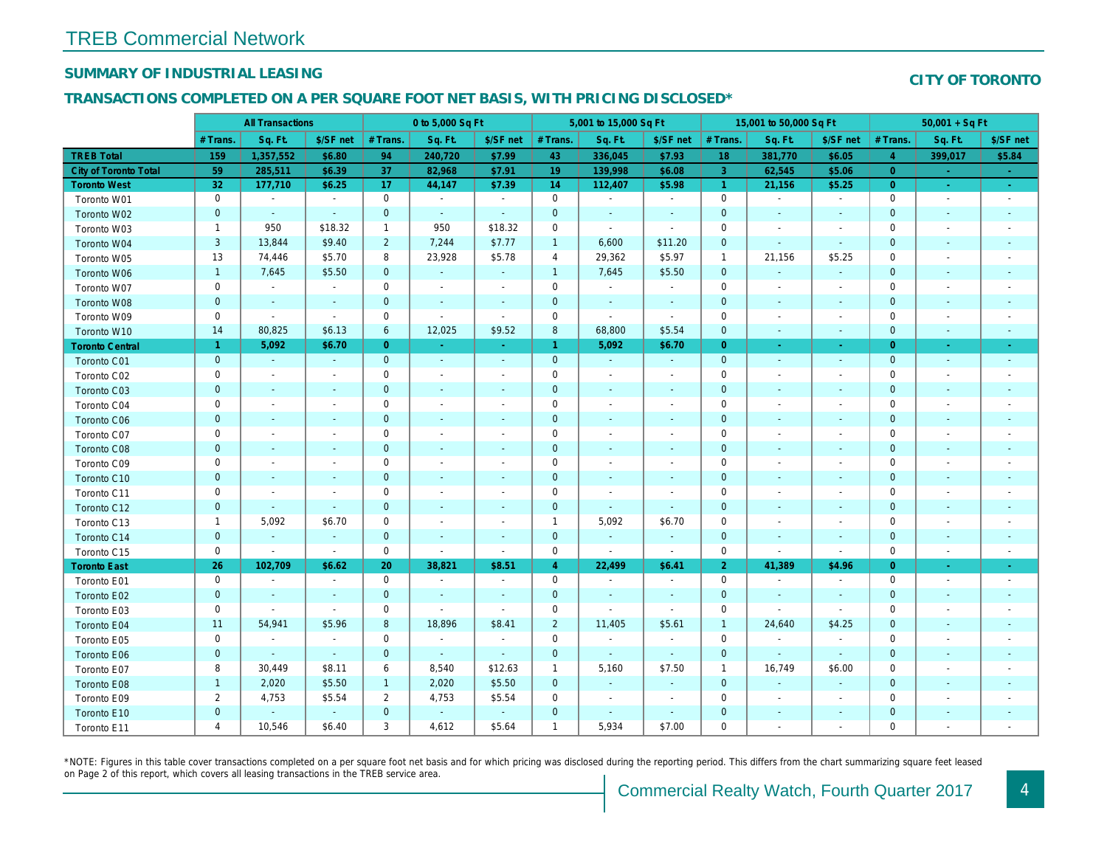## SUMMARY OF INDUSTRIAL LEASING

#### TRANSACTIONS COMPLETED ON A PER SQUARE FOOT NET BASIS, WITH PRICING DISCLOSED\*

|                              |                | <b>All Transactions</b>  |                          |                | 0 to 5,000 Sq Ft |                |                     | 5,001 to 15,000 Sq Ft    |                          |                | 15,001 to 50,000 Sq Ft   |                          |
|------------------------------|----------------|--------------------------|--------------------------|----------------|------------------|----------------|---------------------|--------------------------|--------------------------|----------------|--------------------------|--------------------------|
|                              | # Trans.       | Sq. Ft.                  | \$/SF net                | # Trans.       | Sq. Ft.          | \$/SF net      | # Trans.            | Sq. Ft.                  | \$/SF net                | # Trans.       | Sq. Ft.                  | \$/SF ne                 |
| <b>TREB Total</b>            | 159            | 1,357,552                | \$6.80                   | 94             | 240,720          | \$7.99         | 43                  | 336,045                  | \$7.93                   | 18             | 381,770                  | \$6.05                   |
| <b>City of Toronto Total</b> | 59             | 285,511                  | \$6.39                   | 37             | 82,968           | \$7.91         | 19                  | 139,998                  | \$6.08                   | 3              | 62,545                   | \$5.06                   |
| <b>Toronto West</b>          | 32             | 177,710                  | \$6.25                   | 17             | 44,147           | \$7.39         | 14                  | 112,407                  | \$5.98                   | $\overline{1}$ | 21,156                   | \$5.25                   |
| Toronto W01                  | 0              | $\sim$                   | $\sim$                   | $\mathbf 0$    | $\blacksquare$   | $\sim$         | $\mathbf 0$         | $\blacksquare$           | $\sim$                   | $\mathbf 0$    | $\sim$                   | $\sim$                   |
| Toronto W02                  | $\mathbf 0$    | $\sim$                   | $\sim$                   | $\mathbf 0$    | $\sim$           | $\blacksquare$ | $\mathbf 0$         | $\blacksquare$           | $\overline{\phantom{a}}$ | $\mathbf 0$    | $\sim$                   | $\sim$                   |
| Toronto W03                  | $\mathbf{1}$   | 950                      | \$18.32                  | $\mathbf{1}$   | 950              | \$18.32        | 0                   | $\blacksquare$           | $\sim$                   | 0              |                          | $\overline{\phantom{a}}$ |
| Toronto W04                  | 3              | 13,844                   | \$9.40                   | $\overline{2}$ | 7,244            | \$7.77         | $\mathbf{1}$        | 6,600                    | \$11.20                  | $\mathbf 0$    | $\blacksquare$           | $\blacksquare$           |
| Toronto W05                  | 13             | 74,446                   | \$5.70                   | 8              | 23,928           | \$5.78         | 4                   | 29,362                   | \$5.97                   | $\overline{1}$ | 21,156                   | \$5.25                   |
| Toronto W06                  | $\mathbf{1}$   | 7,645                    | \$5.50                   | $\mathbf 0$    | $\blacksquare$   | $\blacksquare$ | $\mathbf{1}$        | 7,645                    | \$5.50                   | $\mathbf{0}$   | $\blacksquare$           | $\blacksquare$           |
| Toronto W07                  | $\mathbf 0$    | $\blacksquare$           | $\blacksquare$           | $\mathbf 0$    | $\blacksquare$   | $\blacksquare$ | $\mathbf 0$         | $\sim$                   | $\blacksquare$           | $\mathbf 0$    | $\overline{\phantom{a}}$ | $\blacksquare$           |
| Toronto W08                  | $\pmb{0}$      | $\blacksquare$           | $\blacksquare$           | $\mathbf 0$    | $\blacksquare$   | $\blacksquare$ | $\mathbf 0$         | $\sim$                   | $\blacksquare$           | $\mathbf 0$    | $\blacksquare$           | $\sim$                   |
| Toronto W09                  | $\mathsf 0$    | $\sim$                   | $\blacksquare$           | $\mathbf 0$    | ÷,               | $\blacksquare$ | $\mathbf 0$         | $\sim$                   | $\blacksquare$           | 0              |                          | $\overline{\phantom{a}}$ |
| Toronto W10                  | 14             | 80,825                   | \$6.13                   | 6              | 12,025           | \$9.52         | 8                   | 68,800                   | \$5.54                   | $\mathbf 0$    | $\overline{\phantom{a}}$ | $\bullet$                |
| <b>Toronto Central</b>       | 1.             | 5,092                    | \$6.70                   | $\overline{0}$ | $\blacksquare$   | $\blacksquare$ | $\mathbf{1}$        | 5,092                    | \$6.70                   | $\overline{0}$ | $\sim$                   | $\sim$                   |
| Toronto C01                  | $\pmb{0}$      | $\omega$                 | $\sim$                   | $\mathbf{0}$   | $\sim$           | $\blacksquare$ | $\mathbf 0$         | $\blacksquare$           | $\sim$                   | $\mathbf{0}$   | $\blacksquare$           | $\sim$                   |
| Toronto C02                  | $\mathbf 0$    | $\blacksquare$           | $\blacksquare$           | $\mathbf 0$    | $\overline{a}$   | $\blacksquare$ | $\mathbf 0$         | $\blacksquare$           | $\blacksquare$           | 0              |                          | $\sim$                   |
| Toronto C03                  | $\pmb{0}$      | $\blacksquare$           | $\blacksquare$           | $\mathbf 0$    | $\blacksquare$   | $\blacksquare$ | 0                   | $\blacksquare$           | $\blacksquare$           | 0              | $\overline{\phantom{a}}$ | $\sim$                   |
| Toronto C04                  | $\mathbf 0$    | $\overline{\phantom{a}}$ |                          | $\mathbf 0$    | $\overline{a}$   | $\frac{1}{2}$  | $\mathbf 0$         | $\overline{\phantom{a}}$ | $\blacksquare$           | 0              |                          | $\overline{\phantom{a}}$ |
| <b>Toronto C06</b>           | $\pmb{0}$      | $\blacksquare$           | $\blacksquare$           | $\mathbf 0$    | $\blacksquare$   | $\blacksquare$ | $\pmb{0}$           | $\blacksquare$           | ٠                        | $\pmb{0}$      | $\overline{\phantom{a}}$ | $\overline{\phantom{a}}$ |
| Toronto C07                  | $\mathsf 0$    | $\blacksquare$           |                          | $\mathsf 0$    | $\overline{a}$   | $\frac{1}{2}$  | $\mathsf{O}\xspace$ | $\blacksquare$           | $\blacksquare$           | 0              |                          | $\overline{\phantom{a}}$ |
| Toronto C08                  | $\pmb{0}$      | $\blacksquare$           | ٠                        | $\mathbf 0$    | $\blacksquare$   | $\blacksquare$ | $\mathbf 0$         | $\blacksquare$           | $\blacksquare$           | $\mathbf 0$    | $\blacksquare$           | $\sim$                   |
| Toronto C09                  | $\mathbf 0$    | $\blacksquare$           | $\overline{a}$           | $\mathbf 0$    | $\blacksquare$   | $\blacksquare$ | $\mathbf 0$         | $\blacksquare$           | $\blacksquare$           | $\mathbf 0$    |                          |                          |
| Toronto C10                  | $\mathbf 0$    | $\blacksquare$           | $\blacksquare$           | $\mathbf 0$    | $\blacksquare$   | $\blacksquare$ | $\mathbf 0$         | $\blacksquare$           | $\blacksquare$           | $\mathbf 0$    | $\blacksquare$           | $\blacksquare$           |
| Toronto C11                  | $\mathbf 0$    | $\blacksquare$           | $\blacksquare$           | $\mathsf 0$    | $\overline{a}$   | $\frac{1}{2}$  | $\mathbf 0$         | $\blacksquare$           | $\overline{a}$           | $\mathbf 0$    |                          |                          |
| Toronto C12                  | $\pmb{0}$      | $\blacksquare$           | $\blacksquare$           | $\mathbf 0$    | $\blacksquare$   | $\blacksquare$ | $\pmb{0}$           | $\blacksquare$           | $\blacksquare$           | $\mathbf 0$    | $\blacksquare$           | $\blacksquare$           |
| Toronto C13                  | $\mathbf{1}$   | 5,092                    | \$6.70                   | $\mathbf 0$    | $\overline{a}$   | $\frac{1}{2}$  | $\overline{1}$      | 5,092                    | \$6.70                   | $\mathbf 0$    |                          |                          |
| Toronto C14                  | $\mathbf 0$    | $\blacksquare$           | $\blacksquare$           | $\mathbf 0$    | $\blacksquare$   | $\blacksquare$ | $\pmb{0}$           | $\blacksquare$           | $\blacksquare$           | $\mathbf 0$    | $\blacksquare$           | $\blacksquare$           |
| Toronto C15                  | $\mathbf 0$    | $\blacksquare$           | $\blacksquare$           | $\mathbf 0$    | ÷,               | $\blacksquare$ | $\mathbf 0$         | $\sim$                   | $\sim$                   | $\mathbf 0$    | $\blacksquare$           | $\blacksquare$           |
| <b>Toronto East</b>          | 26             | 102,709                  | \$6.62                   | 20             | 38,821           | \$8.51         | $\overline{4}$      | 22,499                   | \$6.41                   | $\overline{2}$ | 41,389                   | \$4.96                   |
| Toronto E01                  | 0              | $\blacksquare$           | $\overline{\phantom{a}}$ | $\mathbf 0$    | $\sim$           | $\blacksquare$ | $\mathbf 0$         | $\blacksquare$           | $\overline{\phantom{a}}$ | $\mathbf 0$    | $\overline{\phantom{a}}$ | $\sim$                   |
| Toronto E02                  | $\mathbf 0$    | $\blacksquare$           | $\blacksquare$           | $\mathbf{0}$   | ÷,               | $\blacksquare$ | $\mathbf 0$         | $\omega$                 | $\blacksquare$           | $\mathbf 0$    | $\blacksquare$           | $\sim$                   |
| Toronto E03                  | $\mathsf 0$    | $\blacksquare$           | $\sim$                   | $\mathsf 0$    | ä,               | $\sim$         | $\mathsf{O}\xspace$ | $\blacksquare$           | $\blacksquare$           | $\mathbf 0$    |                          | $\blacksquare$           |
| Toronto E04                  | 11             | 54,941                   | \$5.96                   | 8              | 18,896           | \$8.41         | $\overline{c}$      | 11,405                   | \$5.61                   | $\overline{1}$ | 24,640                   | \$4.25                   |
| Toronto E05                  | $\mathbf 0$    | $\blacksquare$           | $\blacksquare$           | $\mathbf 0$    | $\blacksquare$   | $\blacksquare$ | $\mathsf 0$         | $\blacksquare$           | $\blacksquare$           | $\mathbf 0$    | $\blacksquare$           | $\blacksquare$           |
| Toronto E06                  | $\pmb{0}$      | $\omega$                 | $\omega$                 | $\mathbf{0}$   | $\omega$         | $\blacksquare$ | $\mathbf 0$         | $\omega$                 | $\omega$                 | $\mathbf 0$    | $\blacksquare$           | $\blacksquare$           |
| Toronto E07                  | 8              | 30,449                   | \$8.11                   | 6              | 8,540            | \$12.63        | $\mathbf{1}$        | 5,160                    | \$7.50                   | $\overline{1}$ | 16,749                   | \$6.00                   |
| Toronto E08                  | $\mathbf{1}$   | 2,020                    | \$5.50                   | $\mathbf{1}$   | 2,020            | \$5.50         | $\mathbf 0$         | $\blacksquare$           | $\sim$                   | $\mathbf 0$    | $\blacksquare$           | $\bullet$                |
| Toronto E09                  | $\overline{c}$ | 4,753                    | \$5.54                   | $\overline{2}$ | 4,753            | \$5.54         | 0                   | $\blacksquare$           | $\overline{\phantom{a}}$ | 0              | $\overline{\phantom{a}}$ | $\blacksquare$           |
| Toronto E10                  | $\pmb{0}$      | $\omega$                 | $\sim$                   | $\mathbf 0$    | $\omega$         | $\blacksquare$ | $\mathbf 0$         | $\blacksquare$           | $\sim$                   | $\pmb{0}$      | $\blacksquare$           | $\sim$                   |
| Toronto E11                  | 4              | 10,546                   | \$6.40                   | 3              | 4,612            | \$5.64         | $\mathbf{1}$        | 5,934                    | \$7.00                   | 0              |                          | $\overline{\phantom{a}}$ |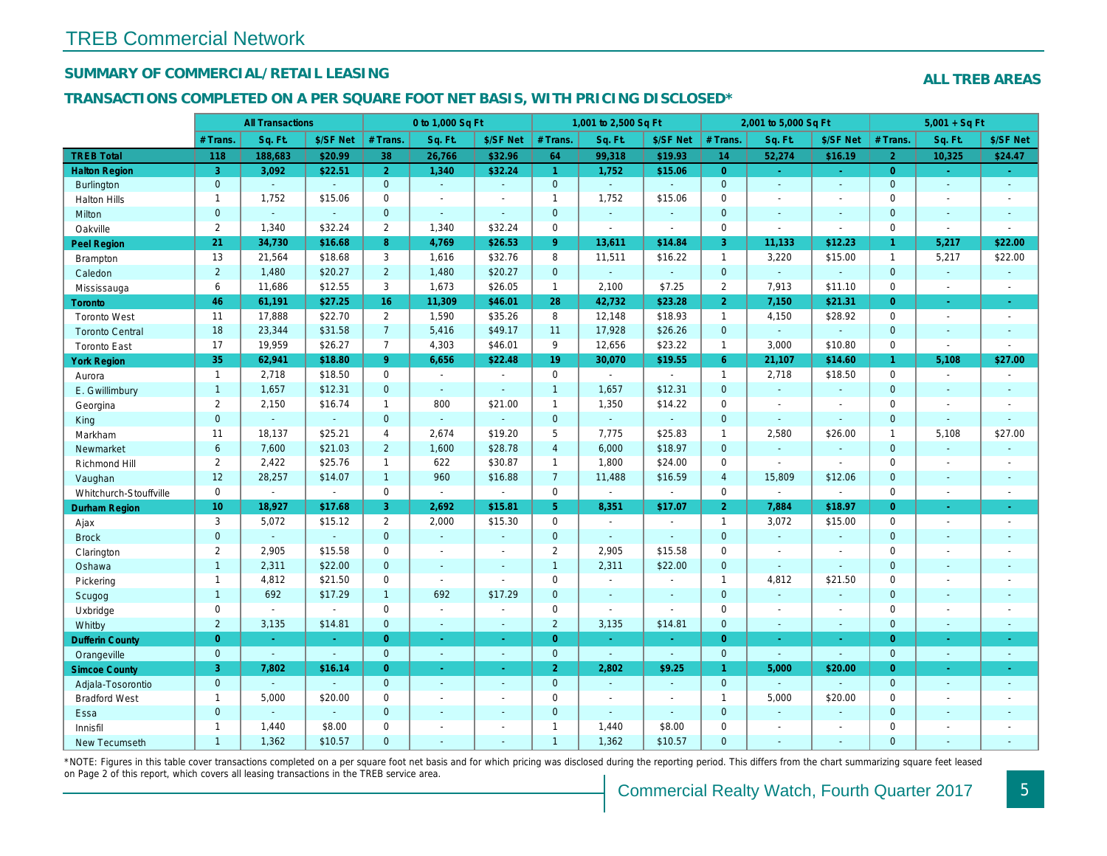## SUMMARY OF COMMERCIAL/RETAIL LEASING

### TRANSACTIONS COMPLETED ON A PER SQUARE FOOT NET BASIS, WITH PRICING DISCLOSED\*

|                        |                 | <b>All Transactions</b> |                |                | 0 to 1,000 Sq Ft |                          |                      | 1,001 to 2,500 Sq Ft     |                  |                | 2,001 to 5,000 Sq Ft  |                          |
|------------------------|-----------------|-------------------------|----------------|----------------|------------------|--------------------------|----------------------|--------------------------|------------------|----------------|-----------------------|--------------------------|
|                        | # Trans.        | Sq. Ft.                 | \$/SF Net      | # Trans.       | Sq. Ft.          | \$/SF Net                | # Trans.             | Sq. Ft.                  | \$/SF Net        | # Trans.       | Sq. Ft.               | \$/SF Ne                 |
| <b>TREB Total</b>      | 118             | 188,683                 | \$20.99        | 38             | 26,766           | \$32.96                  | 64                   | 99,318                   | \$19.93          | 14             | 52,274                | \$16.19                  |
| <b>Halton Region</b>   | 3               | 3,092                   | \$22.51        | $\overline{2}$ | 1.340            | \$32.24                  | $\blacktriangleleft$ | 1,752                    | \$15.06          | $\overline{0}$ | $\omega$              | $\sim$                   |
| <b>Burlington</b>      | $\overline{0}$  | $\omega$                | $\omega$       | $\mathbf{0}$   | $\sim$           | $\omega$                 | $\overline{0}$       | $\omega_{\rm c}$         | ÷.               | $\mathbf{0}$   | $\omega$              | $\blacksquare$           |
| <b>Halton Hills</b>    | $\mathbf{1}$    | 1,752                   | \$15.06        | 0              | $\blacksquare$   | $\blacksquare$           | $\mathbf{1}$         | 1,752                    | \$15.06          | $\mathbf 0$    | $\sim$                | $\blacksquare$           |
| Milton                 | $\mathbf{0}$    | $\sim$                  | $\blacksquare$ | $\mathbf 0$    | $\sim$           | $\omega$                 | $\mathbf 0$          | $\omega_{\rm c}$         | $\blacksquare$   | $\mathbf{0}$   | $\blacksquare$        | $\blacksquare$           |
| Oakville               | $\mathbf{2}$    | 1,340                   | \$32.24        | $\overline{2}$ | 1.340            | \$32.24                  | $\mathsf{O}$         | $\overline{\phantom{a}}$ | $\blacksquare$   | $\mathbf 0$    | $\tilde{\phantom{a}}$ | $\sim$                   |
| <b>Peel Region</b>     | 21              | 34,730                  | \$16.68        | 8              | 4,769            | \$26.53                  | 9 <sup>°</sup>       | 13,611                   | \$14.84          | 3              | 11,133                | \$12.23                  |
| <b>Brampton</b>        | 13              | 21,564                  | \$18.68        | 3              | 1,616            | \$32.76                  | 8                    | 11,511                   | \$16.22          | $\mathbf{1}$   | 3,220                 | \$15.00                  |
| Caledon                | $\overline{2}$  | 1,480                   | \$20.27        | $\overline{2}$ | 1,480            | \$20.27                  | $\mathbf{0}$         | $\omega_{\rm c}$         | ¥.               | $\mathbf{0}$   | $\omega$              | ¥.                       |
| Mississauga            | 6               | 11,686                  | \$12.55        | 3              | 1,673            | \$26.05                  | $\mathbf{1}$         | 2,100                    | \$7.25           | $\overline{2}$ | 7,913                 | \$11.10                  |
| Toronto                | 46              | 61,191                  | \$27.25        | 16             | 11,309           | \$46.01                  | 28                   | 42,732                   | \$23.28          | $\overline{2}$ | 7,150                 | \$21.31                  |
| <b>Toronto West</b>    | 11              | 17,888                  | \$22.70        | $\overline{2}$ | 1,590            | \$35.26                  | 8                    | 12,148                   | \$18.93          | $\overline{1}$ | 4,150                 | \$28.92                  |
| <b>Toronto Central</b> | 18              | 23,344                  | \$31.58        | $\overline{7}$ | 5,416            | \$49.17                  | 11                   | 17,928                   | \$26.26          | $\mathbf{0}$   | $\omega$              | $\blacksquare$           |
| <b>Toronto East</b>    | 17              | 19,959                  | \$26.27        | $\overline{7}$ | 4,303            | \$46.01                  | 9                    | 12,656                   | \$23.22          | $\mathbf{1}$   | 3,000                 | \$10.80                  |
| <b>York Region</b>     | 35              | 62,941                  | \$18.80        | 9 <sup>°</sup> | 6,656            | \$22.48                  | 19                   | 30,070                   | \$19.55          | $6^{\circ}$    | 21,107                | \$14.60                  |
| Aurora                 | $\overline{1}$  | 2,718                   | \$18.50        | $\mathbf 0$    | $\sim$           | $\sim$                   | $\mathbf 0$          | $\blacksquare$           | $\blacksquare$   | $\mathbf{1}$   | 2,718                 | \$18.50                  |
| E. Gwillimbury         | $\mathbf{1}$    | 1,657                   | \$12.31        | $\overline{0}$ | $\omega$         | $\sim$                   | $\mathbf{1}$         | 1,657                    | \$12.31          | $\mathbf{0}$   | $\omega$              | $\sim$                   |
| Georgina               | $\mathbf{2}$    | 2,150                   | \$16.74        | $\mathbf{1}$   | 800              | \$21.00                  | $\mathbf{1}$         | 1,350                    | \$14.22          | $\mathbf 0$    | $\omega$              | $\sim$                   |
| King                   | $\mathbf 0$     | $\mathbf{r}$            | $\omega$       | $\overline{0}$ | $\omega$         | $\mathbf{r}$             | $\mathbf{0}$         | ä,                       | $\omega$         | $\mathbf{0}$   | $\Delta$              | $\sim$                   |
| Markham                | 11              | 18,137                  | \$25.21        | 4              | 2,674            | \$19.20                  | 5                    | 7,775                    | \$25.83          | $\mathbf{1}$   | 2,580                 | \$26.00                  |
| Newmarket              | $6\phantom{a}$  | 7,600                   | \$21.03        | $\overline{2}$ | 1,600            | \$28.78                  | $\overline{4}$       | 6,000                    | \$18.97          | $\Omega$       | $\omega$              | $\bullet$                |
| Richmond Hill          | $\mathbf{2}$    | 2,422                   | \$25.76        | $\mathbf{1}$   | 622              | \$30.87                  | $\mathbf{1}$         | 1,800                    | \$24.00          | $\mathbf 0$    | $\blacksquare$        | $\blacksquare$           |
| Vaughan                | 12              | 28,257                  | \$14.07        | $\mathbf{1}$   | 960              | \$16.88                  | 7 <sup>7</sup>       | 11,488                   | \$16.59          | $\overline{4}$ | 15,809                | \$12.06                  |
| Whitchurch-Stouffville | 0               | $\blacksquare$          | $\blacksquare$ | 0              | $\omega$         | $\blacksquare$           | $\mathsf{O}$         | $\blacksquare$           | $\blacksquare$   | $\mathbf 0$    | $\omega$              | $\blacksquare$           |
| Durham Region          | 10 <sup>1</sup> | 18,927                  | \$17.68        | 3              | 2,692            | \$15.81                  | 5 <sup>5</sup>       | 8,351                    | \$17.07          | $\overline{2}$ | 7,884                 | \$18.97                  |
| Ajax                   | 3               | 5,072                   | \$15.12        | $\overline{2}$ | 2,000            | \$15.30                  | $\mathsf{O}$         | $\blacksquare$           | $\blacksquare$   | $\overline{1}$ | 3,072                 | \$15.00                  |
| <b>Brock</b>           | $\mathbf{0}$    | $\omega$                | $\omega$       | $\mathbf 0$    | $\omega$         | $\blacksquare$           | $\mathbf{0}$         | $\omega_{\rm c}$         | $\omega_{\rm c}$ | $\mathbf{0}$   | $\Box$                | $\blacksquare$           |
| Clarington             | $\mathbf{2}$    | 2,905                   | \$15.58        | $\mathbf 0$    | $\sim$           | $\sim$                   | $\overline{2}$       | 2,905                    | \$15.58          | $\mathbf 0$    | $\blacksquare$        | $\blacksquare$           |
| Oshawa                 | $\mathbf{1}$    | 2,311                   | \$22.00        | $\mathbf{0}$   | $\sim$           | $\sim$                   | $\mathbf{1}$         | 2,311                    | \$22.00          | $\mathbf{0}$   | $\Delta$              | $\blacksquare$           |
| Pickering              | $\mathbf{1}$    | 4,812                   | \$21.50        | 0              | $\blacksquare$   | $\sim$                   | $\mathbf 0$          | $\blacksquare$           | L.               | $\mathbf{1}$   | 4,812                 | \$21.50                  |
| Scugog                 | $\mathbf{1}$    | 692                     | \$17.29        | $\mathbf{1}$   | 692              | \$17.29                  | $\mathbf{0}$         | $\omega$                 | $\blacksquare$   | $\mathbf{0}$   | $\blacksquare$        | $\blacksquare$           |
| Uxbridge               | 0               | $\blacksquare$          | $\sim$         | 0              | $\mathbf{r}$     | $\sim$                   | $\mathbf 0$          | $\blacksquare$           | $\blacksquare$   | $\mathbf 0$    | $\blacksquare$        | $\blacksquare$           |
| Whitby                 | $\overline{2}$  | 3,135                   | \$14.81        | $\mathbf 0$    | $\omega$         | $\blacksquare$           | $\overline{2}$       | 3,135                    | \$14.81          | $\mathbf{0}$   | $\omega$              | $\sim$                   |
| <b>Dufferin County</b> | $\overline{0}$  | $\sim$                  | $\sim$         | $\overline{0}$ | $\sim$           | $\sim$                   | $\overline{0}$       | $\sim$                   | $\omega_{\rm c}$ | $\overline{0}$ | $\sim$                | $\sim$                   |
| Orangeville            | $\overline{0}$  | $\omega$                | $\omega$       | $\overline{0}$ | $\omega$         | $\omega$                 | $\mathbf{0}$         | $\omega$                 | $\omega$         | $\overline{0}$ | $\omega$              | $\blacksquare$           |
| <b>Simcoe County</b>   | 3               | 7,802                   | \$16.14        | $\overline{0}$ | $\sim$           | $\blacksquare$           | 2 <sup>1</sup>       | 2,802                    | \$9.25           | $\mathbf{1}$   | 5,000                 | \$20.00                  |
| Adjala-Tosorontio      | $\overline{0}$  | $\mathbf{r}$            | $\sim$         | $\overline{0}$ | $\sim$           | $\sim$                   | $\mathbf{0}$         | $\sim$                   | $\omega$         | $\overline{0}$ | $\omega$              | $\omega$                 |
| <b>Bradford West</b>   | $\mathbf{1}$    | 5,000                   | \$20.00        | $\mathbf 0$    | $\blacksquare$   | $\blacksquare$           | $\mathbf 0$          | $\blacksquare$           | $\blacksquare$   | $\mathbf{1}$   | 5,000                 | \$20.00                  |
| Essa                   | $\mathbf{0}$    | $\blacksquare$          | $\sim$         | $\mathbf 0$    | $\sim$           | $\blacksquare$           | $\overline{0}$       | $\blacksquare$           | $\blacksquare$   | $\mathbf{0}$   | $\omega$              | $\blacksquare$           |
| Innisfil               | $\mathbf{1}$    | 1,440                   | \$8.00         | $\mathbf 0$    | $\sim$           | $\overline{\phantom{a}}$ | $\mathbf{1}$         | 1,440                    | \$8.00           | $\mathbf 0$    | $\blacksquare$        | $\overline{\phantom{a}}$ |
| <b>New Tecumseth</b>   | $\mathbf{1}$    | 1,362                   | \$10.57        | $\Omega$       | $\overline{a}$   | $\sim$                   | $\overline{1}$       | 1,362                    | \$10.57          | $\Omega$       | $\sim$                | $\sim$                   |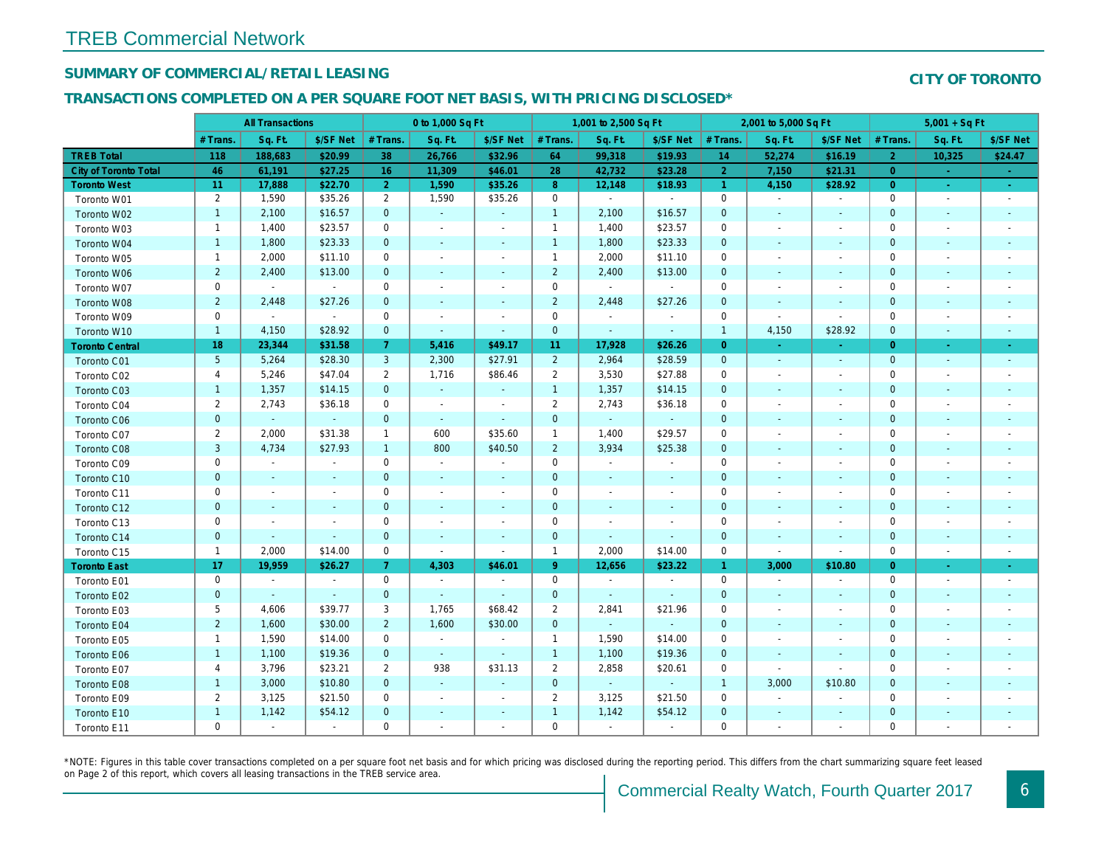## SUMMARY OF COMMERCIAL/RETAIL LEASING

## TRANSACTIONS COMPLETED ON A PER SQUARE FOOT NET BASIS, WITH PRICING DISCLOSED\*

|                              |                 | <b>All Transactions</b>  |                |                | 0 to 1,000 Sq Ft         |                          |                | 1,001 to 2,500 Sq Ft |                |                      | 2,001 to 5,000 Sq Ft     |                          |
|------------------------------|-----------------|--------------------------|----------------|----------------|--------------------------|--------------------------|----------------|----------------------|----------------|----------------------|--------------------------|--------------------------|
|                              | # Trans.        | Sq. Ft.                  | \$/SF Net      | # Trans.       | Sq. Ft.                  | \$/SF Net                | # Trans.       | Sq. Ft.              | \$/SF Net      | # Trans.             | Sq. Ft.                  | \$/SF Ne                 |
| <b>TREB Total</b>            | 118             | 188,683                  | \$20.99        | 38             | 26,766                   | \$32.96                  | 64             | 99,318               | \$19.93        | 14                   | 52,274                   | \$16.19                  |
| <b>City of Toronto Total</b> | 46              | 61,191                   | \$27.25        | 16             | 11,309                   | \$46.01                  | 28             | 42,732               | \$23.28        | $\overline{2}$       | 7,150                    | \$21.31                  |
| <b>Toronto West</b>          | 11              | 17,888                   | \$22.70        | $\overline{2}$ | 1,590                    | \$35.26                  | 8 <sup>°</sup> | 12,148               | \$18.93        | $\blacktriangleleft$ | 4,150                    | \$28.92                  |
| Toronto W01                  | $\overline{2}$  | 1,590                    | \$35.26        | $\overline{2}$ | 1,590                    | \$35.26                  | $\mathsf 0$    | $\sim$               | $\sim$         | $\mathbf 0$          | $\blacksquare$           | $\blacksquare$           |
| Toronto W02                  | $\mathbf{1}$    | 2,100                    | \$16.57        | $\mathbf{0}$   | $\omega$                 | $\omega$                 | $\mathbf{1}$   | 2,100                | \$16.57        | $\mathbf 0$          | $\sim$                   | $\sim$                   |
| Toronto W03                  | $\mathbf{1}$    | 1,400                    | \$23.57        | 0              | $\blacksquare$           | $\overline{\phantom{a}}$ | $\mathbf{1}$   | 1,400                | \$23.57        | $\mathbf 0$          | $\blacksquare$           | $\overline{\phantom{a}}$ |
| Toronto W04                  | $\mathbf{1}$    | 1,800                    | \$23.33        | $\mathbf{0}$   | $\sim$                   | $\sim$                   | $\mathbf{1}$   | 1,800                | \$23.33        | $\mathbf{0}$         | $\sim$                   | $\blacksquare$           |
| Toronto W05                  | $\mathbf{1}$    | 2,000                    | \$11.10        | $\mathbf 0$    | $\overline{\phantom{a}}$ | $\overline{\phantom{a}}$ | $\mathbf{1}$   | 2,000                | \$11.10        | $\mathbf 0$          | $\overline{\phantom{a}}$ | $\overline{\phantom{a}}$ |
| Toronto W06                  | $\overline{2}$  | 2,400                    | \$13.00        | $\mathbf{0}$   | $\blacksquare$           | $\blacksquare$           | $\overline{2}$ | 2,400                | \$13.00        | $\mathbf 0$          | $\blacksquare$           | $\blacksquare$           |
| Toronto W07                  | 0               | $\sim$                   | $\sim$         | 0              | $\blacksquare$           | $\blacksquare$           | $\mathbf 0$    | $\blacksquare$       | $\sim$         | $\mathbf 0$          | $\blacksquare$           | $\blacksquare$           |
| Toronto W08                  | $\overline{2}$  | 2,448                    | \$27.26        | $\mathbf{0}$   | $\sim$                   | $\blacksquare$           | $\overline{2}$ | 2,448                | \$27.26        | $\mathbf{0}$         | $\sim$                   | $\sim$                   |
| Toronto W09                  | 0               | $\blacksquare$           | $\mathbf{r}$   | $\mathbf 0$    | $\blacksquare$           | $\blacksquare$           | $\mathbf 0$    | $\blacksquare$       | $\blacksquare$ | $\mathbf 0$          | $\blacksquare$           | $\overline{\phantom{a}}$ |
| Toronto W10                  | $\mathbf{1}$    | 4,150                    | \$28.92        | $\mathbf{0}$   | $\blacksquare$           | $\blacksquare$           | $\mathbf 0$    | $\blacksquare$       | $\sim$         | $\mathbf{1}$         | 4,150                    | \$28.92                  |
| <b>Toronto Central</b>       | 18              | 23,344                   | \$31.58        | 7 <sup>1</sup> | 5,416                    | \$49.17                  | 11             | 17,928               | \$26.26        | $\overline{0}$       | $\sim$                   | $\sim$                   |
| Toronto C01                  | $5\phantom{.0}$ | 5,264                    | \$28.30        | $\mathbf{3}$   | 2,300                    | \$27.91                  | $\overline{2}$ | 2,964                | \$28.59        | $\mathbf{0}$         | $\omega$                 | $\blacksquare$           |
| Toronto C02                  | 4               | 5,246                    | \$47.04        | $\overline{2}$ | 1,716                    | \$86.46                  | $\overline{2}$ | 3,530                | \$27.88        | 0                    | $\blacksquare$           | $\blacksquare$           |
| Toronto C03                  | $\mathbf{1}$    | 1,357                    | \$14.15        | $\mathbf 0$    | $\omega$                 | ٠                        | $\mathbf{1}$   | 1,357                | \$14.15        | $\mathbf 0$          | $\blacksquare$           | ٠                        |
| Toronto C04                  | 2               | 2,743                    | \$36.18        | $\mathbf 0$    | $\sim$                   | $\sim$                   | $\overline{2}$ | 2,743                | \$36.18        | $\mathbf 0$          | $\blacksquare$           | $\blacksquare$           |
| Toronto C06                  | $\mathbf{0}$    | $\omega$                 | $\sim$         | $\mathbf 0$    | $\sim$                   | $\omega$                 | $\mathbf 0$    | $\omega$             | $\omega$       | $\mathbf{0}$         | $\blacksquare$           | $\blacksquare$           |
| Toronto C07                  | $\overline{2}$  | 2,000                    | \$31.38        | $\mathbf{1}$   | 600                      | \$35.60                  | $\mathbf{1}$   | 1,400                | \$29.57        | 0                    | $\sim$                   | $\blacksquare$           |
| Toronto C08                  | 3               | 4,734                    | \$27.93        | $\mathbf{1}$   | 800                      | \$40.50                  | $\overline{2}$ | 3,934                | \$25.38        | $\mathbf 0$          | $\overline{\phantom{a}}$ | $\blacksquare$           |
| Toronto C09                  | $\mathbf 0$     | $\sim$                   | $\sim$         | $\mathbf 0$    | $\sim$                   | $\blacksquare$           | $\mathbf 0$    | $\blacksquare$       | $\sim$         | $\mathbf 0$          | ÷.                       | $\overline{\phantom{a}}$ |
| Toronto C10                  | $\mathbf{0}$    | $\sim$                   | $\sim$         | $\mathbf 0$    | $\omega$                 | $\blacksquare$           | $\mathbf 0$    | $\blacksquare$       | $\sim$         | $\mathbf{0}$         | $\blacksquare$           | $\blacksquare$           |
| Toronto C11                  | 0               | $\overline{\phantom{a}}$ |                | $\mathbf 0$    | $\blacksquare$           | $\blacksquare$           | $\mathbf 0$    | $\blacksquare$       | ٠              | $\mathbf 0$          | $\blacksquare$           | $\overline{\phantom{a}}$ |
| Toronto C12                  | $\mathbf{0}$    | $\blacksquare$           | $\blacksquare$ | $\mathbf{0}$   | ٠                        | $\sim$                   | $\mathbf{0}$   | $\blacksquare$       | ٠              | $\mathbf{0}$         | $\blacksquare$           | $\blacksquare$           |
| Toronto C13                  | 0               | $\overline{\phantom{a}}$ |                | $\mathbf 0$    | $\blacksquare$           | $\blacksquare$           | $\mathbf 0$    | ä,                   | $\sim$         | $\mathbf 0$          | $\sim$                   | $\overline{\phantom{a}}$ |
| Toronto C14                  | $\mathbf{0}$    | $\sim$                   | $\omega$       | $\mathbf 0$    | $\omega$                 | $\blacksquare$           | $\mathbf 0$    | $\omega$             | $\blacksquare$ | $\mathbf{0}$         | $\blacksquare$           | $\blacksquare$           |
| Toronto C15                  | $\mathbf{1}$    | 2,000                    | \$14.00        | 0              | $\blacksquare$           | $\blacksquare$           | $\mathbf{1}$   | 2,000                | \$14.00        | $\mathbf 0$          | $\sim$                   | $\blacksquare$           |
| <b>Toronto East</b>          | 17              | 19,959                   | \$26.27        | 7 <sup>1</sup> | 4,303                    | \$46.01                  | 9 <sup>°</sup> | 12,656               | \$23.22        | $\mathbf{1}$         | 3,000                    | \$10.80                  |
| Toronto E01                  | 0               | $\blacksquare$           | $\blacksquare$ | $\mathbf 0$    | $\blacksquare$           | $\blacksquare$           | $\mathbf 0$    | $\blacksquare$       | $\blacksquare$ | $\mathbf 0$          | $\blacksquare$           | $\blacksquare$           |
| Toronto E02                  | $\mathbf{0}$    | $\omega$                 | $\sim$         | $\mathbf{0}$   | $\omega$                 | $\blacksquare$           | $\mathbf 0$    | $\omega$             | $\sim$         | $\mathbf{0}$         | $\blacksquare$           | $\sim$                   |
| Toronto E03                  | 5               | 4,606                    | \$39.77        | 3              | 1,765                    | \$68.42                  | $\overline{2}$ | 2,841                | \$21.96        | 0                    | $\blacksquare$           | $\blacksquare$           |
| Toronto E04                  | $\overline{2}$  | 1,600                    | \$30.00        | $\overline{2}$ | 1,600                    | \$30.00                  | $\mathbf{0}$   | $\blacksquare$       | $\blacksquare$ | $\mathbf{0}$         | $\sim$                   | $\sim$                   |
| Toronto E05                  | $\mathbf{1}$    | 1,590                    | \$14.00        | $\mathbf 0$    | $\blacksquare$           | $\blacksquare$           | $\mathbf{1}$   | 1,590                | \$14.00        | $\mathbf 0$          | $\blacksquare$           | $\overline{\phantom{a}}$ |
| Toronto E06                  | $\mathbf{1}$    | 1,100                    | \$19.36        | $\mathbf{0}$   | $\omega$                 | $\blacksquare$           | $\mathbf{1}$   | 1,100                | \$19.36        | $\mathbf{0}$         | $\blacksquare$           | $\overline{\phantom{a}}$ |
| Toronto E07                  | 4               | 3,796                    | \$23.21        | 2              | 938                      | \$31.13                  | $\overline{2}$ | 2,858                | \$20.61        | 0                    | $\blacksquare$           | $\blacksquare$           |
| Toronto E08                  | $\mathbf{1}$    | 3,000                    | \$10.80        | $\mathbf{0}$   | $\omega$                 | $\omega$                 | $\mathbf 0$    | $\omega$             | $\omega$       | $\overline{1}$       | 3,000                    | \$10.80                  |
| Toronto E09                  | $\overline{2}$  | 3,125                    | \$21.50        | $\mathbf 0$    | $\blacksquare$           | $\blacksquare$           | $\overline{2}$ | 3,125                | \$21.50        | $\mathbf 0$          | $\blacksquare$           | $\blacksquare$           |
| Toronto E10                  | $\mathbf{1}$    | 1,142                    | \$54.12        | $\mathbf{0}$   | $\overline{\phantom{a}}$ | $\blacksquare$           | $\mathbf{1}$   | 1,142                | \$54.12        | $\mathbf{0}$         | $\sim$                   | $\sim$                   |
| Toronto E11                  | 0               | $\blacksquare$           | $\blacksquare$ | $\mathbf 0$    | $\blacksquare$           | $\blacksquare$           | $\mathbf 0$    | $\blacksquare$       | $\blacksquare$ | $\mathbf 0$          | $\blacksquare$           | $\blacksquare$           |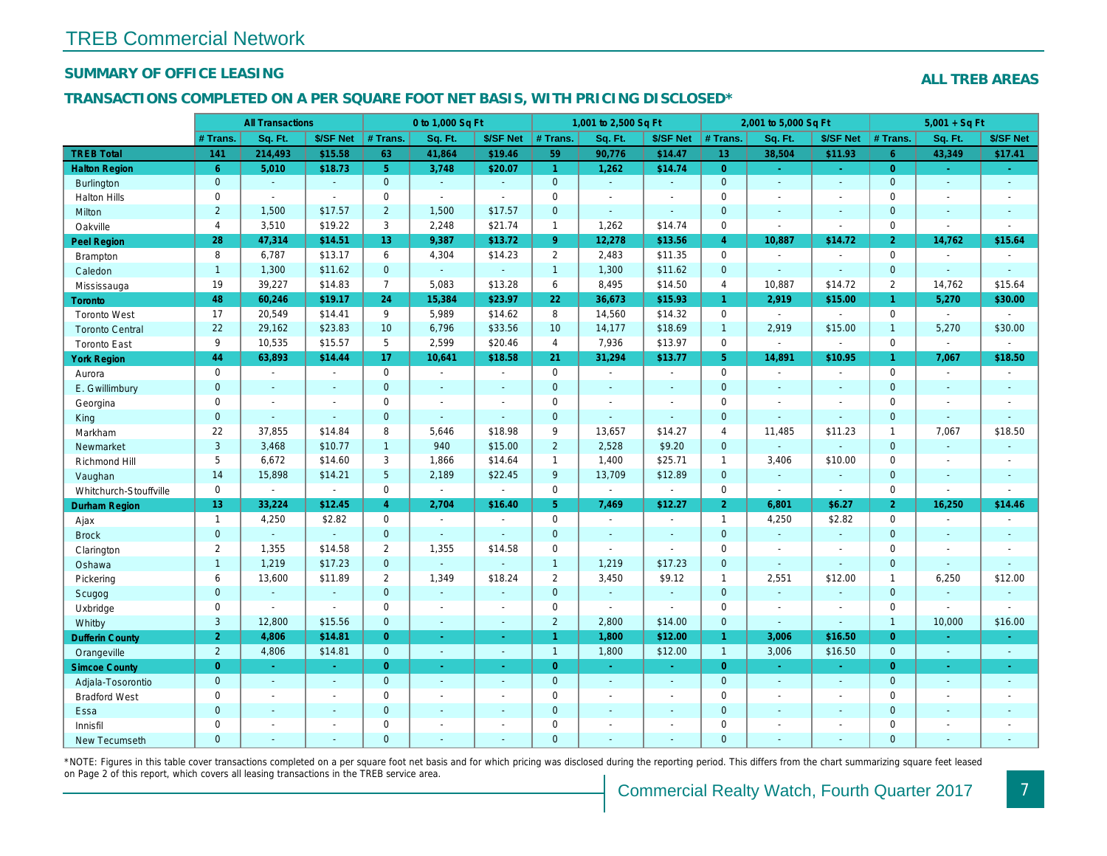### SUMMARY OF OFFICE LEASING

### TRANSACTIONS COMPLETED ON A PER SQUARE FOOT NET BASIS, WITH PRICING DISCLOSED\*

|                        |                 | <b>All Transactions</b> |                     |                 | 0 to 1,000 Sq Ft      |                          |                     | 1,001 to 2,500 Sq Ft |                |                      | 2,001 to 5,000 Sq Ft |                  |
|------------------------|-----------------|-------------------------|---------------------|-----------------|-----------------------|--------------------------|---------------------|----------------------|----------------|----------------------|----------------------|------------------|
|                        | # Trans.        | Sq. Ft.                 | \$/SF Net           | # Trans.        | Sq. Ft.               | \$/SF Net                | # Trans.            | Sq. Ft.              | \$/SF Net      | # Trans.             | Sq. Ft.              | \$/SF Ne         |
| <b>TREB Total</b>      | 141             | 214,493                 | \$15.58             | 63              | 41,864                | \$19.46                  | 59                  | 90,776               | \$14.47        | 13 <sup>°</sup>      | 38,504               | \$11.93          |
| <b>Halton Region</b>   | 6               | 5,010                   | \$18.73             | 5 <sup>1</sup>  | 3,748                 | \$20.07                  | $\overline{1}$      | 1,262                | \$14.74        | $\overline{0}$       | $\omega$             | $\sim$           |
| <b>Burlington</b>      | $\mathbf{0}$    | $\omega$                | $\omega$            | $\mathbf{0}$    | $\sim$                | $\omega$                 | $\mathbf{0}$        | $\blacksquare$       | $\omega$       | $\overline{0}$       | $\omega$             | $\sim$           |
| <b>Halton Hills</b>    | 0               | $\sim$                  | $\omega$            | $\mathbf 0$     | $\omega$              | $\blacksquare$           | $\mathbf 0$         | $\blacksquare$       | $\blacksquare$ | $\mathbf 0$          | $\sim$               | $\sim$           |
| Milton                 | $\overline{2}$  | 1,500                   | \$17.57             | $\overline{2}$  | 1,500                 | \$17.57                  | $\mathbf{0}$        | $\Delta$             | $\Delta$       | $\mathbf{0}$         | $\sim$               | $\blacksquare$   |
| Oakville               | $\overline{4}$  | 3,510                   | \$19.22             | 3               | 2,248                 | \$21.74                  | $\mathbf{1}$        | 1,262                | \$14.74        | $\mathbf 0$          | $\blacksquare$       | $\blacksquare$   |
| Peel Region            | 28              | 47,314                  | \$14.51             | 13              | 9,387                 | \$13.72                  | 9 <sup>°</sup>      | 12,278               | \$13.56        | $\overline{4}$       | 10,887               | \$14.72          |
| Brampton               | 8               | 6,787                   | \$13.17             | 6               | 4,304                 | \$14.23                  | $\overline{2}$      | 2,483                | \$11.35        | $\mathbf 0$          | $\sim$               | $\blacksquare$   |
| Caledon                | $\mathbf{1}$    | 1,300                   | \$11.62             | $\mathbf{0}$    | $\omega$              | $\blacksquare$           | $\overline{1}$      | 1,300                | \$11.62        | $\mathbf{0}$         | $\omega$             | $\sim$           |
| Mississauga            | 19              | 39,227                  | \$14.83             | $\overline{7}$  | 5,083                 | \$13.28                  | 6                   | 8,495                | \$14.50        | 4                    | 10,887               | \$14.72          |
| <b>Toronto</b>         | 48              | 60,246                  | \$19.17             | 24              | 15,384                | \$23.97                  | 22                  | 36,673               | \$15.93        | $\blacktriangleleft$ | 2,919                | \$15.00          |
| <b>Toronto West</b>    | 17              | 20,549                  | \$14.41             | 9               | 5,989                 | \$14.62                  | 8                   | 14,560               | \$14.32        | $\mathbf 0$          |                      | $\blacksquare$   |
| <b>Toronto Central</b> | 22              | 29,162                  | \$23.83             | 10              | 6,796                 | \$33.56                  | 10                  | 14,177               | \$18.69        | $\overline{1}$       | 2,919                | \$15.00          |
| <b>Toronto East</b>    | 9               | 10,535                  | \$15.57             | 5               | 2,599                 | \$20.46                  | $\overline{4}$      | 7,936                | \$13.97        | $\mathbf 0$          | $\blacksquare$       | $\blacksquare$   |
| <b>York Region</b>     | 44              | 63,893                  | \$14.44             | 17              | 10,641                | \$18.58                  | 21                  | 31,294               | \$13.77        | 5 <sup>5</sup>       | 14,891               | \$10.95          |
| Aurora                 | $\mathbf 0$     | $\blacksquare$          | $\Delta$            | $\mathbf 0$     | $\sim$                | $\blacksquare$           | $\mathbf 0$         | $\blacksquare$       | $\sim$         | $\mathbf 0$          | $\omega$             | $\sim$           |
| E. Gwillimbury         | $\mathbf{0}$    | $\sim$                  | $\sim$              | $\overline{0}$  | $\sim$                | $\omega$                 | $\mathbf{0}$        | ÷.                   | ÷.             | $\mathbf{0}$         | $\sim$               | $\sim$           |
| Georgina               | $\mathbf 0$     | $\sim$                  | $\sim$              | $\pmb{0}$       | $\tilde{\phantom{a}}$ | $\sim$                   | $\mathsf{O}\xspace$ | $\blacksquare$       | $\blacksquare$ | $\mathbf 0$          | $\blacksquare$       | $\blacksquare$   |
| King                   | $\mathbf{0}$    | $\sim$                  | $\omega$            | $\mathbf{0}$    | $\sim$                | $\blacksquare$           | $\mathbf{0}$        | $\omega$             | $\Delta$       | $\mathbf{0}$         | $\Delta$             | $\sim$           |
| Markham                | 22              | 37,855                  | \$14.84             | 8               | 5,646                 | \$18.98                  | 9                   | 13,657               | \$14.27        | $\overline{4}$       | 11,485               | \$11.23          |
| Newmarket              | 3               | 3,468                   | \$10.77             | $\mathbf{1}$    | 940                   | \$15.00                  | $\overline{2}$      | 2,528                | \$9.20         | $\mathbf{0}$         | $\omega$             |                  |
| Richmond Hill          | 5               | 6,672                   | \$14.60             | 3               | 1,866                 | \$14.64                  | $\mathbf{1}$        | 1,400                | \$25.71        | $\mathbf{1}$         | 3,406                | \$10.00          |
| Vaughan                | 14              | 15,898                  | \$14.21             | $5\phantom{.0}$ | 2,189                 | \$22.45                  | 9                   | 13,709               | \$12.89        | $\overline{0}$       | $\omega$             | $\blacksquare$   |
| Whitchurch-Stouffville | 0               | $\blacksquare$          | $\blacksquare$      | $\mathbf 0$     | $\blacksquare$        | $\sim$                   | $\mathbf 0$         | $\blacksquare$       | $\blacksquare$ | $\mathbf 0$          | $\blacksquare$       | $\blacksquare$   |
| Durham Region          | 13 <sup>°</sup> | 33,224                  | \$12.45             | $\overline{4}$  | 2,704                 | \$16.40                  | 5 <sup>5</sup>      | 7,469                | \$12.27        | $\overline{2}$       | 6,801                | \$6.27           |
| Ajax                   | $\mathbf{1}$    | 4,250                   | \$2.82              | $\mathbf 0$     | $\sim$                | $\blacksquare$           | $\mathbf 0$         | $\blacksquare$       | $\blacksquare$ | $\mathbf{1}$         | 4,250                | \$2.82           |
| <b>Brock</b>           | $\mathbf{0}$    | $\omega$                | $\omega$            | $\overline{0}$  | $\omega$              | $\blacksquare$           | $\mathbf{0}$        | $\blacksquare$       | $\blacksquare$ | $\overline{0}$       | $\omega$             | $\blacksquare$   |
| Clarington             | $\overline{2}$  | 1,355                   | \$14.58             | $\overline{2}$  | 1,355                 | \$14.58                  | $\mathbf 0$         | $\mathbf{r}$         | $\blacksquare$ | $\mathbf 0$          | $\blacksquare$       | $\blacksquare$   |
| Oshawa                 | $\mathbf{1}$    | 1,219                   | \$17.23             | $\mathbf{0}$    | $\omega$              | $\blacksquare$           | $\overline{1}$      | 1,219                | \$17.23        | $\mathbf{0}$         | $\Delta$             | $\blacksquare$   |
| Pickering              | 6               | 13,600                  | \$11.89             | $\overline{2}$  | 1,349                 | \$18.24                  | $\overline{2}$      | 3,450                | \$9.12         | $\overline{1}$       | 2,551                | \$12.00          |
| Scugog                 | $\mathbf{0}$    | $\blacksquare$          | $\sim$              | $\mathbf{0}$    | $\omega$              | $\blacksquare$           | $\mathbf 0$         | $\blacksquare$       | $\blacksquare$ | $\mathbf{0}$         | $\blacksquare$       | $\blacksquare$   |
| Uxbridge               | $\mathbf 0$     |                         | $\omega$            | $\mathbf 0$     | $\mathbf{r}$          | $\overline{\phantom{a}}$ | $\mathbf 0$         | $\mathbf{r}$         | $\blacksquare$ | $\mathbf{0}$         | $\blacksquare$       | $\blacksquare$   |
| Whitby                 | 3               | 12,800                  | \$15.56             | $\overline{0}$  | $\Delta$              | $\omega$                 | $\overline{2}$      | 2,800                | \$14.00        | $\mathbf{0}$         | $\omega$             | $\sim$           |
| <b>Dufferin County</b> | 2 <sup>1</sup>  | 4,806                   | \$14.81             | $\overline{0}$  | $\omega$              | $\blacksquare$           | $\mathbf{1}$        | 1,800                | \$12.00        | $\mathbf{1}$         | 3,006                | \$16.50          |
| Orangeville            | $\overline{2}$  | 4,806                   | \$14.81             | $\overline{0}$  | $\omega$              | $\omega$                 | $\mathbf{1}$        | 1,800                | \$12.00        | $\overline{1}$       | 3,006                | \$16.50          |
| <b>Simcoe County</b>   | $\overline{0}$  | $\omega$                | $\omega_{\rm{eff}}$ | $\overline{0}$  | $\omega$              | ÷.                       | $\overline{0}$      | $\omega$             | $\sim$         | $\overline{0}$       | $\omega$             | $\omega_{\rm c}$ |
| Adjala-Tosorontio      | $\mathbf{0}$    | $\omega$                | $\sim$              | $\mathbf{0}$    | $\omega$              | $\Delta$                 | $\mathbf{0}$        | $\Delta$             | $\Delta$       | $\overline{0}$       | $\Delta$             | $\sim$           |
| <b>Bradford West</b>   | 0               | $\blacksquare$          | $\sim$              | $\mathbf 0$     | $\tilde{\phantom{a}}$ | $\blacksquare$           | $\mathbf 0$         | $\blacksquare$       | $\sim$         | 0                    | $\blacksquare$       | $\blacksquare$   |
| Essa                   | $\mathbf{0}$    |                         |                     | $\overline{0}$  | $\sim$                | $\blacksquare$           | $\mathbf{0}$        |                      | $\omega$       | $\mathbf{0}$         | $\blacksquare$       |                  |
| Innisfil               | $\mathbf 0$     | $\sim$                  | $\sim$              | $\mathbf 0$     | $\blacksquare$        | $\blacksquare$           | $\mathbf 0$         | ä,                   | $\blacksquare$ | $\mathbf 0$          | $\sim$               | $\blacksquare$   |
| <b>New Tecumseth</b>   | $\Omega$        |                         |                     | $\Omega$        |                       |                          | $\mathbf{0}$        |                      |                | $\Omega$             |                      |                  |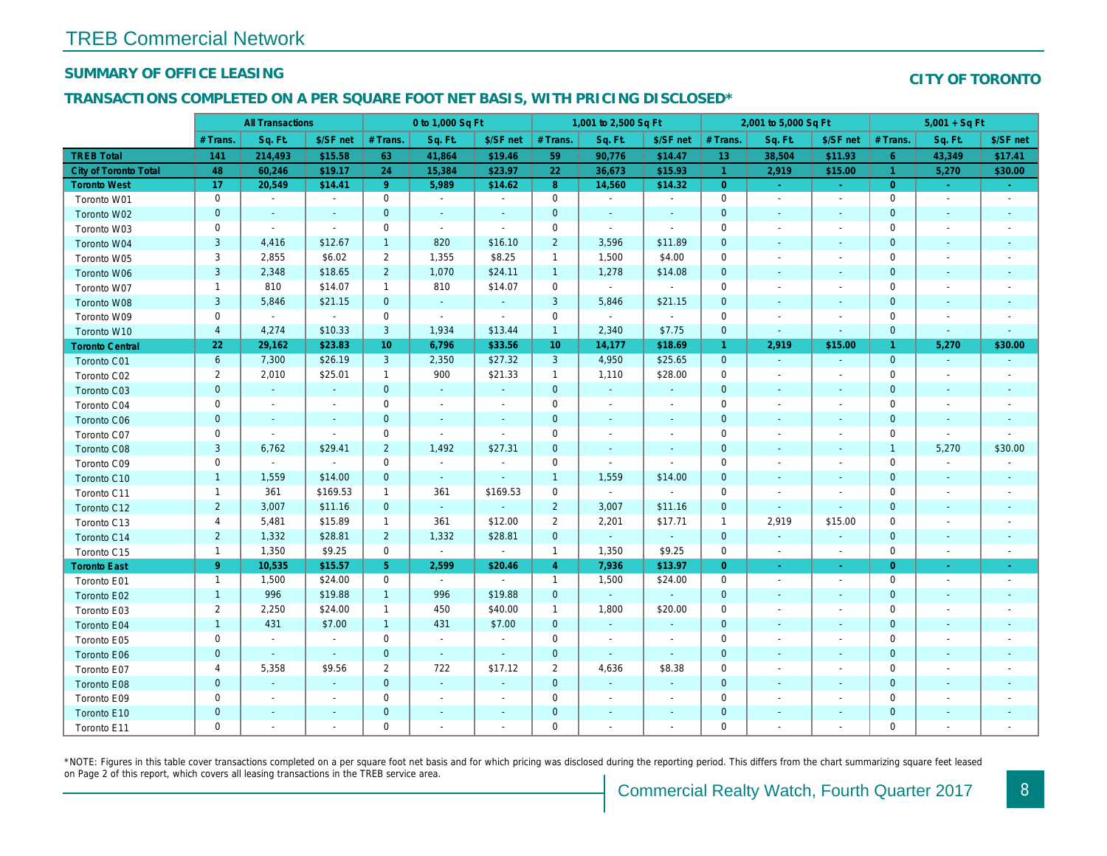### SUMMARY OF OFFICE LEASING

### TRANSACTIONS COMPLETED ON A PER SQUARE FOOT NET BASIS, WITH PRICING DISCLOSED\*

|                              |                | <b>All Transactions</b> |                          |                 | 0 to 1,000 Sq Ft         |                          |                     | 1,001 to 2,500 Sq Ft |                          |                | 2,001 to 5,000 Sq Ft     |                          |
|------------------------------|----------------|-------------------------|--------------------------|-----------------|--------------------------|--------------------------|---------------------|----------------------|--------------------------|----------------|--------------------------|--------------------------|
|                              | # Trans.       | Sq. Ft.                 | \$/SF net                | # Trans.        | Sq. Ft.                  | \$/SF net                | # Trans.            | Sq. Ft.              | \$/SF net                | # Trans.       | Sq. Ft.                  | \$/SF ne                 |
| <b>TREB Total</b>            | 141            | 214,493                 | \$15.58                  | 63              | 41,864                   | \$19.46                  | 59                  | 90,776               | \$14.47                  | 13             | 38,504                   | \$11.93                  |
| <b>City of Toronto Total</b> | 48             | 60,246                  | \$19.17                  | 24              | 15,384                   | \$23.97                  | 22                  | 36,673               | \$15.93                  | $\overline{1}$ | 2,919                    | \$15.00                  |
| <b>Toronto West</b>          | 17             | 20,549                  | \$14.41                  | 9 <sup>°</sup>  | 5,989                    | \$14.62                  | 8 <sup>°</sup>      | 14,560               | \$14.32                  | $\overline{0}$ | $\sim$                   | $\sim$                   |
| Toronto W01                  | $\mathbf 0$    | $\sim$                  | $\blacksquare$           | $\mathbf 0$     | $\blacksquare$           | $\blacksquare$           | $\mathbf 0$         | $\blacksquare$       | $\blacksquare$           | $\mathbf 0$    | $\overline{\phantom{a}}$ | $\blacksquare$           |
| Toronto W02                  | $\pmb{0}$      | $\sim$                  | $\blacksquare$           | $\mathbf 0$     | $\blacksquare$           | $\blacksquare$           | 0                   | $\blacksquare$       | $\blacksquare$           | $\mathbf 0$    | $\blacksquare$           | $\sim$                   |
| Toronto W03                  | 0              | $\sim$                  | $\blacksquare$           | $\mathbf 0$     | $\blacksquare$           | $\blacksquare$           | $\mathbf 0$         | $\blacksquare$       | $\blacksquare$           | 0              | $\overline{\phantom{a}}$ | $\overline{\phantom{a}}$ |
| Toronto W04                  | $\mathsf 3$    | 4,416                   | \$12.67                  | $\mathbf{1}$    | 820                      | \$16.10                  | $\overline{2}$      | 3,596                | \$11.89                  | $\mathbf 0$    | $\blacksquare$           | $\blacksquare$           |
| Toronto W05                  | 3              | 2,855                   | \$6.02                   | $\overline{2}$  | 1,355                    | \$8.25                   | $\mathbf{1}$        | 1,500                | \$4.00                   | $\mathbf 0$    |                          | $\overline{\phantom{a}}$ |
| Toronto W06                  | 3              | 2,348                   | \$18.65                  | $\overline{2}$  | 1,070                    | \$24.11                  | $\mathbf{1}$        | 1,278                | \$14.08                  | 0              |                          | $\sim$                   |
| Toronto W07                  | $\mathbf{1}$   | 810                     | \$14.07                  | $\mathbf{1}$    | 810                      | \$14.07                  | $\mathbf 0$         | $\blacksquare$       | $\blacksquare$           | $\mathbf 0$    |                          |                          |
| Toronto W08                  | 3              | 5,846                   | \$21.15                  | $\mathbf 0$     | $\omega$                 | $\blacksquare$           | 3                   | 5,846                | \$21.15                  | $\pmb{0}$      | $\blacksquare$           | $\overline{\phantom{a}}$ |
| Toronto W09                  | $\mathbf 0$    | $\blacksquare$          | $\sim$                   | $\mathbf 0$     | $\blacksquare$           | $\overline{\phantom{a}}$ | $\mathbf 0$         | $\sim$               | $\blacksquare$           | $\mathbf 0$    |                          | $\overline{\phantom{a}}$ |
| Toronto W10                  | $\overline{4}$ | 4,274                   | \$10.33                  | 3               | 1,934                    | \$13.44                  | $\mathbf{1}$        | 2,340                | \$7.75                   | $\mathbf 0$    | $\blacksquare$           | $\blacksquare$           |
| <b>Toronto Central</b>       | 22             | 29,162                  | \$23.83                  | 10 <sup>1</sup> | 6,796                    | \$33.56                  | 10 <sup>°</sup>     | 14,177               | \$18.69                  | $\overline{1}$ | 2,919                    | \$15.00                  |
| Toronto C01                  | 6              | 7,300                   | \$26.19                  | $\mathbf{3}$    | 2,350                    | \$27.32                  | $\mathbf{3}$        | 4,950                | \$25.65                  | $\mathbf 0$    |                          | $\sim$                   |
| Toronto C02                  | $\overline{2}$ | 2,010                   | \$25.01                  | $\mathbf{1}$    | 900                      | \$21.33                  | $\mathbf{1}$        | 1,110                | \$28.00                  | $\mathbf 0$    |                          | $\blacksquare$           |
| Toronto C03                  | $\mathbf 0$    | $\sim$                  | $\blacksquare$           | $\mathbf{0}$    | $\omega$                 | $\blacksquare$           | $\mathbf 0$         | $\omega$             | $\blacksquare$           | $\mathbf 0$    | $\blacksquare$           | $\sim$                   |
| Toronto C04                  | $\mathbf 0$    | $\blacksquare$          | $\overline{\phantom{a}}$ | $\mathbf 0$     | $\blacksquare$           | $\overline{\phantom{a}}$ | $\mathbf 0$         | $\blacksquare$       | $\blacksquare$           | $\mathbf 0$    |                          | $\overline{\phantom{a}}$ |
| Toronto C06                  | $\pmb{0}$      | $\blacksquare$          | $\blacksquare$           | $\mathbf{0}$    | $\blacksquare$           | $\blacksquare$           | $\mathbf 0$         | $\blacksquare$       | $\blacksquare$           | $\mathbf 0$    | $\blacksquare$           | $\blacksquare$           |
| Toronto C07                  | $\mathbf 0$    | $\blacksquare$          | $\blacksquare$           | $\mathbf 0$     | $\sim$                   | $\blacksquare$           | $\mathsf{O}\xspace$ | $\blacksquare$       | $\overline{\phantom{a}}$ | $\mathbf 0$    |                          |                          |
| Toronto C08                  | 3              | 6,762                   | \$29.41                  | $\overline{2}$  | 1,492                    | \$27.31                  | $\mathbf 0$         | $\blacksquare$       | $\blacksquare$           | $\pmb{0}$      | $\blacksquare$           | $\blacksquare$           |
| Toronto C09                  | $\mathbf 0$    | $\blacksquare$          | $\blacksquare$           | $\mathbf 0$     | $\overline{\phantom{a}}$ | $\overline{\phantom{a}}$ | $\mathbf 0$         | $\blacksquare$       | $\overline{a}$           | $\mathbf 0$    |                          |                          |
| Toronto C10                  | $\mathbf{1}$   | 1,559                   | \$14.00                  | $\mathbf{0}$    | $\omega$                 | $\blacksquare$           | $\mathbf{1}$        | 1,559                | \$14.00                  | $\mathbf 0$    | $\blacksquare$           | $\blacksquare$           |
| Toronto C11                  | $\mathbf{1}$   | 361                     | \$169.53                 | $\mathbf{1}$    | 361                      | \$169.53                 | 0                   | $\blacksquare$       | $\sim$                   | $\mathbf 0$    | $\blacksquare$           |                          |
| Toronto C12                  | $\overline{c}$ | 3,007                   | \$11.16                  | $\mathbf{0}$    | $\omega$                 | $\blacksquare$           | $\overline{2}$      | 3,007                | \$11.16                  | $\mathbf 0$    | $\blacksquare$           |                          |
| Toronto C13                  | 4              | 5,481                   | \$15.89                  | $\mathbf{1}$    | 361                      | \$12.00                  | $\overline{2}$      | 2,201                | \$17.71                  | $\overline{1}$ | 2,919                    | \$15.00                  |
| Toronto C14                  | $\overline{2}$ | 1,332                   | \$28.81                  | $\overline{2}$  | 1,332                    | \$28.81                  | $\mathbf 0$         | $\omega$             | $\omega$                 | $\mathbf{0}$   | $\blacksquare$           | $\sim$                   |
| Toronto C15                  | $\mathbf{1}$   | 1,350                   | \$9.25                   | $\mathsf{O}$    | $\sim$                   | $\sim$                   | $\mathbf{1}$        | 1,350                | \$9.25                   | $\mathbf 0$    | $\blacksquare$           | $\blacksquare$           |
| <b>Toronto East</b>          | 9              | 10,535                  | \$15.57                  | 5 <sup>5</sup>  | 2,599                    | \$20.46                  | $\overline{4}$      | 7,936                | \$13.97                  | $\overline{0}$ | $\sim$                   | $\sigma$                 |
| Toronto E01                  | $\mathbf{1}$   | 1,500                   | \$24.00                  | $\mathbf 0$     | $\sim$                   | $\sim$                   | $\mathbf{1}$        | 1,500                | \$24.00                  | $\mathbf 0$    | $\blacksquare$           | $\sim$                   |
| Toronto E02                  | $\mathbf{1}$   | 996                     | \$19.88                  | $\mathbf{1}$    | 996                      | \$19.88                  | $\mathbf 0$         | $\omega$             | $\omega$                 | $\mathbf 0$    | $\blacksquare$           | $\sim$                   |
| Toronto E03                  | $\overline{2}$ | 2,250                   | \$24.00                  | $\mathbf{1}$    | 450                      | \$40.00                  | $\mathbf{1}$        | 1,800                | \$20.00                  | $\mathbf 0$    | $\blacksquare$           | $\overline{\phantom{a}}$ |
| Toronto E04                  | $\mathbf{1}$   | 431                     | \$7.00                   | $\mathbf{1}$    | 431                      | \$7.00                   | $\mathbf 0$         | $\omega$             | $\sim$                   | $\mathbf 0$    | $\blacksquare$           | $\sim$                   |
| Toronto E05                  | 0              | $\blacksquare$          | $\blacksquare$           | $\mathbf 0$     | $\blacksquare$           | $\blacksquare$           | $\mathbf 0$         | $\sim$               | $\sim$                   | 0              | $\sim$                   | $\overline{\phantom{a}}$ |
| Toronto E06                  | $\pmb{0}$      | $\blacksquare$          | $\omega$                 | $\mathbf{0}$    | $\omega$                 | $\omega$                 | $\mathbf 0$         | $\omega$             | $\omega$                 | $\mathbf 0$    | $\blacksquare$           | $\sim$                   |
| Toronto E07                  | 4              | 5,358                   | \$9.56                   | $\overline{2}$  | 722                      | \$17.12                  | $\overline{2}$      | 4,636                | \$8.38                   | $\mathbf 0$    | $\blacksquare$           | $\overline{\phantom{a}}$ |
| Toronto E08                  | $\pmb{0}$      | $\omega$                | $\sim$                   | $\mathbf{0}$    | $\sim$                   | $\blacksquare$           | $\mathbf 0$         | $\blacksquare$       | $\sim$                   | $\mathbf 0$    | $\overline{\phantom{a}}$ | $\sim$                   |
| Toronto E09                  | 0              | $\blacksquare$          | $\overline{\phantom{a}}$ | 0               | $\blacksquare$           | $\overline{\phantom{a}}$ | 0                   | $\blacksquare$       | $\overline{\phantom{a}}$ | 0              | $\overline{\phantom{a}}$ | $\overline{\phantom{a}}$ |
| Toronto E10                  | $\pmb{0}$      | $\blacksquare$          | $\blacksquare$           | $\mathbf 0$     | $\blacksquare$           | $\blacksquare$           | $\mathbf 0$         | $\blacksquare$       | $\blacksquare$           | $\pmb{0}$      | $\blacksquare$           | ٠                        |
| Toronto E11                  | 0              | $\blacksquare$          | $\blacksquare$           | $\mathbf 0$     | $\blacksquare$           | $\blacksquare$           | 0                   | $\blacksquare$       | $\blacksquare$           | 0              |                          |                          |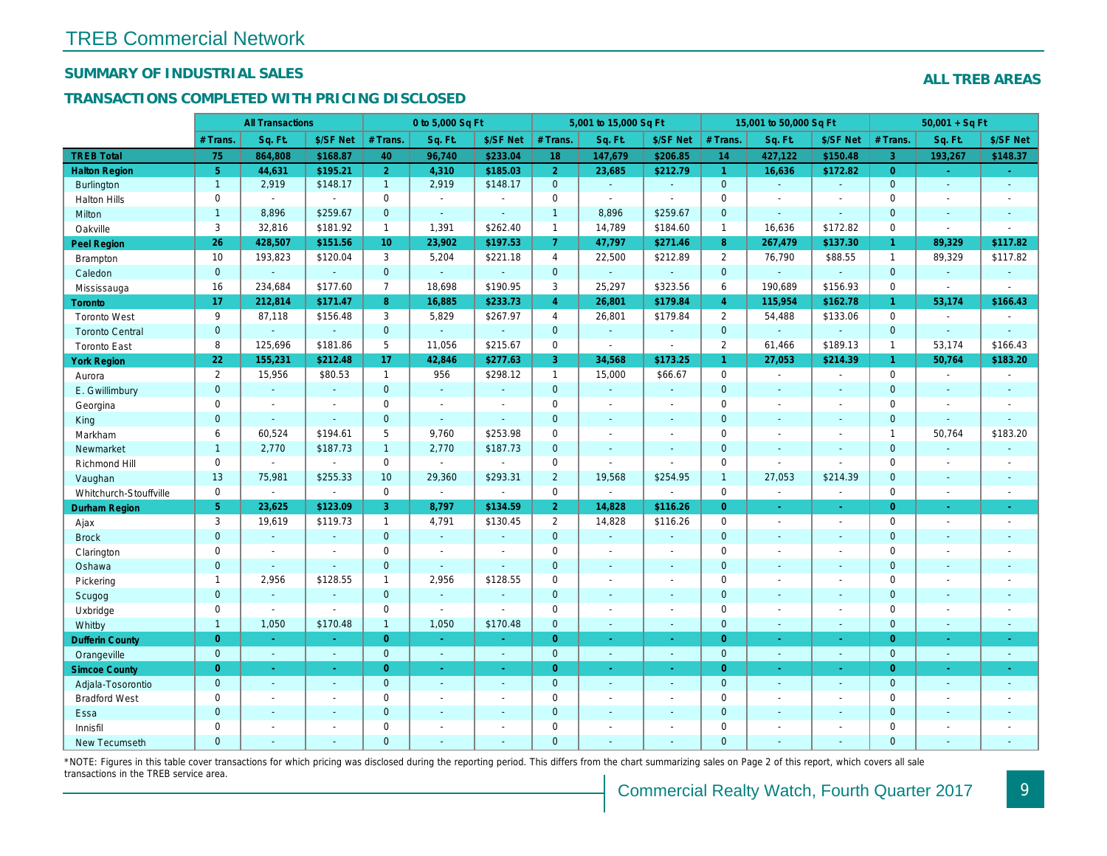## SUMMARY OF INDUSTRIAL SALES

## TRANSACTIONS COMPLETED WITH PRICING DISCLOSED

|                        |                | <b>All Transactions</b>  |                |                  | 0 to 5,000 Sq Ft |                |                     | 5,001 to 15,000 Sq Ft |                          |                      | 15,001 to 50,000 Sq Ft |                  |
|------------------------|----------------|--------------------------|----------------|------------------|------------------|----------------|---------------------|-----------------------|--------------------------|----------------------|------------------------|------------------|
|                        | # Trans.       | Sq. Ft.                  | \$/SF Net      | # Trans.         | Sq. Ft.          | \$/SF Net      | # Trans.            | Sq. Ft.               | \$/SF Net                | # Trans.             | Sq. Ft.                | \$/SF Ne         |
| <b>TREB Total</b>      | 75             | 864,808                  | \$168.87       | 40               | 96,740           | \$233.04       | 18                  | 147,679               | \$206.85                 | 14                   | 427,122                | \$150.48         |
| <b>Halton Region</b>   | 5 <sup>5</sup> | 44,631                   | \$195.21       | 2 <sup>1</sup>   | 4,310            | \$185.03       | 2 <sup>1</sup>      | 23,685                | \$212.79                 | $\blacktriangleleft$ | 16,636                 | \$172.82         |
| <b>Burlington</b>      | $\mathbf{1}$   | 2,919                    | \$148.17       | 1                | 2,919            | \$148.17       | $\mathbf{0}$        | $\blacksquare$        | $\omega$                 | $\overline{0}$       | $\omega$               | $\blacksquare$   |
| <b>Halton Hills</b>    | 0              | $\blacksquare$           | $\sim$         | $\mathbf 0$      | $\blacksquare$   |                | $\mathsf{O}$        | $\blacksquare$        | $\blacksquare$           | $\mathbf 0$          | $\sim$                 | $\blacksquare$   |
| Milton                 | $\mathbf{1}$   | 8,896                    | \$259.67       | $\mathbf 0$      | $\omega$         | $\blacksquare$ | $\mathbf{1}$        | 8,896                 | \$259.67                 | $\mathbf{0}$         | $\blacksquare$         | $\sim$           |
| Oakville               | 3              | 32,816                   | \$181.92       | $\mathbf{1}$     | 1,391            | \$262.40       | $\mathbf{1}$        | 14,789                | \$184.60                 | $\mathbf{1}$         | 16,636                 | \$172.82         |
| <b>Peel Region</b>     | 26             | 428,507                  | \$151.56       | 10 <sup>10</sup> | 23,902           | \$197.53       | 7 <sup>1</sup>      | 47,797                | \$271.46                 | 8                    | 267,479                | \$137.30         |
| <b>Brampton</b>        | 10             | 193,823                  | \$120.04       | 3                | 5,204            | \$221.18       | $\overline{4}$      | 22,500                | \$212.89                 | 2                    | 76,790                 | \$88.55          |
| Caledon                | $\mathbf{0}$   |                          | $\omega$       | $\mathbf 0$      | $\omega$         | $\blacksquare$ | $\overline{0}$      | $\omega$              | $\omega$                 | $\mathbf 0$          | $\omega$               | $\blacksquare$   |
| Mississauga            | 16             | 234,684                  | \$177.60       | $\overline{7}$   | 18,698           | \$190.95       | 3                   | 25,297                | \$323.56                 | 6                    | 190,689                | \$156.93         |
| <b>Toronto</b>         | 17             | 212,814                  | \$171.47       | 8                | 16,885           | \$233.73       | $\overline{4}$      | 26,801                | \$179.84                 | $\overline{4}$       | 115,954                | \$162.7          |
| <b>Toronto West</b>    | 9              | 87,118                   | \$156.48       | 3                | 5,829            | \$267.97       | $\overline{4}$      | 26,801                | \$179.84                 | $\overline{2}$       | 54,488                 | \$133.06         |
| <b>Toronto Central</b> | $\mathbf{0}$   |                          | $\sim$         | $\mathbf 0$      | ÷.               |                | $\mathbf{0}$        | $\omega$              | $\omega$                 | $\mathbf 0$          | $\Delta$               | $\blacksquare$   |
| <b>Toronto East</b>    | 8              | 125,696                  | \$181.86       | 5                | 11,056           | \$215.67       | $\mathbf 0$         | $\blacksquare$        | $\blacksquare$           | $\overline{2}$       | 61,466                 | \$189.13         |
| <b>York Region</b>     | 22             | 155,231                  | \$212.48       | 17               | 42,846           | \$277.63       | 3                   | 34,568                | \$173.25                 | $\mathbf{1}$         | 27,053                 | \$214.39         |
| Aurora                 | $\overline{2}$ | 15,956                   | \$80.53        | $\mathbf{1}$     | 956              | \$298.12       | $\mathbf{1}$        | 15,000                | \$66.67                  | $\mathbf 0$          | $\blacksquare$         | $\sim$           |
| E. Gwillimbury         | $\mathbf{0}$   | $\omega$                 | $\omega$       | $\overline{0}$   | $\omega$         | $\blacksquare$ | $\mathbf{0}$        | $\omega$              | $\omega$                 | $\mathbf{0}$         | $\omega$               | $\blacksquare$   |
| Georgina               | 0              | $\blacksquare$           | $\blacksquare$ | 0                | $\blacksquare$   | $\blacksquare$ | $\mathbf 0$         | $\blacksquare$        | $\blacksquare$           | $\mathbf 0$          | $\blacksquare$         | $\blacksquare$   |
| King                   | $\mathbf{0}$   | $\sim$                   | $\sim$         | $\mathbf 0$      | $\omega$         | $\sim$         | $\mathbf 0$         | $\blacksquare$        | $\blacksquare$           | $\mathbf{0}$         | $\sim$                 | $\blacksquare$   |
| Markham                | 6              | 60,524                   | \$194.61       | 5                | 9,760            | \$253.98       | $\mathbf 0$         | $\blacksquare$        | $\blacksquare$           | $\mathbf 0$          | $\blacksquare$         | $\blacksquare$   |
| Newmarket              | $\mathbf{1}$   | 2,770                    | \$187.73       | $\mathbf{1}$     | 2,770            | \$187.73       | $\mathbf{0}$        | ä,                    | $\overline{a}$           | $\mathbf{0}$         | $\overline{a}$         | $\blacksquare$   |
| Richmond Hill          | 0              | $\sim$                   | $\sim$         | 0                | $\blacksquare$   |                | $\mathbf 0$         | $\blacksquare$        | ä,                       | 0                    | $\blacksquare$         | $\blacksquare$   |
| Vaughan                | 13             | 75,981                   | \$255.33       | 10               | 29,360           | \$293.31       | $\overline{2}$      | 19,568                | \$254.95                 | $\mathbf{1}$         | 27,053                 | \$214.39         |
| Whitchurch-Stouffville | 0              | $\sim$                   | $\blacksquare$ | $\mathbf 0$      | $\mathbf{r}$     | $\sim$         | $\mathsf 0$         | ä,                    | $\overline{\phantom{a}}$ | $\mathbf 0$          | ÷,                     | $\sim$           |
| <b>Durham Region</b>   | 5 <sup>5</sup> | 23,625                   | \$123.09       | 3                | 8,797            | \$134.59       | 2 <sup>1</sup>      | 14,828                | \$116.26                 | $\overline{0}$       | $\bullet$              | $\sigma_{\rm c}$ |
| Ajax                   | 3              | 19,619                   | \$119.73       | $\mathbf{1}$     | 4,791            | \$130.45       | $\overline{2}$      | 14,828                | \$116.26                 | $\mathbf 0$          | $\blacksquare$         | $\sim$           |
| <b>Brock</b>           | $\overline{0}$ | $\mathbf{r}$             |                | $\overline{0}$   | $\omega$         | $\blacksquare$ | $\overline{0}$      | $\omega$              | ä,                       | $\mathbf{0}$         | $\Delta$               | $\sim$           |
| Clarington             | 0              | $\blacksquare$           | $\blacksquare$ | 0                | $\sim$           |                | $\mathsf{O}\xspace$ | ÷,                    | $\overline{a}$           | $\mathbf 0$          | ÷,                     | $\blacksquare$   |
| Oshawa                 | $\mathbf{0}$   | $\blacksquare$           | $\sim$         | $\mathbf{0}$     | $\blacksquare$   | $\blacksquare$ | $\mathbf{0}$        | ٠                     | $\blacksquare$           | $\mathbf{0}$         | $\blacksquare$         | $\blacksquare$   |
| Pickering              | $\mathbf{1}$   | 2,956                    | \$128.55       | $\mathbf{1}$     | 2,956            | \$128.55       | $\mathbf 0$         | $\blacksquare$        | $\blacksquare$           | $\mathbf 0$          | $\sim$                 | $\blacksquare$   |
| Scugog                 | $\mathbf{0}$   | $\blacksquare$           |                | $\mathbf{0}$     | ä,               | ä,             | $\mathbf{0}$        | $\blacksquare$        | $\omega$                 | $\mathbf{0}$         | $\omega$               | $\blacksquare$   |
| Uxbridge               | 0              | $\overline{\phantom{a}}$ | $\blacksquare$ | $\mathbf 0$      | $\sim$           |                | $\mathbf 0$         | $\overline{a}$        | $\overline{a}$           | $\mathbf 0$          | $\sim$                 | $\blacksquare$   |
| Whitby                 | $\mathbf{1}$   | 1,050                    | \$170.48       | $\mathbf{1}$     | 1,050            | \$170.48       | $\mathbf{0}$        | $\blacksquare$        | $\sim$                   | $\mathbf{0}$         | $\blacksquare$         | $\sim$           |
| <b>Dufferin County</b> | $\overline{0}$ | $\sim$                   | $\sim$         | $\overline{0}$   | a.               | ×.             | $\overline{0}$      | ÷.                    | $\sim$                   | $\overline{0}$       | $\sim$                 | $\sim$           |
| Orangeville            | $\mathbf 0$    | $\omega$                 | $\omega$       | $\mathbf 0$      | $\omega$         | $\omega$       | $\mathbf{0}$        | $\omega$              | $\omega_{\rm c}$         | $\mathbf{0}$         | $\omega$               | $\omega_{\rm c}$ |
| <b>Simcoe County</b>   | $\overline{0}$ | $\omega$                 | $\sim$         | $\overline{0}$   | $\omega$         | $\omega$       | $\overline{0}$      | ä,                    | $\omega_{\rm c}$         | $\overline{0}$       | $\omega$               | $\sim$           |
| Adjala-Tosorontio      | $\mathbf{0}$   | $\sim$                   | $\sim$         | $\overline{0}$   | $\omega$         | $\blacksquare$ | $\mathbf{0}$        | $\blacksquare$        | $\blacksquare$           | $\mathbf{0}$         | $\Delta$               | $\sim$           |
| <b>Bradford West</b>   | 0              | $\blacksquare$           | $\sim$         | 0                | $\sim$           | $\sim$         | $\mathsf{O}\xspace$ | $\blacksquare$        | $\blacksquare$           | $\mathbf 0$          | $\blacksquare$         | $\blacksquare$   |
| Essa                   | $\mathbf 0$    |                          | $\sim$         | $\mathbf 0$      | $\blacksquare$   | $\blacksquare$ | $\mathbf 0$         | ä,                    | ä,                       | $\mathbf 0$          | $\sim$                 |                  |
| Innisfil               | 0              | $\sim$                   | $\sim$         | 0                | $\blacksquare$   | $\blacksquare$ | $\mathbf 0$         | $\blacksquare$        | $\blacksquare$           | $\mathbf 0$          | $\sim$                 | $\blacksquare$   |
| <b>New Tecumseth</b>   | $\Omega$       |                          |                | $\Omega$         |                  |                | $\mathbf{0}$        |                       |                          | $\Omega$             |                        |                  |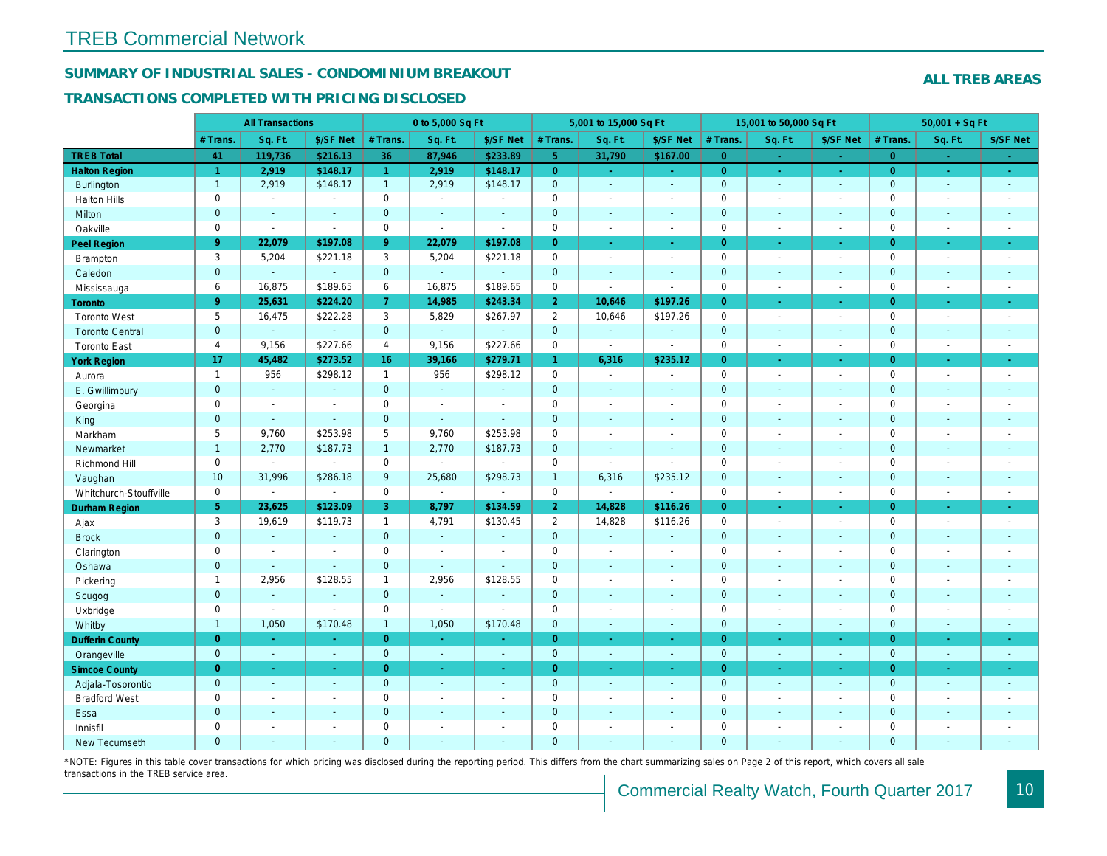## SUMMARY OF INDUSTRIAL SALES - CONDOMINIUM BREAKOUT

#### TRANSACTIONS COMPLETED WITH PRICING DISCLOSED

|                        |                     | <b>All Transactions</b> |                       |                | 0 to 5,000 Sq Ft |                          |                | 5,001 to 15,000 Sq Ft    |                          |                | 15,001 to 50,000 Sq Ft |                  |
|------------------------|---------------------|-------------------------|-----------------------|----------------|------------------|--------------------------|----------------|--------------------------|--------------------------|----------------|------------------------|------------------|
|                        | # Trans.            | Sq. Ft.                 | \$/SF Net             | # Trans.       | Sq. Ft.          | \$/SF Net                | # Trans.       | Sq. Ft.                  | \$/SF Net                | # Trans.       | Sq. Ft.                | \$/SF Ne         |
| <b>TREB Total</b>      | 41                  | 119,736                 | \$216.13              | 36             | 87,946           | \$233.89                 | 5 <sup>1</sup> | 31,790                   | \$167.00                 | $\overline{0}$ | a.                     | $\sim$           |
| <b>Halton Region</b>   | $\overline{1}$      | 2,919                   | \$148.17              | $\mathbf{1}$   | 2,919            | \$148.17                 | $\overline{0}$ | $\omega_{\rm c}$         | $\omega_{\rm c}$         | $\overline{0}$ | $\bullet$              | $\sim$           |
| <b>Burlington</b>      | $\mathbf{1}$        | 2,919                   | \$148.17              | $\mathbf{1}$   | 2,919            | \$148.17                 | $\mathbf{0}$   | $\omega$                 | $\blacksquare$           | $\mathbf 0$    | $\blacksquare$         | $\bullet$        |
| <b>Halton Hills</b>    | $\mathbf 0$         | $\blacksquare$          | $\blacksquare$        | $\mathbf 0$    | $\sim$           |                          | $\mathbf 0$    | $\blacksquare$           | $\blacksquare$           | $\mathbf 0$    | ÷,                     | $\blacksquare$   |
| Milton                 | $\mathbf{0}$        | $\blacksquare$          | $\blacksquare$        | $\mathbf{0}$   | $\sim$           | $\blacksquare$           | $\pmb{0}$      | $\blacksquare$           | $\blacksquare$           | $\mathbf{0}$   | $\blacksquare$         | $\sim$           |
| Oakville               | $\mathbf 0$         | $\blacksquare$          | $\blacksquare$        | $\mathbf 0$    | $\blacksquare$   | $\sim$                   | 0              | $\blacksquare$           | $\sim$                   | $\mathbf 0$    | $\blacksquare$         | $\sim$           |
| Peel Region            | 9 <sup>°</sup>      | 22,079                  | \$197.08              | 9              | 22,079           | \$197.08                 | $\overline{0}$ | $\sim$                   | $\blacksquare$           | $\overline{0}$ | ×.                     | $\sim$           |
| Brampton               | 3                   | 5,204                   | \$221.18              | 3              | 5,204            | \$221.18                 | $\mathbf 0$    | $\overline{\phantom{a}}$ | $\blacksquare$           | $\mathbf 0$    | $\blacksquare$         | $\sim$           |
| Caledon                | $\mathbf{0}$        | $\blacksquare$          | $\blacksquare$        | $\mathbf{0}$   | $\omega$         | $\sim$                   | $\pmb{0}$      | $\omega$                 | $\blacksquare$           | $\mathbf 0$    | $\blacksquare$         | $\sim$           |
| Mississauga            | 6                   | 16,875                  | \$189.65              | 6              | 16,875           | \$189.65                 | 0              | $\overline{a}$           | $\blacksquare$           | $\mathbf 0$    | $\sim$                 | $\sim$           |
| <b>Toronto</b>         | 9 <sup>°</sup>      | 25,631                  | \$224.20              | $\overline{7}$ | 14,985           | \$243.34                 | 2 <sup>1</sup> | 10,646                   | \$197.26                 | $\Omega$       | ÷.                     | $\omega_{\rm c}$ |
| <b>Toronto West</b>    | 5                   | 16,475                  | \$222.28              | 3              | 5,829            | \$267.97                 | $\overline{2}$ | 10,646                   | \$197.26                 | $\mathbf 0$    | $\blacksquare$         | $\sim$           |
| <b>Toronto Central</b> | $\mathbf{0}$        | $\omega$                | $\sim$                | $\mathbf{0}$   | $\omega$         |                          | $\mathbf 0$    | $\omega$                 | $\blacksquare$           | $\mathbf 0$    | $\blacksquare$         | $\blacksquare$   |
| <b>Toronto East</b>    | 4                   | 9,156                   | \$227.66              | $\overline{4}$ | 9,156            | \$227.66                 | $\pmb{0}$      | $\blacksquare$           | $\blacksquare$           | $\mathbf 0$    | $\sim$                 | $\sim$           |
| <b>York Region</b>     | 17                  | 45,482                  | \$273.52              | 16             | 39,166           | \$279.71                 | $\mathbf{1}$   | 6,316                    | \$235.12                 | $\overline{0}$ | $\blacksquare$         | $\bullet$ .      |
| Aurora                 | $\mathbf{1}$        | 956                     | \$298.12              | $\mathbf{1}$   | 956              | \$298.12                 | 0              | $\sim$                   | $\blacksquare$           | $\mathbf 0$    | $\blacksquare$         | $\sim$           |
| E. Gwillimbury         | $\mathbf{0}$        | $\omega$                | $\omega$              | $\mathbf{0}$   | $\omega$         | $\sim$                   | $\mathbf 0$    | $\blacksquare$           | $\blacksquare$           | $\mathbf{0}$   | $\blacksquare$         | $\blacksquare$   |
| Georgina               | $\mathbf 0$         | $\blacksquare$          | $\blacksquare$        | $\mathbf 0$    | $\blacksquare$   | $\sim$                   | $\pmb{0}$      | $\overline{\phantom{a}}$ | $\blacksquare$           | $\mathbf 0$    | $\sim$                 | $\blacksquare$   |
| King                   | $\overline{0}$      | $\sim$                  | $\sim$                | $\mathbf{0}$   | $\sim$           | $\overline{\phantom{a}}$ | $\mathbf 0$    | $\sim$                   | $\blacksquare$           | $\mathbf 0$    | $\blacksquare$         | $\sim$           |
| Markham                | 5                   | 9,760                   | \$253.98              | 5              | 9,760            | \$253.98                 | $\mathbf 0$    | $\blacksquare$           | $\blacksquare$           | $\mathbf 0$    | $\blacksquare$         | $\blacksquare$   |
| Newmarket              | $\mathbf{1}$        | 2,770                   | \$187.73              | $\mathbf{1}$   | 2,770            | \$187.73                 | $\mathbf{0}$   | $\blacksquare$           | $\blacksquare$           | $\mathbf{0}$   | ÷.                     | $\sim$           |
| Richmond Hill          | $\mathbf 0$         | $\tilde{\phantom{a}}$   | $\blacksquare$        | 0              | $\sim$           |                          | $\mathbf 0$    | $\blacksquare$           | $\blacksquare$           | $\mathbf 0$    | $\sim$                 | $\blacksquare$   |
| Vaughan                | 10                  | 31,996                  | \$286.18              | 9              | 25,680           | \$298.73                 | $\mathbf{1}$   | 6,316                    | \$235.12                 | $\mathbf{0}$   | ä,                     | $\sim$           |
| Whitchurch-Stouffville | $\mathbf 0$         | $\mathbf{r}$            | $\blacksquare$        | $\mathbf 0$    | $\mathbf{r}$     | $\sim$                   | $\mathbf 0$    | ä,                       | $\sim$                   | $\mathbf 0$    | ÷,                     | $\sim$           |
| Durham Region          | 5 <sup>5</sup>      | 23,625                  | \$123.09              | 3              | 8,797            | \$134.59                 | 2 <sup>1</sup> | 14,828                   | \$116.26                 | $\overline{0}$ | $\blacksquare$         | $\sigma_{\rm c}$ |
| Ajax                   | 3                   | 19,619                  | \$119.73              | $\mathbf{1}$   | 4,791            | \$130.45                 | $\overline{2}$ | 14,828                   | \$116.26                 | $\mathbf 0$    | $\blacksquare$         | $\sim$           |
| <b>Brock</b>           | $\overline{0}$      | $\sim$                  | $\sim$                | $\overline{0}$ | $\omega$         |                          | $\mathbf{0}$   | $\omega$                 | $\blacksquare$           | $\mathbf{0}$   | $\blacksquare$         | $\blacksquare$   |
| Clarington             | $\mathsf{O}\xspace$ | $\tilde{\phantom{a}}$   | $\tilde{\phantom{a}}$ | $\mathbf 0$    | $\blacksquare$   |                          | $\pmb{0}$      | $\overline{a}$           | $\blacksquare$           | $\mathbf 0$    | ÷,                     | $\blacksquare$   |
| Oshawa                 | $\mathbf{0}$        | $\blacksquare$          | $\blacksquare$        | $\mathbf{0}$   | $\sim$           | $\blacksquare$           | $\mathbf 0$    | $\blacksquare$           | $\blacksquare$           | $\mathbf{0}$   | $\blacksquare$         | $\blacksquare$   |
| Pickering              | $\mathbf{1}$        | 2,956                   | \$128.55              | $\mathbf{1}$   | 2,956            | \$128.55                 | $\pmb{0}$      | $\blacksquare$           | $\blacksquare$           | $\mathbf 0$    | ÷,                     | $\blacksquare$   |
| Scugog                 | $\overline{0}$      | $\blacksquare$          | $\blacksquare$        | $\mathbf{0}$   | $\omega$         | $\blacksquare$           | $\mathbf 0$    | $\omega$                 | $\blacksquare$           | $\mathbf{0}$   | $\omega$               | $\blacksquare$   |
| Uxbridge               | $\mathbf 0$         | $\blacksquare$          | $\blacksquare$        | $\mathbf 0$    | $\blacksquare$   |                          | $\mathbf 0$    | $\blacksquare$           | $\overline{\phantom{a}}$ | $\mathbf 0$    | ÷,                     | $\blacksquare$   |
| Whitby                 | $\mathbf{1}$        | 1,050                   | \$170.48              | $\mathbf{1}$   | 1,050            | \$170.48                 | $\mathbf{0}$   | $\blacksquare$           | $\blacksquare$           | $\mathbf{0}$   | $\blacksquare$         | $\sim$           |
| <b>Dufferin County</b> | $\overline{0}$      | $\sim$                  | $\sim$                | $\overline{0}$ | i.               | $\sim$                   | $\overline{0}$ | $\blacksquare$           | ×.                       | $\overline{0}$ | ×.                     | $\sim$           |
| Orangeville            | $\mathbf{0}$        | $\omega$                | $\omega$              | $\mathbf 0$    | $\omega$         | $\omega$                 | $\mathbf{0}$   | $\omega$                 | $\omega$                 | $\mathbf 0$    | $\omega$               | $\omega_{\rm c}$ |
| <b>Simcoe County</b>   | $\overline{0}$      | $\omega$                | $\omega$              | $\overline{0}$ | $\omega$         | $\omega$                 | $\overline{0}$ | ä,                       | $\omega$                 | $\overline{0}$ | $\blacksquare$         | $\sigma_{\rm c}$ |
| Adjala-Tosorontio      | $\mathbf{0}$        | $\sim$                  | $\sim$                | $\mathbf{0}$   | $\sim$           | $\sim$                   | $\mathbf 0$    | $\Delta$                 | $\blacksquare$           | $\mathbf 0$    | $\blacksquare$         | $\sim$           |
| <b>Bradford West</b>   | $\mathbf 0$         | $\blacksquare$          | $\omega$              | $\mathbf 0$    | $\sim$           | $\sim$                   | $\pmb{0}$      | $\blacksquare$           | $\blacksquare$           | $\mathbf 0$    | $\overline{a}$         | $\blacksquare$   |
| Essa                   | $\mathbf{0}$        | $\sim$                  | $\sim$                | $\mathbf{0}$   |                  | $\sim$                   | $\pmb{0}$      | $\blacksquare$           | $\blacksquare$           | $\mathbf 0$    | $\blacksquare$         |                  |
| Innisfil               | $\mathbf 0$         | $\blacksquare$          | $\blacksquare$        | $\mathbf 0$    | $\sim$           | $\sim$                   | $\pmb{0}$      | $\blacksquare$           | $\blacksquare$           | $\mathbf 0$    | $\blacksquare$         | $\blacksquare$   |
| <b>New Tecumseth</b>   | $\Omega$            |                         |                       | $\Omega$       |                  |                          | $\Omega$       |                          |                          | $\Omega$       |                        |                  |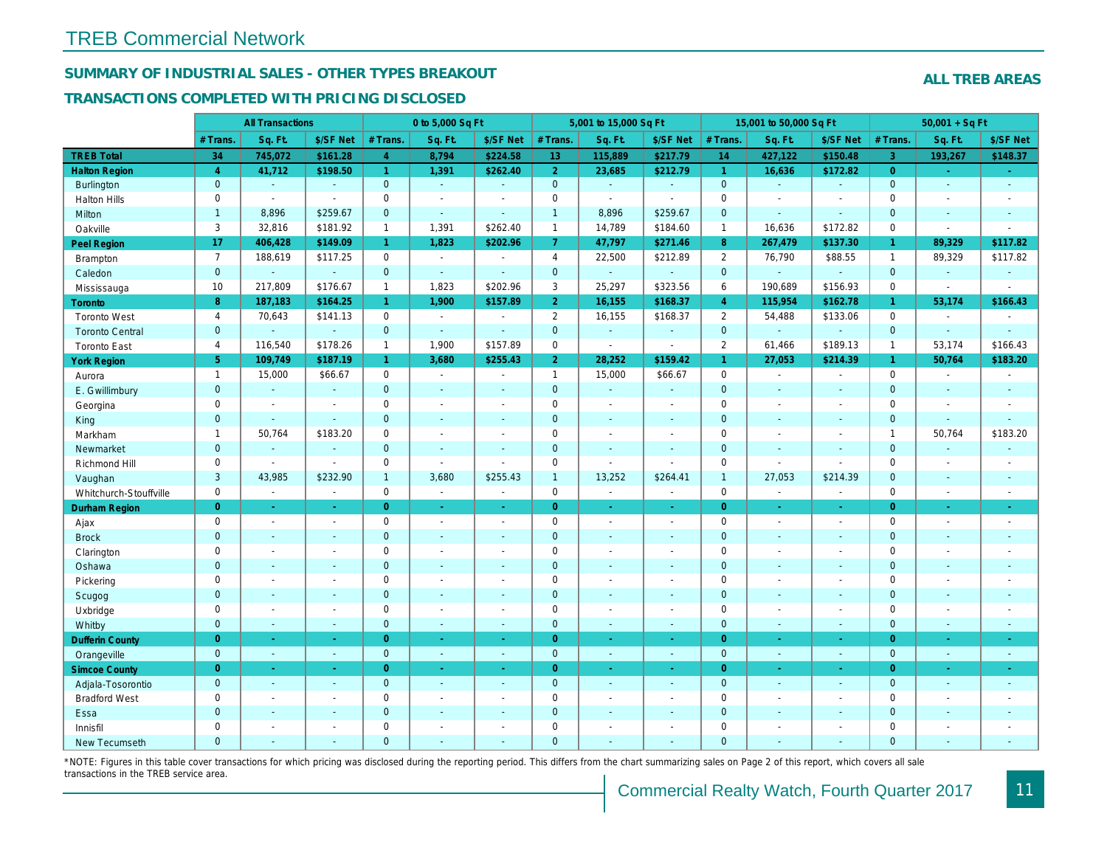## SUMMARY OF INDUSTRIAL SALES - OTHER TYPES BREAKOUT

#### TRANSACTIONS COMPLETED WITH PRICING DISCLOSED

|                        |                | <b>All Transactions</b> |                          |                | 0 to 5,000 Sq Ft         |                          |                | 5,001 to 15,000 Sq Ft |                          |                      | 15,001 to 50,000 Sq Ft |                          |
|------------------------|----------------|-------------------------|--------------------------|----------------|--------------------------|--------------------------|----------------|-----------------------|--------------------------|----------------------|------------------------|--------------------------|
|                        | # Trans        | Sq. Ft.                 | \$/SF Net                | # Trans.       | Sq. Ft.                  | \$/SF Net                | # Trans.       | Sq. Ft.               | \$/SF Net                | # Trans.             | Sq. Ft.                | \$/SF Ne                 |
| <b>TREB Total</b>      | 34             | 745,072                 | \$161.28                 | $\overline{4}$ | 8,794                    | \$224.58                 | 13             | 115,889               | \$217.79                 | 14                   | 427,122                | \$150.48                 |
| <b>Halton Region</b>   | $\overline{4}$ | 41,712                  | \$198.50                 | $\mathbf{1}$   | 1,391                    | \$262.40                 | 2 <sup>1</sup> | 23,685                | \$212.79                 | $\blacktriangleleft$ | 16,636                 | \$172.82                 |
| <b>Burlington</b>      | $\mathbf{0}$   | $\omega$                | $\omega$                 | $\mathbf 0$    | $\omega$                 | $\omega$                 | $\mathbf{0}$   | $\omega$              | $\omega$                 | $\mathbf{0}$         | $\omega$               | $\omega$                 |
| <b>Halton Hills</b>    | $\mathbf 0$    | $\sim$                  | $\sim$                   | $\mathbf 0$    | $\sim$                   | $\overline{\phantom{a}}$ | $\mathbf 0$    | $\sim$                | $\sim$                   | $\mathbf 0$          | L,                     | $\sim$                   |
| Milton                 | $\mathbf{1}$   | 8,896                   | \$259.67                 | $\overline{0}$ | $\omega$                 | $\sim$                   | $\mathbf{1}$   | 8,896                 | \$259.67                 | $\overline{0}$       | $\omega$               | $\blacksquare$           |
| Oakville               | 3              | 32,816                  | \$181.92                 | $\mathbf{1}$   | 1,391                    | \$262.40                 | $\mathbf{1}$   | 14,789                | \$184.60                 | $\mathbf{1}$         | 16,636                 | \$172.82                 |
| Peel Region            | 17             | 406,428                 | \$149.09                 | $\mathbf{1}$   | 1,823                    | \$202.96                 | $\mathbf{7}$   | 47,797                | \$271.46                 | 8                    | 267,479                | \$137.30                 |
| <b>Brampton</b>        | $\overline{7}$ | 188,619                 | \$117.25                 | 0              | $\blacksquare$           | $\overline{\phantom{a}}$ | $\overline{4}$ | 22,500                | \$212.89                 | 2                    | 76,790                 | \$88.55                  |
| Caledon                | $\mathbf{0}$   | $\mathbf{r}$            | $\omega$                 | $\mathbf 0$    | $\omega$                 | $\sim$                   | $\mathbf{0}$   | $\omega_{\rm c}$      | $\Delta$                 | $\mathbf{0}$         | $\omega$               | $\omega$                 |
| Mississauga            | 10             | 217,809                 | \$176.67                 | $\mathbf{1}$   | 1,823                    | \$202.96                 | 3              | 25,297                | \$323.56                 | 6                    | 190,689                | \$156.93                 |
| <b>Toronto</b>         | 8              | 187,183                 | \$164.25                 | $\mathbf{1}$   | 1,900                    | \$157.89                 | 2 <sup>1</sup> | 16,155                | \$168.37                 | $\overline{4}$       | 115,954                | \$162.7                  |
| <b>Toronto West</b>    | $\overline{4}$ | 70,643                  | \$141.13                 | $\mathbf 0$    | $\Delta$                 | $\sim$                   | $\overline{2}$ | 16,155                | \$168.37                 | 2                    | 54,488                 | \$133.06                 |
| <b>Toronto Central</b> | $\mathbf{0}$   |                         | $\blacksquare$           | $\mathbf 0$    | $\sim$                   | $\sim$                   | $\pmb{0}$      | $\blacksquare$        | $\blacksquare$           | $\mathbf{0}$         | $\omega$               | $\blacksquare$           |
| <b>Toronto East</b>    | $\overline{4}$ | 116,540                 | \$178.26                 | $\mathbf{1}$   | 1,900                    | \$157.89                 | $\mathbf 0$    | $\blacksquare$        | $\sim$                   | 2                    | 61,466                 | \$189.13                 |
| <b>York Region</b>     | 5 <sup>5</sup> | 109,749                 | \$187.19                 | $\mathbf{1}$   | 3,680                    | \$255.43                 | 2 <sup>1</sup> | 28,252                | \$159.42                 | $\overline{1}$       | 27,053                 | \$214.39                 |
| Aurora                 | $\mathbf{1}$   | 15,000                  | \$66.67                  | $\mathbf 0$    | $\sim$                   | $\blacksquare$           | $\mathbf{1}$   | 15,000                | \$66.67                  | $\mathbf 0$          | $\blacksquare$         | $\sim$                   |
| E. Gwillimbury         | $\mathbf{0}$   | $\omega$                | $\omega$                 | $\overline{0}$ | $\sim$                   | $\sim$                   | $\mathbf 0$    | ä,                    | $\blacksquare$           | $\mathbf{0}$         | ÷.                     | $\sim$                   |
| Georgina               | $\mathbf 0$    | $\sim$                  | $\blacksquare$           | 0              | $\sim$                   | $\overline{\phantom{a}}$ | $\mathbf 0$    | $\blacksquare$        | $\sim$                   | $\mathbf 0$          | $\sim$                 | $\sim$                   |
| King                   | $\overline{0}$ | $\mathbf{r}$            | $\mathbf{r}$             | $\overline{0}$ | $\sim$                   | $\sim$                   | $\overline{0}$ | $\sim$                | $\sim$                   | $\overline{0}$       | $\sim$                 | $\sim$                   |
| Markham                | $\mathbf{1}$   | 50,764                  | \$183.20                 | 0              | $\blacksquare$           |                          | $\mathbf 0$    | $\sim$                | $\tilde{\phantom{a}}$    | $\mathbf 0$          | ÷,                     | $\overline{\phantom{a}}$ |
| Newmarket              | $\mathbf{0}$   | $\sim$                  | $\omega$                 | $\overline{0}$ | $\sim$                   | $\sim$                   | $\mathbf 0$    | $\blacksquare$        | $\blacksquare$           | $\mathbf 0$          | $\blacksquare$         | $\blacksquare$           |
| Richmond Hill          | $\mathbf 0$    | $\sim$                  | $\sim$                   | 0              | $\omega$                 | $\blacksquare$           | $\mathbf 0$    | $\blacksquare$        | $\sim$                   | $\mathbf 0$          | $\sim$                 | $\blacksquare$           |
| Vaughan                | 3              | 43,985                  | \$232.90                 | $\mathbf{1}$   | 3,680                    | \$255.43                 | $\mathbf{1}$   | 13,252                | \$264.41                 | $\overline{1}$       | 27,053                 | \$214.39                 |
| Whitchurch-Stouffville | $\mathbf 0$    | $\blacksquare$          | $\blacksquare$           | $\mathbf 0$    | $\omega$                 | $\blacksquare$           | $\mathbf 0$    | $\blacksquare$        | $\omega$                 | $\mathbf 0$          | $\sim$                 | $\sim$                   |
| Durham Region          | $\overline{0}$ | $\blacksquare$          | $\blacksquare$           | $\overline{0}$ | $\sim$                   | $\sim$                   | $\overline{0}$ | $\bullet$             | $\bullet$ .              | $\overline{0}$       | $\blacksquare$         | $\sim$                   |
| Ajax                   | $\mathbf 0$    | $\sim$                  | $\blacksquare$           | $\mathbf 0$    | $\sim$                   | $\sim$                   | $\mathbf 0$    | $\blacksquare$        | $\sim$                   | $\mathbf 0$          | $\blacksquare$         | $\sim$                   |
| <b>Brock</b>           | $\mathbf{0}$   | $\omega$                | $\omega$                 | $\mathbf 0$    | $\sim$                   | $\sim$                   | $\pmb{0}$      | $\blacksquare$        | $\blacksquare$           | $\mathbf 0$          | $\omega$               | $\blacksquare$           |
| Clarington             | $\mathbf 0$    | $\sim$                  | $\blacksquare$           | $\mathbf 0$    | $\sim$                   | $\sim$                   | $\mathbf 0$    | $\sim$                | $\blacksquare$           | $\mathbf 0$          | ÷,                     | $\blacksquare$           |
| Oshawa                 | $\mathbf 0$    |                         | $\overline{\phantom{a}}$ | $\overline{0}$ |                          | $\sim$                   | $\mathbf 0$    | $\blacksquare$        | $\overline{\phantom{a}}$ | $\mathbf 0$          | $\blacksquare$         | $\sim$                   |
| Pickering              | 0              | $\blacksquare$          | $\blacksquare$           | $\mathbf 0$    | $\blacksquare$           | $\overline{\phantom{a}}$ | $\mathbf 0$    | $\blacksquare$        | $\blacksquare$           | $\mathbf 0$          | $\blacksquare$         | $\blacksquare$           |
| Scugog                 | $\mathbf{0}$   | $\blacksquare$          | $\blacksquare$           | $\mathbf 0$    |                          |                          | $\mathbf 0$    | $\sim$                | $\sim$                   | $\mathbf 0$          | ä,                     | $\blacksquare$           |
| Uxbridge               | 0              | $\blacksquare$          | $\blacksquare$           | 0              | $\blacksquare$           | $\blacksquare$           | $\mathbf 0$    | $\sim$                | $\tilde{\phantom{a}}$    | $\mathbf 0$          | $\sim$                 | $\blacksquare$           |
| Whitby                 | $\mathbf{0}$   | $\sim$                  | $\blacksquare$           | $\overline{0}$ | $\sim$                   | $\sim$                   | $\mathbf 0$    | $\sim$                | $\sim$                   | $\mathbf{0}$         | $\blacksquare$         | $\blacksquare$           |
| <b>Dufferin County</b> | $\overline{0}$ | $\omega$                | $\omega$                 | $\overline{0}$ | $\sim$                   | $\sim$                   | $\overline{0}$ | $\omega$              | $\omega$                 | $\overline{0}$       | $\blacksquare$         | $\sim$                   |
| Orangeville            | $\mathbf{0}$   | $\sim$                  | $\sim$                   | $\overline{0}$ | $\omega$                 | $\blacksquare$           | $\mathbf 0$    | $\sim$                | $\sim$                   | $\mathbf{0}$         | $\blacksquare$         | $\sim$                   |
| <b>Simcoe County</b>   | $\overline{0}$ | $\sim$                  | $\sim$                   | $\overline{0}$ | $\sim$                   | $\sim$                   | $\overline{0}$ | $\omega$              | $\omega$                 | $\overline{0}$       | $\blacksquare$         | $\bullet$ .              |
| Adjala-Tosorontio      | $\mathbf{0}$   | $\omega$                | $\omega$                 | $\mathbf 0$    | $\omega$                 | $\sim$                   | $\mathbf{0}$   | $\sim$                | $\sim$                   | $\mathbf{0}$         | $\mathbf{r}$           | $\sim$                   |
| <b>Bradford West</b>   | 0              | $\sim$                  | $\blacksquare$           | 0              | $\sim$                   | $\overline{\phantom{a}}$ | $\mathbf 0$    | $\sim$                | $\blacksquare$           | $\mathbf 0$          | L,                     | $\blacksquare$           |
| Essa                   | $\mathbf{0}$   | $\blacksquare$          | ÷.                       | $\overline{0}$ | $\sim$                   | $\sim$                   | $\mathbf 0$    | $\sim$                | $\blacksquare$           | $\mathbf 0$          | ä,                     | $\overline{\phantom{a}}$ |
| Innisfil               | 0              | $\blacksquare$          | $\ddot{\phantom{0}}$     | 0              | $\overline{\phantom{a}}$ |                          | $\mathbf 0$    | $\blacksquare$        | $\blacksquare$           | $\mathbf 0$          | $\overline{a}$         | $\overline{\phantom{a}}$ |
| New Tecumseth          | $\Omega$       | $\blacksquare$          |                          | $\overline{0}$ | $\mathbf{r}$             |                          | $\overline{0}$ | ä,                    | ä,                       | $\overline{0}$       | ÷,                     |                          |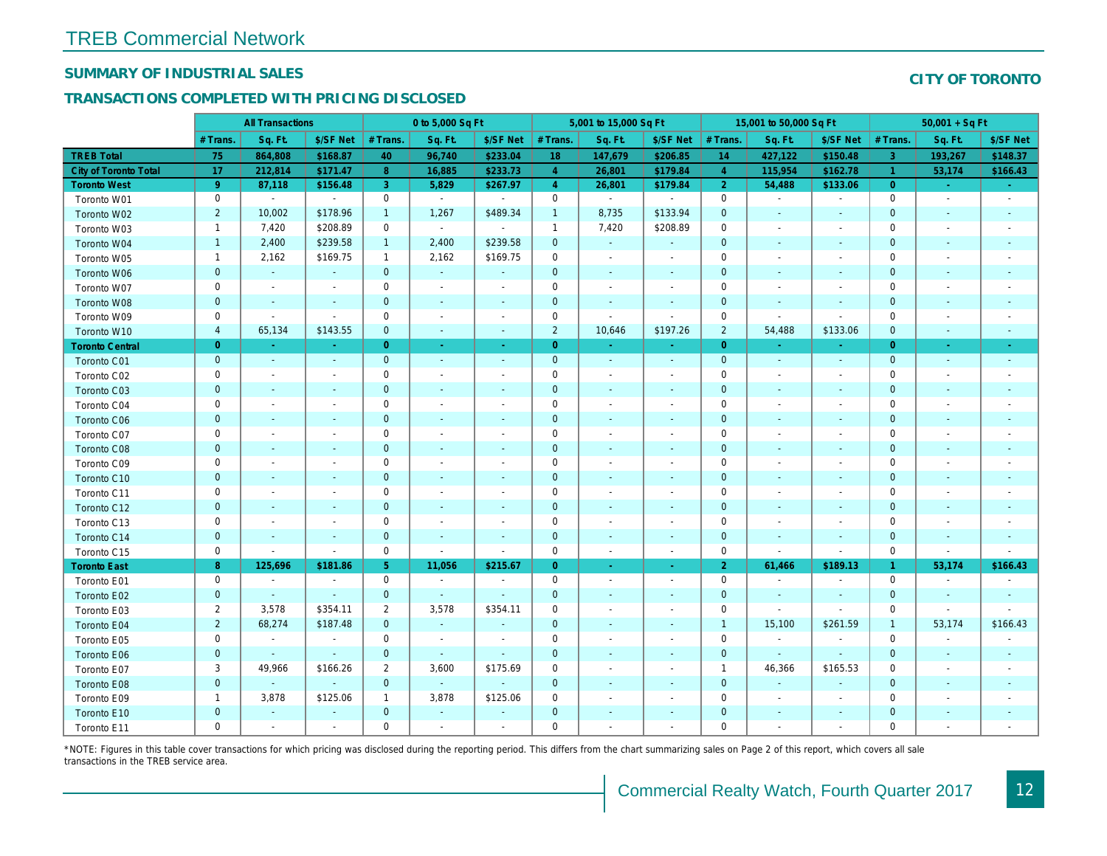## SUMMARY OF INDUSTRIAL SALES

## TRANSACTIONS COMPLETED WITH PRICING DISCLOSED

|                              |                | <b>All Transactions</b>  |                          |                | 0 to 5,000 Sq Ft |                          |                | 5,001 to 15,000 Sq Ft    |                          |                | 15,001 to 50,000 Sq Ft   |                          |
|------------------------------|----------------|--------------------------|--------------------------|----------------|------------------|--------------------------|----------------|--------------------------|--------------------------|----------------|--------------------------|--------------------------|
|                              | # Trans        | Sq. Ft.                  | \$/SF Net                | # Trans.       | Sq. Ft.          | \$/SF Net                | # Trans.       | Sq. Ft.                  | \$/SF Net                | # Trans.       | Sq. Ft.                  | \$/SF Ne                 |
| <b>TREB Total</b>            | 75             | 864,808                  | \$168.87                 | 40             | 96,740           | \$233.04                 | 18             | 147,679                  | \$206.85                 | 14             | 427,122                  | \$150.48                 |
| <b>City of Toronto Total</b> | 17             | 212,814                  | \$171.47                 | 8              | 16,885           | \$233.73                 | $\overline{4}$ | 26,801                   | \$179.84                 | $\overline{4}$ | 115,954                  | \$162.7                  |
| <b>Toronto West</b>          | 9 <sup>°</sup> | 87,118                   | \$156.48                 | 3              | 5,829            | \$267.97                 | $\overline{4}$ | 26,801                   | \$179.84                 | $\overline{2}$ | 54,488                   | \$133.0                  |
| Toronto W01                  | 0              | $\blacksquare$           | $\blacksquare$           | 0              | $\sim$           | $\sim$                   | $\mathbf 0$    | $\blacksquare$           | $\sim$                   | $\mathbf 0$    | $\blacksquare$           | $\sim$                   |
| Toronto W02                  | $\overline{2}$ | 10,002                   | \$178.96                 | $\mathbf{1}$   | 1,267            | \$489.34                 | $\mathbf{1}$   | 8,735                    | \$133.94                 | $\mathbf 0$    | $\blacksquare$           | $\blacksquare$           |
| Toronto W03                  | $\mathbf{1}$   | 7,420                    | \$208.89                 | $\mathbf 0$    | $\sim$           | $\sim$                   | $\mathbf{1}$   | 7,420                    | \$208.89                 | $\mathbf 0$    | $\blacksquare$           | $\blacksquare$           |
| Toronto W04                  | $\mathbf{1}$   | 2,400                    | \$239.58                 | $\mathbf{1}$   | 2,400            | \$239.58                 | $\mathbf 0$    | $\omega$                 | $\omega$                 | $\mathbf{0}$   | $\blacksquare$           | $\blacksquare$           |
| Toronto W05                  | $\mathbf{1}$   | 2,162                    | \$169.75                 | $\mathbf{1}$   | 2,162            | \$169.75                 | $\mathbf 0$    | $\blacksquare$           | $\blacksquare$           | 0              | $\blacksquare$           | $\blacksquare$           |
| Toronto W06                  | $\mathbf 0$    | $\sim$                   | $\sim$                   | $\mathbf 0$    | $\sim$           | $\blacksquare$           | $\mathbf 0$    | $\blacksquare$           | $\blacksquare$           | $\mathbf 0$    | $\blacksquare$           | ٠                        |
| Toronto W07                  | $\mathbf 0$    | $\sim$                   | $\sim$                   | $\mathbf 0$    | $\sim$           | $\blacksquare$           | $\mathbf 0$    | $\blacksquare$           | $\blacksquare$           | $\mathbf 0$    | $\blacksquare$           | $\overline{\phantom{a}}$ |
| Toronto W08                  | $\mathbf{0}$   | $\overline{\phantom{a}}$ | $\sim$                   | $\mathbf 0$    | $\sim$           | $\blacksquare$           | $\mathbf 0$    | $\omega$                 | $\omega$                 | $\mathbf{0}$   | $\sim$                   |                          |
| Toronto W09                  | 0              | $\blacksquare$           | $\blacksquare$           | $\mathbf 0$    | $\sim$           | $\blacksquare$           | $\mathbf 0$    | $\blacksquare$           | $\blacksquare$           | 0              | $\blacksquare$           | $\blacksquare$           |
| Toronto W10                  | $\overline{4}$ | 65,134                   | \$143.55                 | $\mathbf 0$    | $\blacksquare$   | $\sim$                   | $\overline{2}$ | 10,646                   | \$197.26                 | $\overline{2}$ | 54,488                   | \$133.06                 |
| <b>Toronto Central</b>       | $\overline{0}$ | $\omega$                 | $\sim$                   | $\overline{0}$ | $\sim$           | $\omega$                 | $\overline{0}$ | $\Delta \tau$            | ÷.                       | $\overline{0}$ | $\sim$                   | $\sim$                   |
| Toronto C01                  | $\mathbf{0}$   | $\blacksquare$           | $\sim$                   | $\mathbf{0}$   | $\omega$         | $\sim$                   | $\mathbf 0$    | $\omega$                 | $\sim$                   | $\mathbf 0$    | $\omega$                 | $\sim$                   |
| Toronto C02                  | 0              | $\overline{\phantom{a}}$ | $\sim$                   | 0              | $\blacksquare$   | $\overline{\phantom{a}}$ | $\mathbf 0$    | $\blacksquare$           | $\overline{\phantom{a}}$ | $\mathbf 0$    | $\blacksquare$           | $\blacksquare$           |
| Toronto C03                  | $\mathbf 0$    | $\blacksquare$           | $\sim$                   | $\mathbf 0$    | $\blacksquare$   | $\blacksquare$           | $\mathbf 0$    | ٠                        | $\blacksquare$           | $\mathbf 0$    | $\blacksquare$           | $\blacksquare$           |
| Toronto C04                  | 0              | $\overline{\phantom{a}}$ |                          | $\mathbf 0$    | $\blacksquare$   | $\blacksquare$           | $\mathbf 0$    | $\blacksquare$           | $\blacksquare$           | $\mathbf 0$    | $\sim$                   | $\blacksquare$           |
| Toronto C06                  | $\pmb{0}$      | $\sim$                   | $\sim$                   | $\mathbf 0$    | $\blacksquare$   | $\blacksquare$           | $\mathbf 0$    | $\blacksquare$           | $\blacksquare$           | $\mathbf{0}$   | $\blacksquare$           | $\blacksquare$           |
| Toronto C07                  | 0              | $\overline{\phantom{a}}$ | $\overline{\phantom{a}}$ | $\mathbf 0$    | $\blacksquare$   | $\blacksquare$           | $\mathbf 0$    | $\blacksquare$           | $\blacksquare$           | $\mathbf 0$    | $\blacksquare$           | $\blacksquare$           |
| Toronto C08                  | $\mathbf{0}$   | $\blacksquare$           | $\blacksquare$           | $\mathbf{0}$   | $\frac{1}{2}$    | $\blacksquare$           | $\mathbf{0}$   |                          | ٠                        | $\mathbf{0}$   | $\blacksquare$           | $\blacksquare$           |
| Toronto C09                  | $\mathbf 0$    |                          |                          | $\mathbf 0$    | $\sim$           | $\blacksquare$           | $\mathbf 0$    |                          | $\sim$                   | $\mathbf 0$    | J.                       |                          |
| Toronto C10                  | $\mathbf{0}$   | $\sim$                   |                          | $\mathbf 0$    | $\blacksquare$   | $\blacksquare$           | $\mathbf 0$    | $\blacksquare$           | $\blacksquare$           | $\mathbf{0}$   | $\blacksquare$           | $\blacksquare$           |
| Toronto C11                  | 0              | $\blacksquare$           |                          | $\mathbf 0$    | $\blacksquare$   | $\blacksquare$           | $\mathbf 0$    | $\overline{\phantom{a}}$ | $\overline{\phantom{a}}$ | $\mathbf 0$    | $\blacksquare$           | $\overline{\phantom{a}}$ |
| Toronto C12                  | $\mathbf{0}$   | $\sim$                   | $\sim$                   | $\mathbf{0}$   | $\sim$           | $\sim$                   | $\mathbf{0}$   | $\sim$                   | $\sim$                   | $\mathbf{0}$   | $\sim$                   | $\sim$                   |
| Toronto C13                  | 0              | $\sim$                   | $\overline{\phantom{a}}$ | $\mathbf 0$    | $\sim$           | $\blacksquare$           | $\mathbf 0$    | $\sim$                   | $\sim$                   | 0              | $\blacksquare$           | $\overline{\phantom{a}}$ |
| Toronto C14                  | $\mathbf{0}$   | $\sim$                   | $\sim$                   | $\mathbf 0$    | $\sim$           | $\blacksquare$           | $\mathbf 0$    | $\sim$                   | $\sim$                   | $\mathbf{0}$   | $\omega$                 | $\sim$                   |
| Toronto C15                  | 0              | $\blacksquare$           | $\blacksquare$           | $\mathbf 0$    | $\blacksquare$   | $\blacksquare$           | $\mathbf 0$    | $\blacksquare$           | $\blacksquare$           | $\mathbf 0$    | $\blacksquare$           | $\blacksquare$           |
| <b>Toronto East</b>          | 8              | 125,696                  | \$181.86                 | 5 <sup>1</sup> | 11,056           | \$215.67                 | $\overline{0}$ | $\omega$                 | $\sim$                   | $\overline{2}$ | 61,466                   | \$189.1                  |
| Toronto E01                  | 0              | $\sim$                   | $\sim$                   | $\mathbf 0$    | $\omega$         | $\blacksquare$           | $\mathbf 0$    | $\sim$                   | $\blacksquare$           | $\mathbf 0$    | $\blacksquare$           | $\sim$                   |
| Toronto E02                  | $\mathbf 0$    | $\sim$                   | $\sim$                   | $\mathbf{0}$   | $\sim$           | $\blacksquare$           | $\mathbf 0$    | $\sim$                   | $\sim$                   | $\mathbf{0}$   | $\sim$                   | $\sim$                   |
| Toronto E03                  | $\overline{2}$ | 3,578                    | \$354.11                 | $\overline{2}$ | 3,578            | \$354.11                 | $\mathbf 0$    | $\blacksquare$           | $\blacksquare$           | 0              | $\omega$                 | $\overline{\phantom{a}}$ |
| Toronto E04                  | $\overline{2}$ | 68,274                   | \$187.48                 | $\mathbf{0}$   | $\sim$           | $\blacksquare$           | $\mathbf 0$    | $\omega$                 | $\sim$                   | $\overline{1}$ | 15,100                   | \$261.59                 |
| Toronto E05                  | 0              | $\blacksquare$           | $\blacksquare$           | $\mathbf 0$    | $\blacksquare$   | $\blacksquare$           | $\mathbf 0$    | $\blacksquare$           | $\blacksquare$           | $\mathbf 0$    | $\blacksquare$           | $\blacksquare$           |
| Toronto E06                  | $\mathbf{0}$   |                          | $\sim$                   | $\mathbf{0}$   | $\sim$           | $\blacksquare$           | $\mathbf 0$    | ٠                        | ٠                        | $\mathbf{0}$   | $\blacksquare$           | $\blacksquare$           |
| Toronto E07                  | 3              | 49,966                   | \$166.26                 | $\overline{2}$ | 3,600            | \$175.69                 | 0              | $\blacksquare$           | $\blacksquare$           | $\overline{1}$ | 46,366                   | \$165.53                 |
| Toronto E08                  | $\mathbf{0}$   | $\omega$                 | $\omega$                 | $\mathbf{0}$   | $\omega$         | $\omega$                 | $\mathbf{0}$   |                          | $\omega$                 | $\mathbf{0}$   | $\omega$                 |                          |
| Toronto E09                  | $\mathbf{1}$   | 3,878                    | \$125.06                 | $\mathbf{1}$   | 3,878            | \$125.06                 | $\mathbf 0$    | $\sim$                   | $\blacksquare$           | $\mathbf 0$    | $\blacksquare$           | $\blacksquare$           |
| Toronto E10                  | $\mathbf 0$    |                          |                          | $\mathbf 0$    | $\sim$           | ÷,                       | $\mathbf 0$    |                          |                          | $\mathbf 0$    | $\overline{\phantom{a}}$ | $\overline{\phantom{a}}$ |
| Toronto E11                  | $\mathbf 0$    | $\blacksquare$           | $\blacksquare$           | $\mathbf 0$    | $\blacksquare$   | $\blacksquare$           | $\mathbf 0$    | $\blacksquare$           | $\blacksquare$           | $\mathbf 0$    | $\blacksquare$           | $\sim$                   |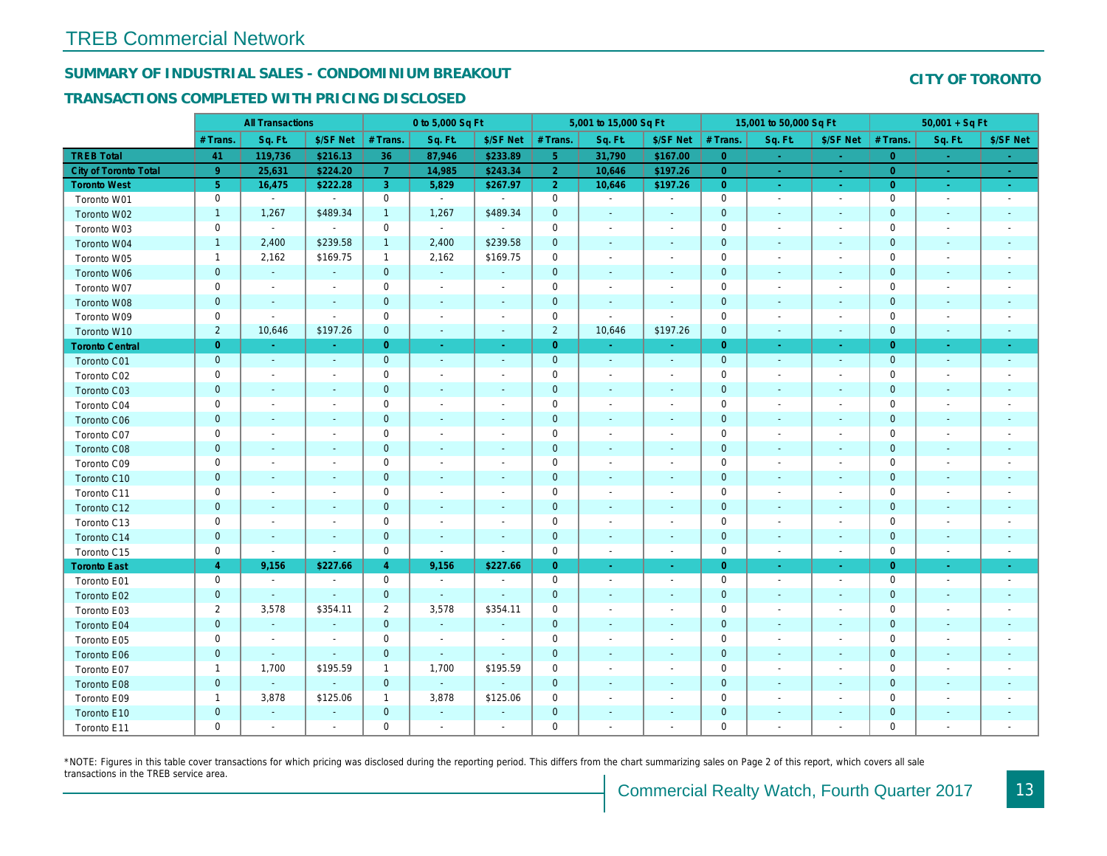## SUMMARY OF INDUSTRIAL SALES - CONDOMINIUM BREAKOUT

#### TRANSACTIONS COMPLETED WITH PRICING DISCLOSED

|                        |                | <b>All Transactions</b>  |                          |                | 0 to 5,000 Sq Ft |                          |                     | 5,001 to 15,000 Sq Ft    |                          |                | 15,001 to 50,000 Sq Ft   |                     |
|------------------------|----------------|--------------------------|--------------------------|----------------|------------------|--------------------------|---------------------|--------------------------|--------------------------|----------------|--------------------------|---------------------|
|                        | # Trans.       | Sq. Ft.                  | \$/SF Net                | # Trans.       | Sq. Ft.          | \$/SF Net                | # Trans.            | Sq. Ft.                  | \$/SF Net                | # Trans.       | Sq. Ft.                  | \$/SF Ne            |
| <b>TREB Total</b>      | 41             | 119,736                  | \$216.13                 | 36             | 87,946           | \$233.89                 | 5 <sub>5</sub>      | 31,790                   | \$167.00                 | $\overline{0}$ | $\sim$                   | $\sim$              |
| City of Toronto Total  | 9 <sup>°</sup> | 25,631                   | \$224.20                 | $\overline{7}$ | 14,985           | \$243.34                 | $\overline{2}$      | 10,646                   | \$197.26                 | $\overline{0}$ | $\sim$                   | $\sim$ $^{-1}$      |
| <b>Toronto West</b>    | 5 <sub>5</sub> | 16,475                   | \$222.28                 | 3 <sup>1</sup> | 5,829            | \$267.97                 | 2 <sup>1</sup>      | 10,646                   | \$197.26                 | $\overline{0}$ | $\sim$                   | $\sigma_{\rm{eff}}$ |
| Toronto W01            | 0              | $\blacksquare$           | $\blacksquare$           | $\mathbf 0$    | $\blacksquare$   |                          | $\mathbf 0$         | $\blacksquare$           | $\overline{\phantom{a}}$ | $\mathbf 0$    | $\blacksquare$           | $\sim$              |
| Toronto W02            | $\mathbf{1}$   | 1,267                    | \$489.34                 | $\mathbf{1}$   | 1,267            | \$489.34                 | $\mathbf 0$         | $\blacksquare$           | $\blacksquare$           | $\mathbf 0$    | $\blacksquare$           | $\blacksquare$      |
| Toronto W03            | 0              | $\blacksquare$           | $\blacksquare$           | $\mathbf 0$    | $\sim$           | $\blacksquare$           | $\mathbf 0$         | $\blacksquare$           | $\blacksquare$           | $\mathbf 0$    | $\blacksquare$           | $\blacksquare$      |
| Toronto W04            | $\mathbf{1}$   | 2,400                    | \$239.58                 | $\mathbf{1}$   | 2,400            | \$239.58                 | $\mathbf 0$         | $\blacksquare$           | $\blacksquare$           | $\mathbf{0}$   | $\blacksquare$           | $\blacksquare$      |
| Toronto W05            | $\mathbf{1}$   | 2,162                    | \$169.75                 | $\mathbf{1}$   | 2,162            | \$169.75                 | $\mathbf 0$         | $\blacksquare$           | $\blacksquare$           | $\mathbf 0$    | $\blacksquare$           | $\blacksquare$      |
| Toronto W06            | $\mathbf{0}$   | $\sim$                   |                          | $\mathbf 0$    | $\mathbf{r}$     |                          | $\mathbf 0$         | ä,                       |                          | $\mathbf 0$    | $\sim$                   |                     |
| Toronto W07            | 0              | $\sim$                   | $\overline{\phantom{a}}$ | $\mathbf 0$    | $\blacksquare$   | $\blacksquare$           | $\mathbf 0$         | $\blacksquare$           | $\blacksquare$           | $\mathbf 0$    | $\blacksquare$           | $\blacksquare$      |
| Toronto W08            | $\mathbf 0$    | $\blacksquare$           | $\blacksquare$           | $\pmb{0}$      | $\blacksquare$   | $\blacksquare$           | $\mathbf 0$         | $\blacksquare$           | $\overline{\phantom{a}}$ | $\mathbf 0$    | $\blacksquare$           | ٠                   |
| Toronto W09            | 0              | $\overline{\phantom{a}}$ | $\blacksquare$           | 0              | $\blacksquare$   | $\blacksquare$           | $\mathbf 0$         | $\blacksquare$           | $\blacksquare$           | 0              | $\blacksquare$           | $\blacksquare$      |
| Toronto W10            | $\overline{2}$ | 10,646                   | \$197.26                 | $\mathbf 0$    | $\omega$         | $\sim$                   | $\overline{2}$      | 10,646                   | \$197.26                 | $\mathbf 0$    | $\blacksquare$           | $\sim$              |
| <b>Toronto Central</b> | $\overline{0}$ | $\sim$                   | $\sim$                   | $\overline{0}$ | $\sim$           | $\sim$                   | $\overline{0}$      | ÷.                       | ÷.                       | $\overline{0}$ | $\sim$                   | $\sim$              |
| Toronto C01            | $\mathbf 0$    | $\sim$                   | $\sim$                   | $\mathbf 0$    | $\omega$         | $\blacksquare$           | $\mathbf 0$         | $\omega$                 | $\blacksquare$           | $\mathbf 0$    | $\omega$                 | $\blacksquare$      |
| Toronto C02            | 0              | $\overline{\phantom{a}}$ |                          | $\mathbf 0$    | $\blacksquare$   | $\blacksquare$           | $\mathbf 0$         | $\overline{a}$           | $\blacksquare$           | $\mathbf 0$    | ÷,                       | $\blacksquare$      |
| Toronto C03            | $\mathbf 0$    | $\overline{\phantom{a}}$ |                          | $\mathbf 0$    | $\blacksquare$   | $\blacksquare$           | $\mathbf 0$         | $\blacksquare$           | ٠                        | $\mathbf{0}$   | $\blacksquare$           | $\blacksquare$      |
| Toronto C04            | 0              | $\overline{\phantom{a}}$ |                          | $\mathbf 0$    | $\sim$           | $\blacksquare$           | $\mathbf 0$         | $\overline{a}$           | $\blacksquare$           | $\mathbf 0$    | $\overline{\phantom{a}}$ | $\blacksquare$      |
| Toronto C06            | $\mathbf 0$    | $\sim$                   | $\blacksquare$           | $\mathbf 0$    | $\sim$           | $\blacksquare$           | $\mathbf 0$         | $\blacksquare$           | $\blacksquare$           | $\mathbf 0$    | $\blacksquare$           | $\blacksquare$      |
| Toronto C07            | 0              | $\sim$                   |                          | $\mathsf 0$    | $\sim$           | $\blacksquare$           | $\mathsf{O}\xspace$ | $\blacksquare$           | $\blacksquare$           | $\mathbf 0$    | ÷,                       | $\blacksquare$      |
| Toronto C08            | $\mathbf 0$    | $\blacksquare$           | $\sim$                   | $\mathbf 0$    | $\blacksquare$   | $\blacksquare$           | $\mathbf 0$         | ٠                        | $\blacksquare$           | $\mathbf{0}$   | $\blacksquare$           | $\blacksquare$      |
| Toronto C09            | 0              | $\overline{\phantom{a}}$ |                          | $\mathbf 0$    | $\blacksquare$   |                          | $\mathbf 0$         | $\overline{a}$           | $\overline{a}$           | $\mathbf 0$    | $\overline{\phantom{a}}$ |                     |
| Toronto C10            | $\mathbf 0$    | $\sim$                   | $\sim$                   | $\mathbf 0$    | $\blacksquare$   | $\blacksquare$           | $\mathbf 0$         | $\blacksquare$           | $\blacksquare$           | $\mathbf{0}$   | $\blacksquare$           | $\blacksquare$      |
| Toronto C11            | 0              | $\blacksquare$           | $\overline{\phantom{a}}$ | $\mathsf 0$    | $\blacksquare$   | $\blacksquare$           | $\mathsf{O}\xspace$ | $\overline{a}$           | $\overline{a}$           | $\mathbf 0$    | $\blacksquare$           | $\blacksquare$      |
| Toronto C12            | $\mathbf 0$    | $\sim$                   | $\sim$                   | $\mathbf 0$    | $\blacksquare$   | $\blacksquare$           | $\mathbf 0$         | $\blacksquare$           | $\blacksquare$           | $\mathbf{0}$   | $\blacksquare$           | $\blacksquare$      |
| Toronto C13            | 0              | $\overline{\phantom{a}}$ | $\overline{\phantom{a}}$ | $\mathbf 0$    | $\blacksquare$   | $\overline{\phantom{a}}$ | $\mathbf 0$         | $\blacksquare$           | $\overline{a}$           | 0              | $\blacksquare$           | $\blacksquare$      |
| Toronto C14            | $\mathbf{0}$   | $\sim$                   | $\sim$                   | $\mathbf 0$    | $\sim$           | $\sim$                   | $\mathbf 0$         | $\sim$                   | $\sim$                   | $\mathbf 0$    | $\sim$                   | $\sim$              |
| Toronto C15            | 0              | $\blacksquare$           | $\blacksquare$           | $\mathsf 0$    | $\blacksquare$   | $\sim$                   | $\mathbf 0$         | $\blacksquare$           | $\blacksquare$           | $\mathbf 0$    | $\overline{\phantom{a}}$ | $\sim$              |
| <b>Toronto East</b>    | $\overline{4}$ | 9,156                    | \$227.66                 | $\overline{4}$ | 9,156            | \$227.66                 | $\overline{0}$      | $\omega$                 | $\omega_{\rm c}$         | $\overline{0}$ | $\bullet$                | $\sigma_{\rm c}$    |
| Toronto E01            | 0              | $\sim$                   | $\sim$                   | $\mathbf 0$    | $\sim$           | $\overline{\phantom{a}}$ | $\mathbf 0$         | $\sim$                   | $\blacksquare$           | $\mathbf 0$    | $\blacksquare$           | $\sim$              |
| Toronto E02            | $\mathbf 0$    | $\sim$                   | $\sim$                   | $\mathbf 0$    | $\Delta$         | $\sim$                   | $\mathbf 0$         | $\sim$                   | $\blacksquare$           | $\mathbf{0}$   | $\sim$                   | $\sim$              |
| Toronto E03            | $\overline{2}$ | 3,578                    | \$354.11                 | $\overline{2}$ | 3,578            | \$354.11                 | $\mathbf 0$         | $\overline{\phantom{a}}$ | $\blacksquare$           | 0              | $\blacksquare$           | $\blacksquare$      |
| Toronto E04            | $\mathbf 0$    | $\blacksquare$           | $\blacksquare$           | $\mathbf 0$    | $\omega$         | $\blacksquare$           | $\mathbf 0$         | $\blacksquare$           | $\blacksquare$           | $\mathbf{0}$   | $\blacksquare$           | $\blacksquare$      |
| Toronto E05            | 0              | $\blacksquare$           | $\blacksquare$           | $\mathbf 0$    | $\blacksquare$   | $\blacksquare$           | $\mathbf 0$         | $\blacksquare$           | $\blacksquare$           | $\mathbf 0$    | $\blacksquare$           | $\blacksquare$      |
| Toronto E06            | $\mathbf 0$    | $\blacksquare$           | $\sim$                   | $\mathbf 0$    | $\blacksquare$   | $\blacksquare$           | $\mathbf 0$         | $\overline{\phantom{a}}$ | $\sim$                   | $\mathbf{0}$   | $\blacksquare$           | $\blacksquare$      |
| Toronto E07            | $\mathbf{1}$   | 1,700                    | \$195.59                 | $\mathbf{1}$   | 1,700            | \$195.59                 | $\mathbf 0$         | $\blacksquare$           | $\blacksquare$           | $\mathbf 0$    | $\blacksquare$           | $\blacksquare$      |
| Toronto E08            | $\mathbf{0}$   | $\sim$                   | $\omega$                 | $\mathbf{0}$   | $\Delta$         | $\blacksquare$           | $\mathbf 0$         | $\sim$                   | $\blacksquare$           | $\mathbf{0}$   | $\sim$                   |                     |
| Toronto E09            | $\mathbf{1}$   | 3,878                    | \$125.06                 | $\mathbf{1}$   | 3,878            | \$125.06                 | $\mathbf 0$         | $\blacksquare$           | $\blacksquare$           | $\mathbf 0$    | $\blacksquare$           | $\blacksquare$      |
| Toronto E10            | $\mathbf 0$    | $\blacksquare$           |                          | $\mathbf 0$    | $\blacksquare$   |                          | $\mathbf 0$         | ٠                        |                          | $\mathbf 0$    | $\blacksquare$           |                     |
| Toronto E11            | 0              | $\blacksquare$           | $\overline{\phantom{a}}$ | $\mathbf 0$    | $\blacksquare$   | $\blacksquare$           | $\mathbf 0$         | $\blacksquare$           | $\blacksquare$           | $\mathbf 0$    | $\blacksquare$           | $\blacksquare$      |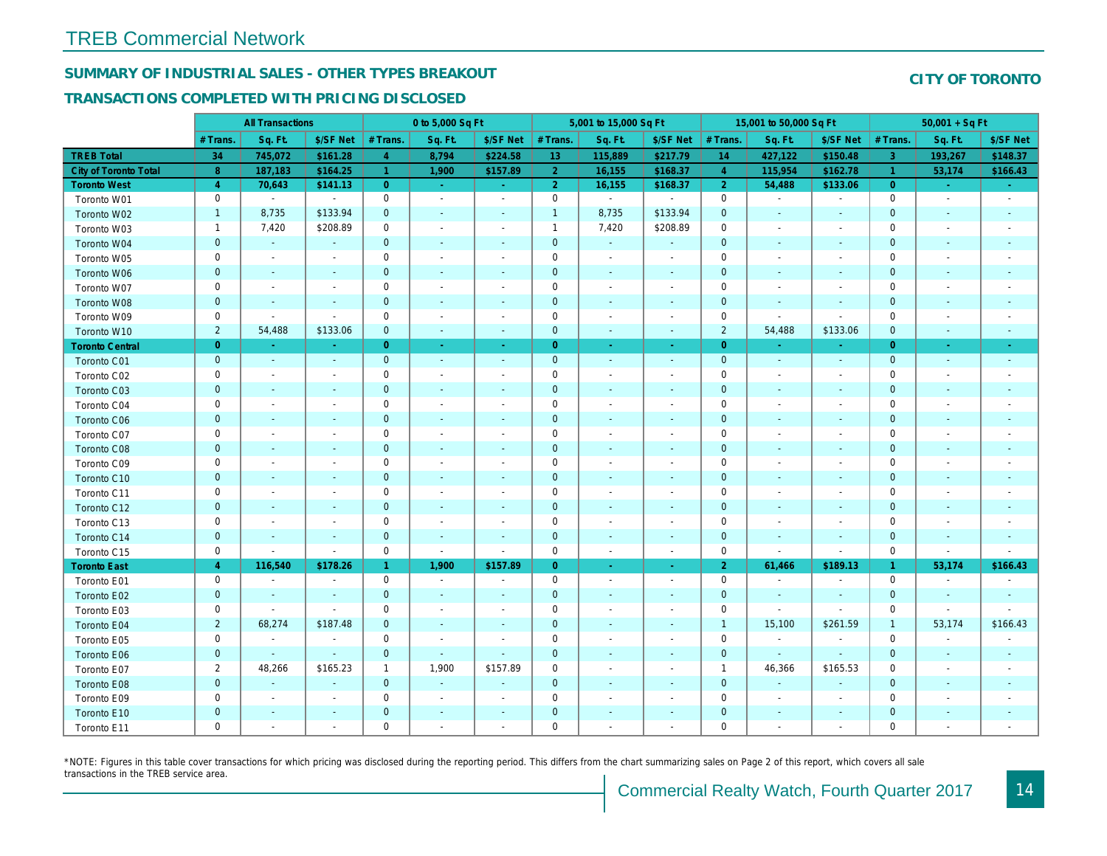## SUMMARY OF INDUSTRIAL SALES - OTHER TYPES BREAKOUT

#### TRANSACTIONS COMPLETED WITH PRICING DISCLOSED

|                              |                | <b>All Transactions</b>  |                          |                | 0 to 5,000 Sq Ft         |                          |                | 5,001 to 15,000 Sq Ft    |                          |                | 15,001 to 50,000 Sq Ft   |                          |
|------------------------------|----------------|--------------------------|--------------------------|----------------|--------------------------|--------------------------|----------------|--------------------------|--------------------------|----------------|--------------------------|--------------------------|
|                              | # Trans.       | Sq. Ft.                  | \$/SF Net                | # Trans.       | Sq. Ft.                  | \$/SF Net                | # Trans.       | Sq. Ft.                  | \$/SF Net                | # Trans.       | Sq. Ft.                  | \$/SF Ne                 |
| <b>TREB Total</b>            | 34             | 745,072                  | \$161.28                 | $\overline{4}$ | 8,794                    | \$224.58                 | 13             | 115,889                  | \$217.79                 | 14             | 427,122                  | \$150.48                 |
| <b>City of Toronto Total</b> | 8              | 187,183                  | \$164.25                 | -1.            | 1,900                    | \$157.89                 | 2 <sup>1</sup> | 16,155                   | \$168.37                 | $\overline{4}$ | 115,954                  | \$162.7                  |
| <b>Toronto West</b>          | $\overline{4}$ | 70,643                   | \$141.13                 | $\overline{0}$ | $\sim$                   | $\omega_{\rm{eff}}$      | 2 <sup>1</sup> | 16,155                   | \$168.37                 | $\overline{2}$ | 54,488                   | \$133.0                  |
| Toronto W01                  | 0              | $\blacksquare$           | $\blacksquare$           | 0              | $\sim$                   | $\blacksquare$           | $\mathsf 0$    | $\blacksquare$           | $\blacksquare$           | $\mathbf 0$    | $\blacksquare$           | $\blacksquare$           |
| Toronto W02                  | $\mathbf{1}$   | 8,735                    | \$133.94                 | $\mathbf 0$    | $\blacksquare$           | $\blacksquare$           | $\mathbf{1}$   | 8,735                    | \$133.94                 | $\mathbf 0$    | $\blacksquare$           | $\blacksquare$           |
| Toronto W03                  | $\mathbf{1}$   | 7,420                    | \$208.89                 | $\mathbf 0$    | $\blacksquare$           | $\blacksquare$           | $\mathbf{1}$   | 7,420                    | \$208.89                 | $\mathbf 0$    | $\blacksquare$           | $\blacksquare$           |
| Toronto W04                  | $\mathbf{0}$   | $\omega$                 | $\sim$                   | $\mathbf 0$    | $\blacksquare$           | $\blacksquare$           | $\mathbf 0$    | $\omega$                 | $\omega$                 | $\mathbf{0}$   | $\blacksquare$           | $\blacksquare$           |
| Toronto W05                  | 0              | $\blacksquare$           | $\sim$                   | $\mathbf 0$    | $\blacksquare$           | $\blacksquare$           | $\mathbf 0$    | $\blacksquare$           | $\blacksquare$           | 0              | $\blacksquare$           | $\blacksquare$           |
| Toronto W06                  | $\mathbf 0$    | $\sim$                   |                          | $\mathbf 0$    | $\blacksquare$           | $\blacksquare$           | $\mathbf 0$    | $\blacksquare$           | $\sim$                   | $\mathbf 0$    | $\blacksquare$           | ٠                        |
| Toronto W07                  | $\mathbf 0$    | $\sim$                   | $\sim$                   | $\mathbf 0$    | $\sim$                   | $\blacksquare$           | $\mathbf 0$    | $\blacksquare$           | $\blacksquare$           | $\mathbf 0$    | $\blacksquare$           | $\overline{\phantom{a}}$ |
| Toronto W08                  | $\mathbf{0}$   | $\overline{\phantom{a}}$ | $\sim$                   | $\mathbf 0$    | $\sim$                   | $\sim$                   | $\mathbf 0$    | $\omega$                 | $\sim$                   | $\mathbf{0}$   | $\blacksquare$           |                          |
| Toronto W09                  | 0              | $\blacksquare$           | $\sim$                   | $\mathbf 0$    | $\sim$                   | $\blacksquare$           | $\mathbf 0$    | $\blacksquare$           | $\blacksquare$           | $\mathbf 0$    | $\blacksquare$           | $\blacksquare$           |
| Toronto W10                  | $\overline{2}$ | 54,488                   | \$133.06                 | $\mathbf{0}$   | $\blacksquare$           | $\sim$                   | $\mathbf 0$    | $\blacksquare$           | $\blacksquare$           | $\overline{2}$ | 54,488                   | \$133.06                 |
| <b>Toronto Central</b>       | $\overline{0}$ | $\sim$                   | $\sim$                   | $\overline{0}$ | $\sim$                   | $\blacksquare$           | $\overline{0}$ | $\omega$                 | $\blacksquare$           | $\overline{0}$ | $\sim$                   | $\sim$                   |
| Toronto C01                  | $\mathbf{0}$   | $\blacksquare$           | $\sim$                   | $\mathbf{0}$   | $\omega$                 | $\blacksquare$           | $\mathbf 0$    | $\omega$                 | $\sim$                   | $\mathbf 0$    | $\omega$                 | $\blacksquare$           |
| Toronto C02                  | 0              | $\overline{\phantom{a}}$ | $\sim$                   | $\mathbf 0$    | $\blacksquare$           | $\overline{\phantom{a}}$ | $\mathbf 0$    | $\blacksquare$           | $\overline{\phantom{a}}$ | $\mathbf 0$    | $\blacksquare$           | $\blacksquare$           |
| Toronto C03                  | $\mathbf 0$    | $\blacksquare$           | $\sim$                   | $\mathbf 0$    | $\blacksquare$           | $\blacksquare$           | $\mathbf 0$    | ٠                        | $\blacksquare$           | $\mathbf 0$    | $\blacksquare$           | $\blacksquare$           |
| Toronto C04                  | $\mathbf 0$    | $\overline{\phantom{a}}$ |                          | $\mathbf 0$    | $\blacksquare$           | $\blacksquare$           | $\mathbf 0$    | $\blacksquare$           | ä,                       | $\mathbf 0$    | $\blacksquare$           | $\blacksquare$           |
| Toronto C06                  | $\pmb{0}$      | $\sim$                   | $\sim$                   | $\mathbf 0$    | $\blacksquare$           | $\blacksquare$           | $\mathbf 0$    | $\blacksquare$           | $\blacksquare$           | $\mathbf{0}$   | $\blacksquare$           | $\blacksquare$           |
| Toronto C07                  | 0              | $\overline{\phantom{a}}$ | $\overline{\phantom{a}}$ | $\mathbf 0$    | $\blacksquare$           | $\blacksquare$           | $\mathbf 0$    | $\blacksquare$           | $\blacksquare$           | $\mathbf 0$    | $\blacksquare$           | $\blacksquare$           |
| Toronto C08                  | $\mathbf{0}$   | $\blacksquare$           | $\blacksquare$           | $\mathbf{0}$   | $\frac{1}{2}$            | $\blacksquare$           | $\mathbf{0}$   |                          | ٠                        | $\mathbf{0}$   | $\blacksquare$           | $\blacksquare$           |
| Toronto C09                  | $\mathbf 0$    | $\sim$                   |                          | $\mathbf 0$    | $\sim$                   | $\blacksquare$           | $\mathbf 0$    |                          | $\sim$                   | $\mathbf 0$    | J.                       |                          |
| Toronto C10                  | $\mathbf{0}$   | $\sim$                   | $\sim$                   | $\mathbf 0$    | $\blacksquare$           | $\blacksquare$           | $\mathbf 0$    | $\blacksquare$           | $\blacksquare$           | $\mathbf{0}$   | $\blacksquare$           | $\blacksquare$           |
| Toronto C11                  | 0              | $\blacksquare$           |                          | $\mathbf 0$    | $\blacksquare$           | $\blacksquare$           | $\mathbf 0$    | $\overline{\phantom{a}}$ | $\overline{\phantom{a}}$ | $\mathbf 0$    | $\overline{\phantom{a}}$ | $\overline{\phantom{a}}$ |
| Toronto C12                  | $\mathbf{0}$   | $\sim$                   | $\sim$                   | $\mathbf{0}$   | $\sim$                   | $\sim$                   | $\mathbf{0}$   | $\sim$                   | $\sim$                   | $\mathbf{0}$   | $\sim$                   | $\sim$                   |
| Toronto C13                  | 0              | $\sim$                   | $\overline{\phantom{a}}$ | $\mathbf 0$    | $\sim$                   | $\blacksquare$           | $\mathbf 0$    | $\sim$                   | $\sim$                   | 0              | $\blacksquare$           | $\overline{\phantom{a}}$ |
| Toronto C14                  | $\pmb{0}$      | $\sim$                   | $\sim$                   | $\mathbf 0$    | $\blacksquare$           | $\blacksquare$           | $\mathbf 0$    | $\sim$                   | $\omega$                 | $\mathbf 0$    | $\sim$                   | $\sim$                   |
| Toronto C15                  | 0              | $\blacksquare$           | $\blacksquare$           | $\mathbf 0$    | $\blacksquare$           | $\blacksquare$           | $\mathbf 0$    | $\blacksquare$           | $\blacksquare$           | $\mathbf 0$    | $\blacksquare$           | $\blacksquare$           |
| <b>Toronto East</b>          | $\overline{4}$ | 116,540                  | \$178.26                 | $\mathbf{1}$   | 1,900                    | \$157.89                 | $\overline{0}$ | $\omega$                 | $\sim$                   | $\overline{2}$ | 61,466                   | \$189.1                  |
| Toronto E01                  | 0              | $\blacksquare$           | $\blacksquare$           | $\mathbf 0$    | $\omega$                 | $\blacksquare$           | $\mathbf 0$    | $\sim$                   | $\blacksquare$           | $\mathbf 0$    | $\blacksquare$           | $\sim$                   |
| Toronto E02                  | $\mathbf 0$    | $\sim$                   | $\sim$                   | $\mathbf{0}$   | $\sim$                   | $\blacksquare$           | $\mathbf 0$    | $\sim$                   | $\sim$                   | $\mathbf{0}$   | $\sim$                   | $\sim$                   |
| Toronto E03                  | 0              | $\sim$                   | $\sim$                   | $\mathbf 0$    | $\blacksquare$           | $\overline{\phantom{a}}$ | $\mathbf 0$    | $\overline{\phantom{a}}$ | $\blacksquare$           | 0              | $\omega$                 | $\blacksquare$           |
| Toronto E04                  | $\overline{2}$ | 68,274                   | \$187.48                 | $\mathbf{0}$   | $\sim$                   | $\blacksquare$           | $\mathbf 0$    | $\omega$                 | $\sim$                   | $\overline{1}$ | 15,100                   | \$261.59                 |
| Toronto E05                  | 0              | $\blacksquare$           | $\blacksquare$           | $\mathbf 0$    | $\overline{\phantom{a}}$ | $\blacksquare$           | $\mathbf 0$    | $\blacksquare$           | $\blacksquare$           | $\mathbf 0$    | $\blacksquare$           | $\blacksquare$           |
| Toronto E06                  | $\mathbf 0$    |                          | $\sim$                   | $\mathbf{0}$   | $\blacksquare$           | $\blacksquare$           | $\mathbf 0$    | ٠                        | ٠                        | $\mathbf{0}$   | $\blacksquare$           | $\blacksquare$           |
| Toronto E07                  | $\overline{2}$ | 48,266                   | \$165.23                 | $\mathbf{1}$   | 1,900                    | \$157.89                 | 0              | $\blacksquare$           | $\blacksquare$           | $\overline{1}$ | 46,366                   | \$165.53                 |
| Toronto E08                  | $\mathbf{0}$   | $\sim$                   | $\Delta$                 | $\mathbf{0}$   | $\sim$                   | $\blacksquare$           | $\mathbf 0$    |                          | $\omega$                 | $\mathbf{0}$   | $\omega$                 |                          |
| Toronto E09                  | 0              | $\blacksquare$           | $\sim$                   | $\mathbf 0$    | $\blacksquare$           | $\blacksquare$           | $\mathbf 0$    | $\sim$                   | $\blacksquare$           | $\mathbf 0$    | $\blacksquare$           | $\overline{\phantom{a}}$ |
| Toronto E10                  | $\mathbf 0$    |                          |                          | $\mathbf 0$    | $\blacksquare$           | $\blacksquare$           | $\mathbf 0$    |                          |                          | $\mathbf 0$    | $\overline{\phantom{a}}$ | $\overline{\phantom{a}}$ |
| Toronto E11                  | $\mathbf 0$    | $\blacksquare$           | $\sim$                   | $\mathbf 0$    | $\blacksquare$           | $\blacksquare$           | $\mathbf 0$    | $\blacksquare$           | $\blacksquare$           | $\mathbf 0$    | $\blacksquare$           | $\sim$                   |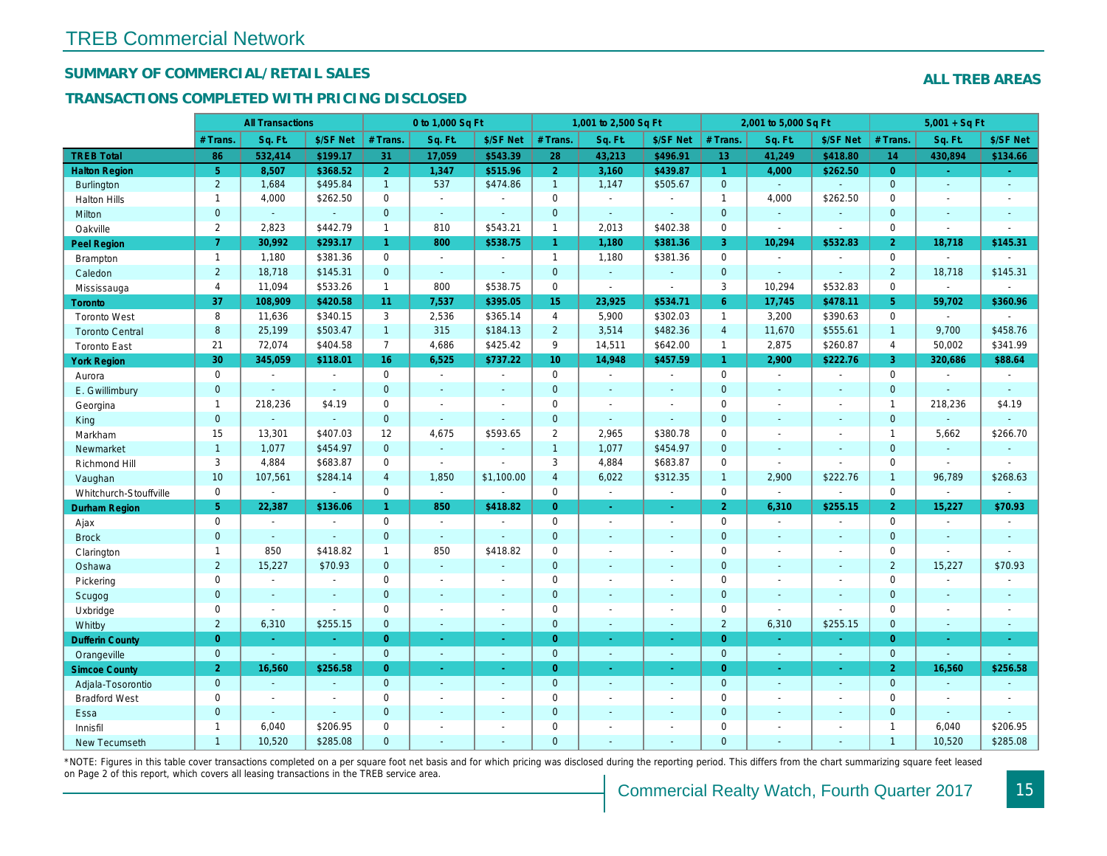## SUMMARY OF COMMERCIAL/RETAIL SALES

### TRANSACTIONS COMPLETED WITH PRICING DISCLOSED

|                        |                | <b>All Transactions</b> |                |                 | 0 to 1,000 Sq Ft |                |                | 1,001 to 2,500 Sq Ft |                          |                 | 2,001 to 5,000 Sq Ft     |                |
|------------------------|----------------|-------------------------|----------------|-----------------|------------------|----------------|----------------|----------------------|--------------------------|-----------------|--------------------------|----------------|
|                        | # Trans.       | Sq. Ft.                 | \$/SF Net      | # Trans.        | Sq. Ft.          | \$/SF Net      | # Trans.       | Sq. Ft.              | \$/SF Net                | # Trans.        | Sq. Ft.                  | \$/SF Ne       |
| <b>TREB Total</b>      | 86             | 532,414                 | \$199.17       | 31              | 17,059           | \$543.39       | 28             | 43,213               | \$496.91                 | 13 <sup>°</sup> | 41,249                   | \$418.80       |
| <b>Halton Region</b>   | 5 <sup>5</sup> | 8,507                   | \$368.52       | 2 <sup>1</sup>  | 1,347            | \$515.96       | 2 <sup>1</sup> | 3,160                | \$439.87                 | $\mathbf{1}$    | 4,000                    | \$262.50       |
| Burlington             | $\overline{2}$ | 1,684                   | \$495.84       | 1               | 537              | \$474.86       | 1              | 1,147                | \$505.67                 | $\mathbf{0}$    | $\omega$                 | $\blacksquare$ |
| <b>Halton Hills</b>    | $\mathbf{1}$   | 4,000                   | \$262.50       | $\Omega$        | $\sim$           |                | $\mathbf 0$    | $\blacksquare$       | $\blacksquare$           | $\overline{1}$  | 4,000                    | \$262.50       |
| Milton                 | $\mathbf{0}$   | $\omega$                | $\blacksquare$ | $\mathbf{0}$    | $\omega$         | $\sim$         | $\pmb{0}$      | ä,                   | $\blacksquare$           | $\mathbf 0$     | $\omega$                 | $\blacksquare$ |
| Oakville               | $\overline{2}$ | 2,823                   | \$442.79       | $\mathbf{1}$    | 810              | \$543.21       | $\mathbf{1}$   | 2,013                | \$402.38                 | $\mathbf 0$     | $\overline{\phantom{a}}$ | $\blacksquare$ |
| Peel Region            | $\overline{7}$ | 30,992                  | \$293.17       | $\mathbf{1}$    | 800              | \$538.75       | $\mathbf{1}$   | 1,180                | \$381.36                 | 3               | 10,294                   | \$532.83       |
| <b>Brampton</b>        | $\mathbf{1}$   | 1,180                   | \$381.36       | $\mathbf 0$     | $\mathbf{r}$     | $\sim$         | $\mathbf{1}$   | 1,180                | \$381.36                 | $\mathbf 0$     | $\blacksquare$           | $\sim$         |
| Caledon                | $\overline{2}$ | 18,718                  | \$145.31       | $\mathbf{0}$    | $\sim$           | $\sim$         | $\mathbf 0$    | $\blacksquare$       | $\blacksquare$           | $\mathbf 0$     | $\mathbf{r}$             | $\sim$         |
| Mississauga            | $\overline{4}$ | 11,094                  | \$533.26       | $\mathbf{1}$    | 800              | \$538.75       | $\mathbf 0$    | $\blacksquare$       | $\blacksquare$           | 3               | 10,294                   | \$532.83       |
| <b>Toronto</b>         | 37             | 108,909                 | \$420.58       | 11 <sub>1</sub> | 7,537            | \$395.05       | 15             | 23,925               | \$534.71                 | 6               | 17,745                   | \$478.1        |
| <b>Toronto West</b>    | 8              | 11,636                  | \$340.15       | 3               | 2,536            | \$365.14       | 4              | 5,900                | \$302.03                 | $\mathbf{1}$    | 3,200                    | \$390.63       |
| <b>Toronto Central</b> | 8              | 25,199                  | \$503.47       | $\mathbf{1}$    | 315              | \$184.13       | $\overline{2}$ | 3,514                | \$482.36                 | $\overline{4}$  | 11,670                   | \$555.6'       |
| <b>Toronto East</b>    | 21             | 72,074                  | \$404.58       | $\overline{7}$  | 4,686            | \$425.42       | 9              | 14,511               | \$642.00                 | $\mathbf{1}$    | 2,875                    | \$260.87       |
| <b>York Region</b>     | 30             | 345,059                 | \$118.01       | 16              | 6,525            | \$737.22       | 10             | 14,948               | \$457.59                 | $\mathbf{1}$    | 2,900                    | \$222.76       |
| Aurora                 | $\mathbf 0$    | $\blacksquare$          | $\blacksquare$ | $\mathbf 0$     | $\sim$           | $\sim$         | 0              | $\blacksquare$       | $\blacksquare$           | $\mathbf 0$     | $\blacksquare$           | $\sim$         |
| E. Gwillimbury         | $\mathbf{0}$   | $\sim$                  | $\sim$         | $\mathbf{0}$    | ÷.               | $\sim$         | $\mathbf 0$    | $\blacksquare$       | $\blacksquare$           | $\mathbf{0}$    | $\blacksquare$           | $\blacksquare$ |
| Georgina               | $\mathbf{1}$   | 218,236                 | \$4.19         | $\mathbf 0$     | $\sim$           | $\sim$         | $\pmb{0}$      | $\blacksquare$       | $\blacksquare$           | $\mathbf 0$     | $\sim$                   | $\blacksquare$ |
| King                   | $\mathbf{0}$   | $\sim$                  | $\blacksquare$ | $\mathbf{0}$    | $\sim$           | $\sim$         | $\mathbf 0$    | $\blacksquare$       | $\blacksquare$           | $\mathbf{0}$    | $\blacksquare$           | $\sim$         |
| Markham                | 15             | 13,301                  | \$407.03       | 12              | 4,675            | \$593.65       | $\overline{2}$ | 2,965                | \$380.78                 | $\mathbf 0$     | $\blacksquare$           | $\blacksquare$ |
| Newmarket              | $\mathbf{1}$   | 1,077                   | \$454.97       | $\overline{0}$  | $\omega$         | $\sim$         | $\mathbf{1}$   | 1,077                | \$454.97                 | $\mathbf{0}$    | ÷.                       | $\sim$         |
| Richmond Hill          | 3              | 4,884                   | \$683.87       | 0               | $\sim$           |                | 3              | 4,884                | \$683.87                 | $\mathbf 0$     | $\blacksquare$           | $\blacksquare$ |
| Vaughan                | 10             | 107,561                 | \$284.14       | $\overline{4}$  | 1,850            | \$1,100.00     | $\overline{4}$ | 6,022                | \$312.35                 | $\overline{1}$  | 2,900                    | \$222.76       |
| Whitchurch-Stouffville | $\mathbf 0$    | $\blacksquare$          | $\blacksquare$ | $\mathbf 0$     | $\blacksquare$   |                | $\mathbf 0$    | $\blacksquare$       | $\sim$                   | $\mathbf 0$     | $\blacksquare$           | $\blacksquare$ |
| Durham Region          | 5              | 22,387                  | \$136.06       | $\mathbf{1}$    | 850              | \$418.82       | $\overline{0}$ | $\frac{1}{\sqrt{2}}$ | ÷                        | $\overline{2}$  | 6,310                    | \$255.15       |
| Ajax                   | $\mathbf 0$    | $\blacksquare$          | $\blacksquare$ | $\mathbf 0$     | $\sim$           |                | $\pmb{0}$      | $\blacksquare$       | $\blacksquare$           | $\mathbf 0$     | $\blacksquare$           | $\blacksquare$ |
| <b>Brock</b>           | $\mathbf{0}$   | $\omega$                | $\Delta$       | $\mathbf{0}$    | $\sim$           |                | $\mathbf 0$    | $\blacksquare$       | $\blacksquare$           | $\mathbf{0}$    | $\blacksquare$           | $\blacksquare$ |
| Clarington             | $\mathbf{1}$   | 850                     | \$418.82       | $\mathbf{1}$    | 850              | \$418.82       | $\pmb{0}$      | $\overline{a}$       | $\blacksquare$           | $\mathbf 0$     | $\overline{a}$           | $\blacksquare$ |
| Oshawa                 | $\overline{2}$ | 15,227                  | \$70.93        | $\mathbf{0}$    | $\sim$           | $\blacksquare$ | $\mathbf 0$    | $\blacksquare$       | $\blacksquare$           | $\mathbf{0}$    | $\blacksquare$           | $\blacksquare$ |
| Pickering              | $\mathbf 0$    | $\blacksquare$          | $\blacksquare$ | $\mathbf 0$     | $\sim$           |                | $\pmb{0}$      | $\blacksquare$       | $\blacksquare$           | $\mathbf 0$     | $\blacksquare$           | $\blacksquare$ |
| Scugog                 | $\mathbf{0}$   | $\sim$                  | $\blacksquare$ | $\mathbf{0}$    | $\sim$           | $\sim$         | $\mathbf 0$    | $\omega$             | $\omega$                 | $\mathbf{0}$    | $\omega$                 | $\blacksquare$ |
| Uxbridge               | $\mathbf 0$    | $\blacksquare$          | $\blacksquare$ | $\mathbf 0$     | $\blacksquare$   | $\sim$         | $\mathbf 0$    | $\blacksquare$       | $\overline{\phantom{a}}$ | $\mathbf 0$     | $\blacksquare$           | $\blacksquare$ |
| Whitby                 | $\overline{2}$ | 6,310                   | \$255.15       | $\mathbf{0}$    | $\sim$           | $\sim$         | $\mathbf 0$    | $\blacksquare$       | $\blacksquare$           | $\overline{2}$  | 6,310                    | \$255.15       |
| <b>Dufferin County</b> | $\overline{0}$ | ÷.                      | $\sim$         | $\overline{0}$  | a.               | $\sim$         | $\overline{0}$ | $\omega$             | ×.                       | $\overline{0}$  | ×.                       | $\sim$         |
| Orangeville            | $\mathbf{0}$   | $\omega$                | $\omega$       | $\mathbf{0}$    | $\omega$         | $\omega$       | $\mathbf{0}$   | $\omega$             | $\omega$                 | $\mathbf{0}$    | $\omega$                 | $\sim$         |
| <b>Simcoe County</b>   | $\overline{2}$ | 16,560                  | \$256.58       | $\overline{0}$  | $\omega$         | $\omega$       | $\overline{0}$ | ä,                   | $\omega$                 | $\overline{0}$  | $\omega$                 | $\sim$         |
| Adjala-Tosorontio      | $\mathbf{0}$   | $\Delta$                | $\sim$         | $\mathbf{0}$    | $\sim$           | $\sim$         | $\mathbf 0$    | $\Delta$             | $\blacksquare$           | $\mathbf{0}$    | $\mathbf{r}$             | $\sim$         |
| <b>Bradford West</b>   | $\mathbf 0$    | $\blacksquare$          | $\omega$       | $\mathbf 0$     | $\sim$           | $\sim$         | $\pmb{0}$      | $\blacksquare$       | $\blacksquare$           | $\mathbf 0$     | $\overline{a}$           | $\blacksquare$ |
| Essa                   | $\mathbf{0}$   | $\sim$                  | $\blacksquare$ | $\overline{0}$  |                  |                | $\mathbf 0$    | $\blacksquare$       | $\blacksquare$           | $\mathbf 0$     | $\blacksquare$           |                |
| Innisfil               | $\mathbf{1}$   | 6,040                   | \$206.95       | $\Omega$        | $\sim$           | $\blacksquare$ | $\mathbf 0$    | $\blacksquare$       | $\blacksquare$           | $\mathbf 0$     | $\blacksquare$           | $\blacksquare$ |
| <b>New Tecumseth</b>   | $\overline{1}$ | 10,520                  | \$285.08       | $\Omega$        |                  |                | $\Omega$       |                      |                          | $\Omega$        |                          |                |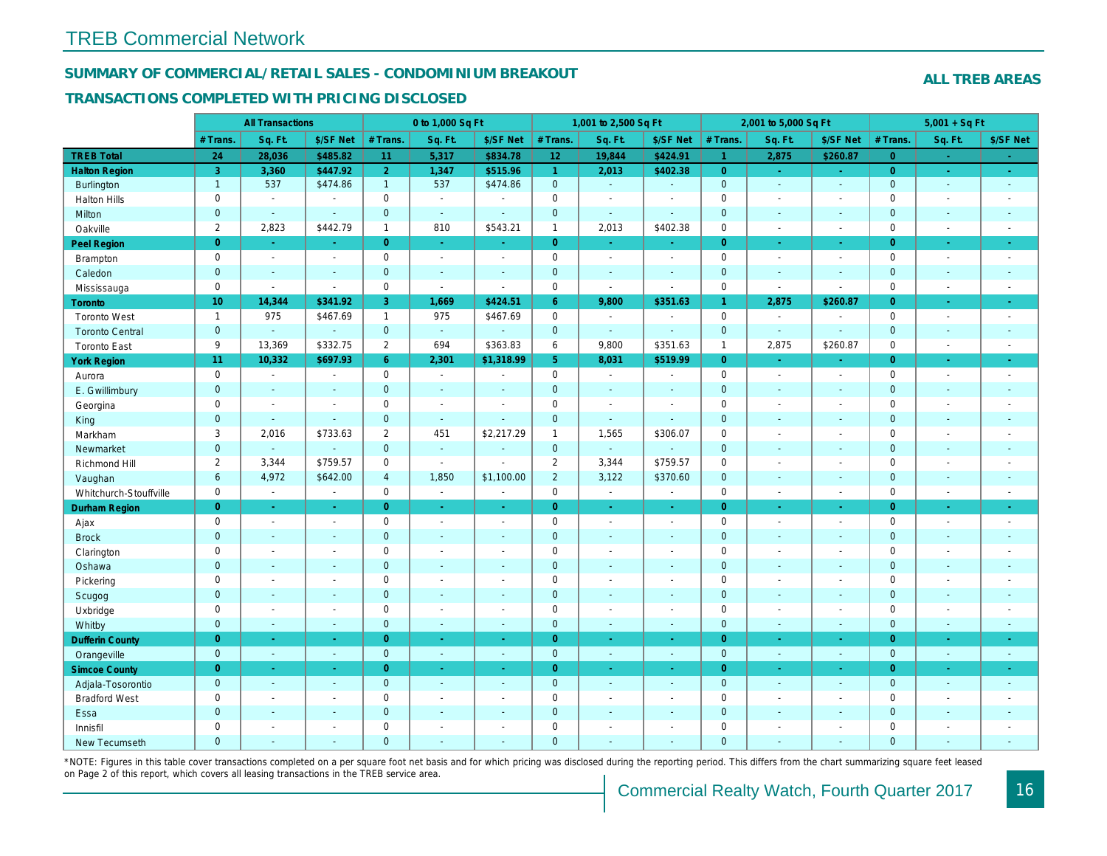#### SUMMARY OF COMMERCIAL/RETAIL SALES - CONDOMINIUM BREAKOUT

#### TRANSACTIONS COMPLETED WITH PRICING DISCLOSED

|                        |                     | <b>All Transactions</b> |                       |                | 0 to 1,000 Sq Ft |                          |                | 1,001 to 2,500 Sq Ft |                          |                | 2,001 to 5,000 Sq Ft |                          |
|------------------------|---------------------|-------------------------|-----------------------|----------------|------------------|--------------------------|----------------|----------------------|--------------------------|----------------|----------------------|--------------------------|
|                        | # Trans.            | Sq. Ft.                 | \$/SF Net             | # Trans.       | Sq. Ft.          | \$/SF Net                | # Trans.       | Sq. Ft.              | \$/SF Net                | # Trans.       | Sq. Ft.              | \$/SF Ne                 |
| <b>TREB Total</b>      | 24                  | 28,036                  | \$485.82              | 11             | 5,317            | \$834.78                 | 12             | 19,844               | \$424.91                 | ◆              | 2,875                | \$260.87                 |
| <b>Halton Region</b>   | $\overline{3}$      | 3,360                   | \$447.92              | 2 <sup>1</sup> | 1,347            | \$515.96                 | $\mathbf{1}$   | 2,013                | \$402.38                 | $\overline{0}$ | $\omega$             | $\sim$                   |
| Burlington             | $\overline{1}$      | 537                     | \$474.86              | $\mathbf{1}$   | 537              | \$474.86                 | $\mathbf{0}$   | $\omega$             | $\omega$                 | $\mathbf 0$    | $\omega$             | $\sim$                   |
| <b>Halton Hills</b>    | $\mathbf 0$         | $\blacksquare$          | $\blacksquare$        | $\mathbf 0$    | $\sim$           |                          | $\mathbf 0$    | $\blacksquare$       | $\blacksquare$           | $\mathbf 0$    | L.                   | $\blacksquare$           |
| Milton                 | $\mathbf{0}$        | $\blacksquare$          | $\sim$                | $\mathbf 0$    | $\omega$         | $\blacksquare$           | $\pmb{0}$      | ä,                   | $\blacksquare$           | $\mathbf 0$    | $\blacksquare$       | $\sim$                   |
| Oakville               | $\overline{2}$      | 2,823                   | \$442.79              | $\mathbf{1}$   | 810              | \$543.21                 | $\mathbf{1}$   | 2,013                | \$402.38                 | $\mathbf 0$    | $\blacksquare$       | $\sim$                   |
| Peel Region            | $\overline{0}$      | $\sim$                  | $\sim$                | $\overline{0}$ | $\sim$           | $\sim$                   | $\overline{0}$ | $\sim$               | $\blacksquare$           | $\overline{0}$ | $\blacksquare$       | $\sim$                   |
| Brampton               | $\mathsf 0$         | $\blacksquare$          | $\blacksquare$        | $\mathbf 0$    | $\mathbf{r}$     | $\overline{\phantom{a}}$ | $\mathbf 0$    | $\blacksquare$       | $\blacksquare$           | $\mathbf 0$    | $\sim$               | $\blacksquare$           |
| Caledon                | $\mathbf{0}$        | $\sim$                  | $\sim$                | $\mathbf{0}$   | $\sim$           | $\sim$                   | $\pmb{0}$      | $\blacksquare$       | $\blacksquare$           | $\mathbf 0$    | $\blacksquare$       | $\sim$                   |
| Mississauga            | $\mathbf 0$         | $\blacksquare$          | $\sim$                | $\mathbf 0$    | $\mathbf{r}$     | $\sim$                   | $\pmb{0}$      | $\blacksquare$       | $\sim$                   | $\mathbf 0$    | $\sim$               | $\blacksquare$           |
| <b>Toronto</b>         | 10 <sup>°</sup>     | 14,344                  | \$341.92              | 3              | 1,669            | \$424.51                 | 6 <sup>°</sup> | 9,800                | \$351.63                 | $\mathbf{1}$   | 2,875                | \$260.87                 |
| <b>Toronto West</b>    | $\mathbf{1}$        | 975                     | \$467.69              | $\mathbf{1}$   | 975              | \$467.69                 | 0              | $\blacksquare$       | $\sim$                   | $\mathbf 0$    | $\blacksquare$       | $\blacksquare$           |
| <b>Toronto Central</b> | $\mathbf{0}$        | $\omega$                | $\sim$                | $\mathbf{0}$   | $\omega$         |                          | $\pmb{0}$      | $\blacksquare$       | $\sim$                   | $\mathbf 0$    | $\mathbf{r}$         | $\omega$                 |
| <b>Toronto East</b>    | 9                   | 13,369                  | \$332.75              | 2              | 694              | \$363.83                 | 6              | 9,800                | \$351.63                 | $\mathbf{1}$   | 2,875                | \$260.87                 |
| <b>York Region</b>     | 11                  | 10,332                  | \$697.93              | 6 <sup>°</sup> | 2,301            | \$1,318.99               | 5 <sup>5</sup> | 8,031                | \$519.99                 | $\overline{0}$ | $\omega$             | $\blacksquare$           |
| Aurora                 | $\mathbf 0$         | $\sim$                  | $\blacksquare$        | $\mathbf 0$    | $\sim$           | $\blacksquare$           | 0              | $\sim$               | $\blacksquare$           | $\mathbf 0$    | $\blacksquare$       | $\sim$                   |
| E. Gwillimbury         | $\mathbf{0}$        | $\sim$                  | $\sim$                | $\mathbf{0}$   | $\sim$           | $\overline{a}$           | $\mathbf 0$    | $\blacksquare$       | $\blacksquare$           | $\mathbf{0}$   | $\blacksquare$       | $\sim$                   |
| Georgina               | $\mathbf 0$         | $\blacksquare$          | $\blacksquare$        | $\mathbf 0$    | $\blacksquare$   | $\sim$                   | $\pmb{0}$      | $\blacksquare$       | $\blacksquare$           | $\mathbf 0$    | $\sim$               | $\blacksquare$           |
| King                   | $\mathbf{0}$        | $\sim$                  | $\blacksquare$        | $\mathbf{0}$   | $\sim$           |                          | $\mathbf 0$    | $\blacksquare$       | $\blacksquare$           | $\mathbf 0$    | $\blacksquare$       | $\sim$                   |
| Markham                | 3                   | 2,016                   | \$733.63              | 2              | 451              | \$2,217.29               | $\mathbf{1}$   | 1,565                | \$306.07                 | $\mathbf 0$    | $\blacksquare$       | $\blacksquare$           |
| Newmarket              | $\overline{0}$      | $\sim$                  | $\blacksquare$        | $\mathbf{0}$   | $\omega$         | $\sim$                   | $\mathbf{0}$   | ä,                   | $\blacksquare$           | $\mathbf{0}$   | ÷.                   | $\sim$                   |
| Richmond Hill          | $\overline{2}$      | 3,344                   | \$759.57              | 0              | $\sim$           | $\overline{\phantom{a}}$ | $\overline{2}$ | 3,344                | \$759.57                 | $\mathbf 0$    | $\sim$               | $\blacksquare$           |
| Vaughan                | $6\phantom{a}$      | 4,972                   | \$642.00              | $\overline{4}$ | 1,850            | \$1,100.00               | $\overline{2}$ | 3,122                | \$370.60                 | $\mathbf 0$    | $\sim$               | $\sim$                   |
| Whitchurch-Stouffville | $\mathbf 0$         | $\blacksquare$          | $\blacksquare$        | $\mathbf 0$    | $\mathbf{r}$     | $\blacksquare$           | $\pmb{0}$      | $\blacksquare$       | $\sim$                   | $\mathbf 0$    | $\blacksquare$       | $\sim$                   |
| Durham Region          | $\overline{0}$      | $\sim$                  | $\sim$                | $\overline{0}$ | $\sim$           | $\sim$                   | $\overline{0}$ | $\frac{1}{\sqrt{2}}$ | ÷                        | $\overline{0}$ | $\blacksquare$       | $\bullet$                |
| Ajax                   | $\mathbf 0$         | $\blacksquare$          | $\blacksquare$        | $\mathbf 0$    | $\sim$           | $\sim$                   | $\pmb{0}$      | $\blacksquare$       | $\blacksquare$           | $\mathbf 0$    | $\blacksquare$       | $\sim$                   |
| <b>Brock</b>           | $\mathbf{0}$        | $\sim$                  | $\blacksquare$        | $\mathbf{0}$   | $\Delta$         | $\sim$                   | $\mathbf 0$    | $\omega$             | $\blacksquare$           | $\mathbf 0$    | $\omega$             | $\sim$                   |
| Clarington             | $\mathsf{O}\xspace$ | $\tilde{\phantom{a}}$   | $\tilde{\phantom{a}}$ | $\mathbf 0$    | $\blacksquare$   | $\blacksquare$           | $\pmb{0}$      | $\overline{a}$       | $\overline{a}$           | $\mathbf 0$    | ÷,                   | $\overline{\phantom{a}}$ |
| Oshawa                 | $\mathbf{0}$        | $\blacksquare$          | $\blacksquare$        | $\mathbf{0}$   | $\omega$         | $\blacksquare$           | $\mathbf 0$    | $\blacksquare$       | $\blacksquare$           | $\mathbf{0}$   | $\blacksquare$       | $\blacksquare$           |
| Pickering              | $\mathbf 0$         | $\blacksquare$          | $\blacksquare$        | $\mathbf 0$    | $\sim$           | $\sim$                   | $\pmb{0}$      | $\blacksquare$       | $\blacksquare$           | $\mathbf 0$    | L.                   | $\blacksquare$           |
| Scugog                 | $\mathbf{0}$        | $\sim$                  | $\blacksquare$        | $\mathbf{0}$   | $\sim$           | $\sim$                   | $\mathbf 0$    | $\omega$             | $\blacksquare$           | $\mathbf{0}$   | $\omega$             | $\blacksquare$           |
| Uxbridge               | $\mathbf 0$         | $\blacksquare$          | $\blacksquare$        | 0              | $\sim$           | $\sim$                   | $\mathbf 0$    | $\blacksquare$       | $\overline{\phantom{a}}$ | $\mathbf 0$    | $\overline{a}$       | $\blacksquare$           |
| Whitby                 | $\mathbf{0}$        | $\sim$                  | $\sim$                | $\mathbf{0}$   | $\sim$           | $\sim$                   | $\mathbf 0$    | $\blacksquare$       | $\blacksquare$           | $\mathbf{0}$   | $\blacksquare$       | $\sim$                   |
| <b>Dufferin County</b> | $\overline{0}$      | $\sim$                  | $\sim$                | $\overline{0}$ | a.               | $\sim$                   | $\overline{0}$ | $\blacksquare$       | ×.                       | $\overline{0}$ | ×.                   | $\sim$                   |
| Orangeville            | $\mathbf{0}$        | $\omega$                | $\omega$              | $\mathbf 0$    | $\omega$         | $\omega$                 | $\mathbf{0}$   | $\omega$             | $\omega$                 | $\mathbf 0$    | $\omega$             | $\omega_{\rm c}$         |
| <b>Simcoe County</b>   | $\overline{0}$      | $\sim$                  | $\omega$              | $\overline{0}$ | $\omega$         | $\omega$                 | $\overline{0}$ | Ξ                    | $\omega$                 | $\overline{0}$ | $\blacksquare$       | $\sigma_{\rm c}$         |
| Adjala-Tosorontio      | $\mathbf{0}$        | $\sim$                  | $\Delta$              | $\mathbf{0}$   | $\sim$           | $\sim$                   | $\mathbf 0$    | $\Delta$             | $\blacksquare$           | $\mathbf 0$    | $\omega$             | $\sim$                   |
| <b>Bradford West</b>   | $\mathsf{O}\xspace$ | $\blacksquare$          | $\omega$              | $\mathbf 0$    | $\blacksquare$   | $\blacksquare$           | $\pmb{0}$      | $\blacksquare$       | $\blacksquare$           | $\mathbf 0$    | $\overline{a}$       | $\blacksquare$           |
| Essa                   | $\mathbf{0}$        | $\sim$                  | $\blacksquare$        | $\mathbf{0}$   |                  | $\sim$                   | $\pmb{0}$      | $\blacksquare$       | $\blacksquare$           | $\mathbf 0$    | $\blacksquare$       |                          |
| Innisfil               | $\mathbf 0$         | $\blacksquare$          | $\blacksquare$        | $\mathbf 0$    | $\blacksquare$   | $\blacksquare$           | $\mathbf 0$    | $\blacksquare$       | $\blacksquare$           | $\mathbf 0$    | $\blacksquare$       | $\blacksquare$           |
| <b>New Tecumseth</b>   | $\Omega$            |                         |                       | $\Omega$       |                  |                          | $\Omega$       |                      |                          | $\overline{0}$ |                      |                          |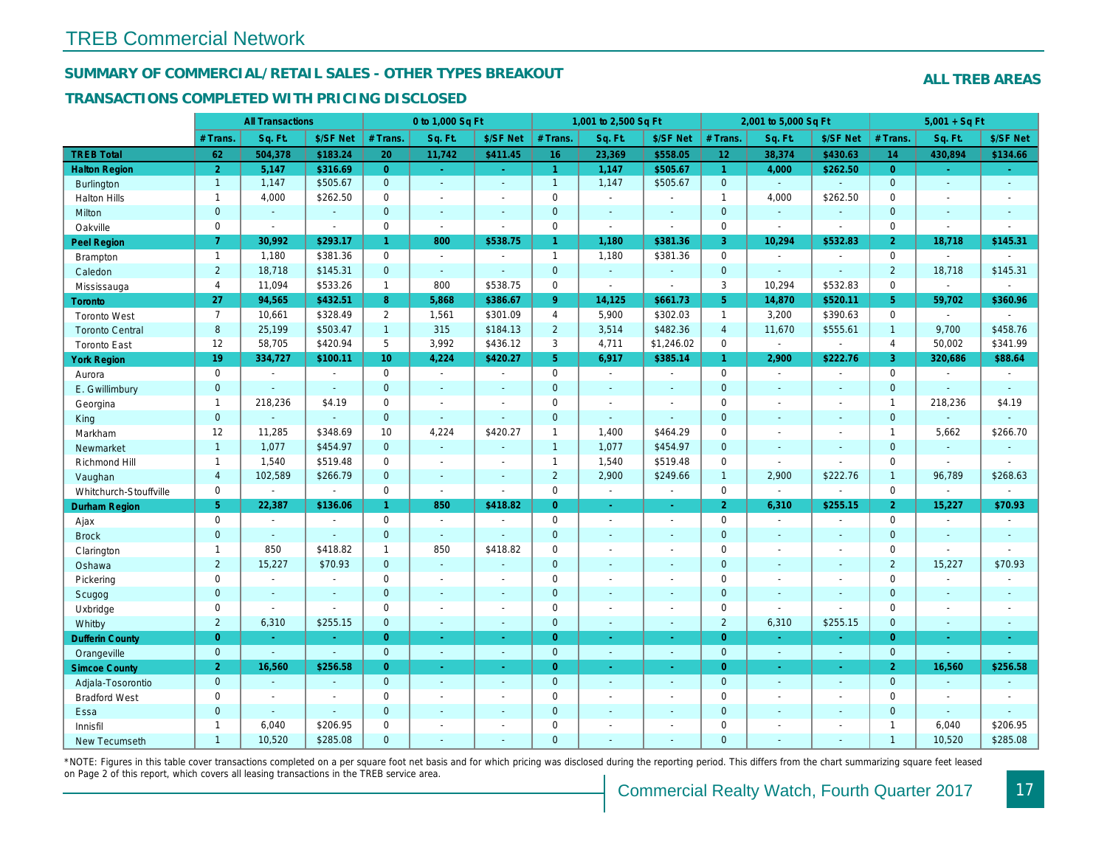#### SUMMARY OF COMMERCIAL/RETAIL SALES - OTHER TYPES BREAKOUT

#### TRANSACTIONS COMPLETED WITH PRICING DISCLOSED

|                        |                | <b>All Transactions</b>  |                          |                       | 0 to 1,000 Sq Ft |                          |                     | 1,001 to 2,500 Sq Ft |                          |                      | 2,001 to 5,000 Sq Ft |                      |
|------------------------|----------------|--------------------------|--------------------------|-----------------------|------------------|--------------------------|---------------------|----------------------|--------------------------|----------------------|----------------------|----------------------|
|                        | # Trans.       | Sq. Ft.                  | \$/SF Net                | # Trans.              | Sq. Ft.          | \$/SF Net                | # Trans.            | Sq. Ft.              | \$/SF Net                | # Trans.             | Sq. Ft.              | \$/SF Ne             |
| <b>TREB Total</b>      | 62             | 504,378                  | \$183.24                 | 20                    | 11,742           | \$411.45                 | 16                  | 23,369               | \$558.05                 | 12 <sub>2</sub>      | 38,374               | \$430.63             |
| <b>Halton Region</b>   | $\overline{2}$ | 5,147                    | \$316.69                 | $\overline{0}$        | $\sim$           | ÷.                       | $\overline{1}$      | 1,147                | \$505.67                 | $\blacktriangleleft$ | 4,000                | \$262.50             |
| <b>Burlington</b>      | $\mathbf{1}$   | 1,147                    | \$505.67                 | $\overline{0}$        | $\omega$         | $\blacksquare$           | $\mathbf{1}$        | 1,147                | \$505.67                 | $\mathbf{0}$         | $\omega$             | $\omega$             |
| <b>Halton Hills</b>    | $\mathbf{1}$   | 4,000                    | \$262.50                 | $\mathbf 0$           | $\sim$           | $\overline{a}$           | $\mathsf 0$         | $\blacksquare$       | ä,                       | $\mathbf{1}$         | 4,000                | \$262.50             |
| Milton                 | $\mathbf{0}$   | $\omega$                 | $\omega$                 | $\overline{0}$        | $\omega$         | $\blacksquare$           | $\pmb{0}$           | $\omega$             | ä,                       | $\mathbf{0}$         | $\omega$             | $\blacksquare$       |
| Oakville               | 0              | $\blacksquare$           | $\sim$                   | $\mathbf 0$           | $\mathbf{r}$     | $\sim$                   | $\mathbf 0$         | $\sim$               | $\overline{\phantom{a}}$ | $\mathbf 0$          | $\sim$               | $\blacksquare$       |
| <b>Peel Region</b>     | $\mathbf{7}$   | 30,992                   | \$293.17                 | $\mathbf{1}$          | 800              | \$538.75                 | $\mathbf{1}$        | 1,180                | \$381.36                 | 3                    | 10,294               | \$532.83             |
| <b>Brampton</b>        | $\mathbf{1}$   | 1,180                    | \$381.36                 | $\mathbf 0$           | $\sim$           | $\overline{\phantom{a}}$ | $\mathbf{1}$        | 1,180                | \$381.36                 | $\mathbf 0$          | $\sim$               | $\blacksquare$       |
| Caledon                | $2^{\circ}$    | 18,718                   | \$145.31                 | $\mathbf{0}$          | $\omega$         | $\blacksquare$           | $\mathbf{0}$        | $\omega_{\rm c}$     | $\omega$                 | $\mathbf{0}$         | $\Delta$             | $\blacksquare$       |
| Mississauga            | $\overline{4}$ | 11,094                   | \$533.26                 | $\mathbf{1}$          | 800              | \$538.75                 | $\mathsf{O}$        | $\blacksquare$       | $\blacksquare$           | 3                    | 10,294               | \$532.83             |
| Toronto                | 27             | 94,565                   | \$432.51                 | 8                     | 5,868            | \$386.67                 | 9 <sup>°</sup>      | 14,125               | \$661.73                 | $5^{\circ}$          | 14,870               | \$520.1              |
| <b>Toronto West</b>    | $\overline{7}$ | 10,661                   | \$328.49                 | $\mathbf{2}^{\prime}$ | 1,561            | \$301.09                 | $\overline{4}$      | 5,900                | \$302.03                 | $\mathbf{1}$         | 3,200                | \$390.63             |
| <b>Toronto Central</b> | 8              | 25,199                   | \$503.47                 | $\mathbf{1}$          | 315              | \$184.13                 | $\overline{2}$      | 3,514                | \$482.36                 | $\overline{4}$       | 11,670               | \$555.61             |
| <b>Toronto East</b>    | 12             | 58,705                   | \$420.94                 | 5                     | 3,992            | \$436.12                 | 3                   | 4,711                | \$1,246.02               | $\mathbf 0$          | $\blacksquare$       | $\blacksquare$       |
| <b>York Region</b>     | 19             | 334,727                  | \$100.11                 | 10 <sup>°</sup>       | 4,224            | \$420.27                 | 5 <sup>5</sup>      | 6,917                | \$385.14                 | $\mathbf{1}$         | 2,900                | \$222.76             |
| Aurora                 | 0              | $\sim$                   | $\blacksquare$           | $\Omega$              | $\sim$           | $\sim$                   | $\mathsf{O}$        | $\blacksquare$       | $\sim$                   | $\Omega$             | $\blacksquare$       | $\sim$               |
| E. Gwillimbury         | $\mathbf{0}$   |                          | $\sim$                   | $\mathbf 0$           | $\sim$           | $\blacksquare$           | $\mathbf{0}$        | $\blacksquare$       | ä,                       | $\mathbf{0}$         | $\omega$             | $\blacksquare$       |
| Georgina               | $\mathbf{1}$   | 218,236                  | \$4.19                   | $\mathbf 0$           | $\blacksquare$   | $\sim$                   | $\mathbf 0$         | $\blacksquare$       | $\blacksquare$           | $\mathbf 0$          | $\blacksquare$       | $\blacksquare$       |
| King                   | $\mathbf{0}$   | $\sim$                   | $\sim$                   | $\mathbf 0$           | $\sim$           | $\blacksquare$           | $\mathbf 0$         | $\blacksquare$       | $\blacksquare$           | $\mathbf{0}$         | $\sim$               | $\blacksquare$       |
| Markham                | 12             | 11,285                   | \$348.69                 | 10                    | 4,224            | \$420.27                 | $\mathbf{1}$        | 1,400                | \$464.29                 | $\mathbf 0$          | $\blacksquare$       | $\blacksquare$       |
| Newmarket              | $\mathbf{1}$   | 1,077                    | \$454.97                 | $\mathbf 0$           | $\omega$         | $\sim$                   | $\mathbf{1}$        | 1,077                | \$454.97                 | $\mathbf{0}$         | $\omega$             | $\sim$               |
| Richmond Hill          | $\mathbf{1}$   | 1,540                    | \$519.48                 | $\mathbf 0$           | $\sim$           | $\overline{\phantom{a}}$ | $\mathbf{1}$        | 1,540                | \$519.48                 | $\mathbf 0$          | $\blacksquare$       | $\blacksquare$       |
| Vaughan                | $\overline{4}$ | 102,589                  | \$266.79                 | $\mathbf 0$           | $\omega$         | $\sim$                   | $\overline{2}$      | 2,900                | \$249.66                 | $\overline{1}$       | 2,900                | \$222.76             |
| Whitchurch-Stouffville | 0              | $\blacksquare$           | $\blacksquare$           | $\mathbf 0$           | $\blacksquare$   | $\sim$                   | $\mathbf 0$         | $\bullet$            | $\blacksquare$           | $\mathbf 0$          | $\sim$               | $\blacksquare$       |
| <b>Durham Region</b>   | 5 <sup>5</sup> | 22,387                   | \$136.06                 | $\blacktriangleleft$  | 850              | \$418.82                 | $\overline{0}$      | $\blacksquare$       | $\omega$                 | $\overline{2}$       | 6,310                | \$255.15             |
| Ajax                   | $\mathbf{0}$   | $\overline{\phantom{a}}$ | $\overline{\phantom{a}}$ | $\mathbf 0$           | $\blacksquare$   |                          | $\mathbf 0$         | $\blacksquare$       | $\blacksquare$           | $\mathbf 0$          | $\blacksquare$       | $\blacksquare$       |
| <b>Brock</b>           | $\overline{0}$ | $\omega$                 | $\omega$                 | $\mathbf{0}$          | $\sim$           | $\blacksquare$           | $\mathbf{0}$        | $\omega$             | $\blacksquare$           | $\mathbf{0}$         | $\omega$             | $\blacksquare$       |
| Clarington             | $\mathbf{1}$   | 850                      | \$418.82                 | $\mathbf{1}$          | 850              | \$418.82                 | $\mathbf 0$         | $\blacksquare$       | $\blacksquare$           | $\mathbf 0$          | $\blacksquare$       | $\blacksquare$       |
| Oshawa                 | $\overline{2}$ | 15,227                   | \$70.93                  | $\mathbf{0}$          | $\omega$         | $\overline{a}$           | $\mathbf{0}$        | $\blacksquare$       | $\blacksquare$           | $\mathbf{0}$         | $\sim$               | $\sim$               |
| Pickering              | 0              | $\sim$                   | $\overline{\phantom{a}}$ | 0                     | $\sim$           | $\blacksquare$           | $\mathsf{O}\xspace$ | ä,                   | $\blacksquare$           | $\mathbf 0$          | $\blacksquare$       | $\blacksquare$       |
| Scugog                 | $\mathbf{0}$   | $\sim$                   | $\sim$                   | $\mathbf 0$           | $\mathbf{r}$     | $\blacksquare$           | $\mathbf 0$         | $\blacksquare$       | $\blacksquare$           | $\mathbf 0$          | $\omega$             | $\blacksquare$       |
| Uxbridge               | 0              | $\blacksquare$           | $\blacksquare$           | 0                     | $\blacksquare$   | $\blacksquare$           | $\mathsf 0$         | $\blacksquare$       | $\blacksquare$           | $\mathbf 0$          | $\blacksquare$       | $\blacksquare$       |
| Whitby                 | $\overline{2}$ | 6,310                    | \$255.15                 | $\mathbf 0$           | $\blacksquare$   | $\blacksquare$           | $\mathbf 0$         | $\blacksquare$       | ä,                       | $\overline{2}$       | 6,310                | \$255.15             |
| <b>Dufferin County</b> | $\overline{0}$ | $\sim$                   | ÷.                       | $\overline{0}$        | $\omega$         | $\sim$                   | $\overline{0}$      | $\omega$             | $\omega$                 | $\overline{0}$       | $\sim$               | $\sim$               |
| Orangeville            | $\mathbf{0}$   | $\blacksquare$           | $\omega$                 | $\overline{0}$        | $\omega$         | $\sim$                   | $\overline{0}$      | $\omega$             | $\sim$                   | $\mathbf{0}$         | $\blacksquare$       | $\blacksquare$       |
| <b>Simcoe County</b>   | 2 <sup>1</sup> | 16,560                   | \$256.58                 | $\overline{0}$        | $\blacksquare$   | Ξ                        | $\overline{0}$      | $\omega$             | ÷.                       | $\overline{0}$       | $\omega$             | $\frac{1}{\sqrt{2}}$ |
| Adjala-Tosorontio      | $\mathbf{0}$   | $\mathbf{r}$             | $\sim$                   | $\mathbf{0}$          | $\mathbf{r}$     | $\sim$                   | $\mathbf 0$         | $\omega$             | $\blacksquare$           | $\mathbf 0$          | $\sim$               | $\sim$               |
| <b>Bradford West</b>   | 0              | $\overline{\phantom{a}}$ | $\overline{\phantom{a}}$ | $\mathbf 0$           | $\sim$           | $\overline{\phantom{a}}$ | $\mathbf 0$         | $\blacksquare$       | $\sim$                   | $\mathbf 0$          | $\blacksquare$       | $\sim$               |
| Essa                   | $\mathbf{0}$   | $\sim$                   | $\sim$                   | $\Omega$              | $\overline{a}$   | $\sim$                   | $\pmb{0}$           | ÷.                   | $\overline{a}$           | $\mathbf 0$          | $\overline{a}$       | $\blacksquare$       |
| Innisfil               | $\mathbf{1}$   | 6,040                    | \$206.95                 | $\mathbf 0$           | $\blacksquare$   | $\blacksquare$           | $\mathsf 0$         | $\blacksquare$       | $\blacksquare$           | $\mathbf 0$          | $\sim$               | $\blacksquare$       |
| <b>New Tecumseth</b>   | $\mathbf{1}$   | 10,520                   | \$285.08                 | $\Omega$              | $\overline{a}$   | ÷                        | $\mathbf{0}$        | ä,                   | ä,                       | $\Omega$             | $\omega$             | $\blacksquare$       |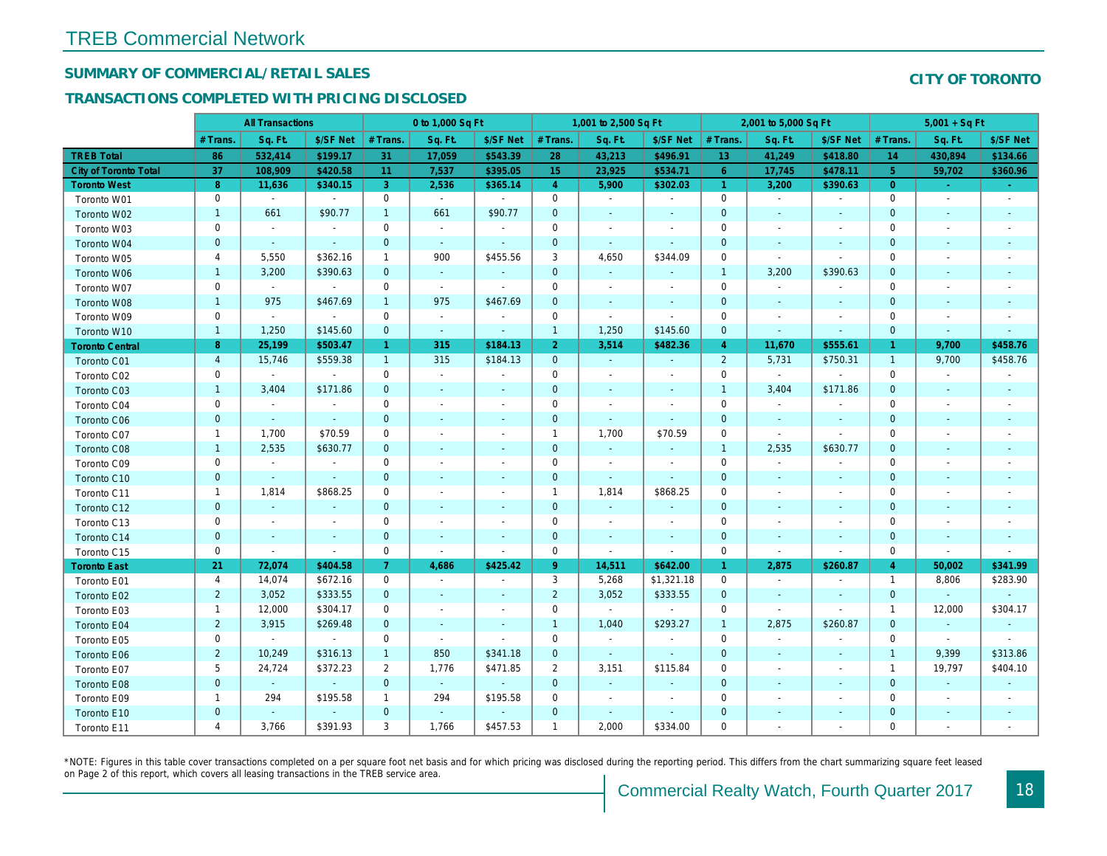## SUMMARY OF COMMERCIAL/RETAIL SALES

### TRANSACTIONS COMPLETED WITH PRICING DISCLOSED

|                        |                         | <b>All Transactions</b> |                          |                | 0 to 1,000 Sq Ft         |                          |                | 1,001 to 2,500 Sq Ft |                |                 | 2,001 to 5,000 Sq Ft     |                          |
|------------------------|-------------------------|-------------------------|--------------------------|----------------|--------------------------|--------------------------|----------------|----------------------|----------------|-----------------|--------------------------|--------------------------|
|                        | # Trans.                | Sq. Ft.                 | \$/SF Net                | # Trans.       | Sq. Ft.                  | \$/SF Net                | # Trans.       | Sq. Ft.              | \$/SF Net      | # Trans.        | Sq. Ft.                  | \$/SF Ne                 |
| <b>TREB Total</b>      | 86                      | 532,414                 | \$199.17                 | 31             | 17,059                   | \$543.39                 | 28             | 43,213               | \$496.91       | 13 <sup>°</sup> | 41,249                   | \$418.80                 |
| City of Toronto Total  | 37                      | 108,909                 | \$420.58                 | 11             | 7,537                    | \$395.05                 | 15             | 23,925               | \$534.71       | $6\phantom{1}$  | 17,745                   | \$478.1                  |
| <b>Toronto West</b>    | 8                       | 11,636                  | \$340.15                 | 3              | 2,536                    | \$365.14                 | $\overline{4}$ | 5,900                | \$302.03       | $\vert$ 1       | 3,200                    | \$390.63                 |
| Toronto W01            | 0                       | $\sim$                  | $\blacksquare$           | $\mathbf 0$    | $\sim$                   | $\blacksquare$           | $\mathbf 0$    | $\blacksquare$       | $\blacksquare$ | $\mathbf 0$     | $\blacksquare$           | $\blacksquare$           |
| Toronto W02            | $\mathbf{1}$            | 661                     | \$90.77                  | $\overline{1}$ | 661                      | \$90.77                  | $\mathbf 0$    | $\blacksquare$       | $\blacksquare$ | $\mathbf{0}$    | $\blacksquare$           | $\sim$                   |
| Toronto W03            | $\mathbf 0$             | $\sim$                  | $\blacksquare$           | $\mathbf 0$    | $\sim$                   | $\blacksquare$           | $\mathbf 0$    | $\blacksquare$       | $\blacksquare$ | $\mathbf 0$     | $\blacksquare$           | $\blacksquare$           |
| Toronto W04            | $\pmb{0}$               | $\sim$                  | $\sim$                   | $\mathbf 0$    | $\sim$                   | $\blacksquare$           | $\mathbf{0}$   | $\blacksquare$       | ä,             | $\mathbf{0}$    | $\blacksquare$           | $\blacksquare$           |
| Toronto W05            | 4                       | 5,550                   | \$362.16                 | $\mathbf{1}$   | 900                      | \$455.56                 | 3              | 4,650                | \$344.09       | 0               | $\blacksquare$           | $\blacksquare$           |
| Toronto W06            | $\mathbf{1}$            | 3,200                   | \$390.63                 | $\mathbf 0$    | $\sim$                   |                          | $\mathbf 0$    | $\blacksquare$       |                | $\overline{1}$  | 3,200                    | \$390.63                 |
| Toronto W07            | 0                       | $\blacksquare$          | $\blacksquare$           | $\mathbf 0$    | $\sim$                   | $\blacksquare$           | $\mathbf 0$    | $\blacksquare$       | $\blacksquare$ | $\mathbf 0$     | $\blacksquare$           | $\blacksquare$           |
| Toronto W08            | $\mathbf{1}$            | 975                     | \$467.69                 | $\mathbf{1}$   | 975                      | \$467.69                 | $\mathbf 0$    | $\blacksquare$       | $\blacksquare$ | $\mathbf 0$     | $\blacksquare$           | $\overline{\phantom{a}}$ |
| Toronto W09            | 0                       | $\blacksquare$          | $\blacksquare$           | 0              | $\sim$                   | $\blacksquare$           | $\mathbf 0$    | $\blacksquare$       | $\blacksquare$ | 0               | $\blacksquare$           | $\blacksquare$           |
| Toronto W10            | $\mathbf{1}$            | 1,250                   | \$145.60                 | $\mathbf 0$    | $\sim$                   | $\blacksquare$           | $\overline{1}$ | 1,250                | \$145.60       | $\mathbf 0$     | $\blacksquare$           | $\sim$                   |
| <b>Toronto Central</b> | 8                       | 25,199                  | \$503.47                 | $\mathbf{1}$   | 315                      | \$184.13                 | $\overline{2}$ | 3,514                | \$482.36       | $\overline{4}$  | 11,670                   | \$555.6'                 |
| Toronto C01            | $\overline{\mathbf{4}}$ | 15,746                  | \$559.38                 | $\mathbf{1}$   | 315                      | \$184.13                 | $\mathbf{0}$   | $\omega$             | $\blacksquare$ | $\overline{2}$  | 5,731                    | \$750.3'                 |
| Toronto C02            | 0                       | $\sim$                  | $\sim$                   | 0              | $\sim$                   | $\blacksquare$           | 0              | $\blacksquare$       | $\blacksquare$ | 0               | $\sim$                   | $\blacksquare$           |
| Toronto C03            | $\mathbf{1}$            | 3,404                   | \$171.86                 | $\mathbf 0$    | $\blacksquare$           | $\blacksquare$           | $\mathbf 0$    | $\blacksquare$       | $\sim$         | $\overline{1}$  | 3,404                    | \$171.86                 |
| Toronto C04            | $\mathbf 0$             | $\blacksquare$          | $\blacksquare$           | $\mathbf 0$    | $\blacksquare$           | $\overline{\phantom{a}}$ | $\mathbf 0$    | $\overline{a}$       | $\blacksquare$ | 0               | $\blacksquare$           | $\blacksquare$           |
| <b>Toronto C06</b>     | $\pmb{0}$               | $\sim$                  | $\sim$                   | $\mathbf 0$    | $\blacksquare$           | $\blacksquare$           | $\mathbf 0$    | $\blacksquare$       | $\blacksquare$ | $\mathbf 0$     | $\blacksquare$           | $\blacksquare$           |
| Toronto C07            | $\mathbf{1}$            | 1,700                   | \$70.59                  | $\pmb{0}$      | $\overline{a}$           | $\blacksquare$           | $\mathbf{1}$   | 1,700                | \$70.59        | $\mathbf{0}$    | $\blacksquare$           | $\blacksquare$           |
| Toronto C08            | $\mathbf{1}$            | 2,535                   | \$630.77                 | $\mathbf 0$    | $\blacksquare$           | $\blacksquare$           | $\mathbf{0}$   | $\blacksquare$       | $\blacksquare$ | $\mathbf{1}$    | 2,535                    | \$630.77                 |
| Toronto C09            | 0                       | $\blacksquare$          | $\overline{\phantom{a}}$ | $\mathbf 0$    | $\blacksquare$           | $\overline{\phantom{a}}$ | $\mathbf 0$    | $\blacksquare$       | $\overline{a}$ | $\mathbf 0$     | $\overline{\phantom{a}}$ | $\blacksquare$           |
| Toronto C10            | $\mathbf 0$             | $\sim$                  | $\sim$                   | $\mathbf 0$    | $\blacksquare$           | $\blacksquare$           | $\mathbf 0$    | $\sim$               | $\blacksquare$ | $\mathbf 0$     | $\sim$                   | $\sim$                   |
| Toronto C11            | $\mathbf{1}$            | 1,814                   | \$868.25                 | $\mathbf 0$    | $\tilde{\phantom{a}}$    | $\blacksquare$           | $\mathbf{1}$   | 1,814                | \$868.25       | $\mathbf 0$     | $\blacksquare$           | $\blacksquare$           |
| Toronto C12            | $\pmb{0}$               | $\omega$                | $\blacksquare$           | $\mathbf 0$    | $\blacksquare$           | $\blacksquare$           | $\mathbf{0}$   | $\omega$             | $\blacksquare$ | 0               | $\blacksquare$           | $\blacksquare$           |
| Toronto C13            | 0                       | $\blacksquare$          | $\blacksquare$           | $\pmb{0}$      | $\blacksquare$           | $\overline{\phantom{a}}$ | $\mathbf 0$    | $\blacksquare$       | $\blacksquare$ | 0               | $\blacksquare$           | $\overline{\phantom{a}}$ |
| Toronto C14            | $\mathbf 0$             | $\sim$                  | $\sim$                   | $\mathbf 0$    | $\sim$                   | $\blacksquare$           | $\mathbf 0$    | $\omega$             | $\sim$         | $\mathbf{0}$    | $\sim$                   | $\sim$                   |
| Toronto C15            | $\mathsf 0$             | $\blacksquare$          | $\blacksquare$           | $\pmb{0}$      | $\blacksquare$           | $\blacksquare$           | $\mathbf 0$    | $\blacksquare$       | $\blacksquare$ | $\mathbf 0$     | $\blacksquare$           | $\blacksquare$           |
| <b>Toronto East</b>    | 21                      | 72,074                  | \$404.58                 | $\mathbf{7}$   | 4,686                    | \$425.42                 | 9              | 14,511               | \$642.00       | $\mathbf{1}$    | 2,875                    | \$260.8                  |
| Toronto E01            | 4                       | 14,074                  | \$672.16                 | $\mathbf{0}$   | $\sim$                   | $\blacksquare$           | 3              | 5,268                | \$1,321.18     | $\mathbf 0$     | $\blacksquare$           | $\sim$                   |
| Toronto E02            | $\overline{2}$          | 3,052                   | \$333.55                 | $\mathbf{0}$   | $\omega$                 | $\blacksquare$           | $\overline{2}$ | 3,052                | \$333.55       | $\mathbf{0}$    | $\sim$                   | $\sim$                   |
| Toronto E03            | $\mathbf{1}$            | 12,000                  | \$304.17                 | $\mathbf 0$    | $\overline{\phantom{a}}$ | $\blacksquare$           | $\mathbf 0$    | $\blacksquare$       | $\blacksquare$ | 0               | $\blacksquare$           | $\blacksquare$           |
| Toronto E04            | $\mathbf 2$             | 3,915                   | \$269.48                 | $\mathbf 0$    | $\blacksquare$           | $\blacksquare$           | $\overline{1}$ | 1,040                | \$293.27       | $\overline{1}$  | 2,875                    | \$260.87                 |
| Toronto E05            | 0                       | $\blacksquare$          | $\blacksquare$           | $\mathbf 0$    | $\blacksquare$           | $\blacksquare$           | $\mathbf 0$    | $\blacksquare$       | $\sim$         | $\mathbf 0$     | $\blacksquare$           | $\blacksquare$           |
| Toronto E06            | $\overline{2}$          | 10,249                  | \$316.13                 | $\mathbf{1}$   | 850                      | \$341.18                 | $\mathbf 0$    | $\blacksquare$       | $\blacksquare$ | $\mathbf{0}$    | $\blacksquare$           | $\blacksquare$           |
| Toronto E07            | 5                       | 24,724                  | \$372.23                 | $\overline{2}$ | 1,776                    | \$471.85                 | $\overline{2}$ | 3,151                | \$115.84       | 0               | $\blacksquare$           | $\blacksquare$           |
| Toronto E08            | $\mathbf 0$             | $\omega$                | $\sim$                   | $\mathbf{0}$   | $\sim$                   | $\sim$                   | $\mathbf 0$    | $\blacksquare$       | $\sim$         | $\mathbf{0}$    | $\sim$                   | $\blacksquare$           |
| Toronto E09            | $\mathbf{1}$            | 294                     | \$195.58                 | $\mathbf{1}$   | 294                      | \$195.58                 | $\mathbf 0$    | $\blacksquare$       | $\blacksquare$ | 0               | $\blacksquare$           | $\overline{\phantom{a}}$ |
| Toronto E10            | $\pmb{0}$               | $\blacksquare$          |                          | $\pmb{0}$      | $\blacksquare$           | $\blacksquare$           | $\mathbf 0$    | $\blacksquare$       | $\blacksquare$ | $\mathbf 0$     |                          |                          |
| Toronto E11            | 4                       | 3,766                   | \$391.93                 | 3              | 1,766                    | \$457.53                 | $\mathbf{1}$   | 2,000                | \$334.00       | 0               | $\blacksquare$           | $\overline{\phantom{a}}$ |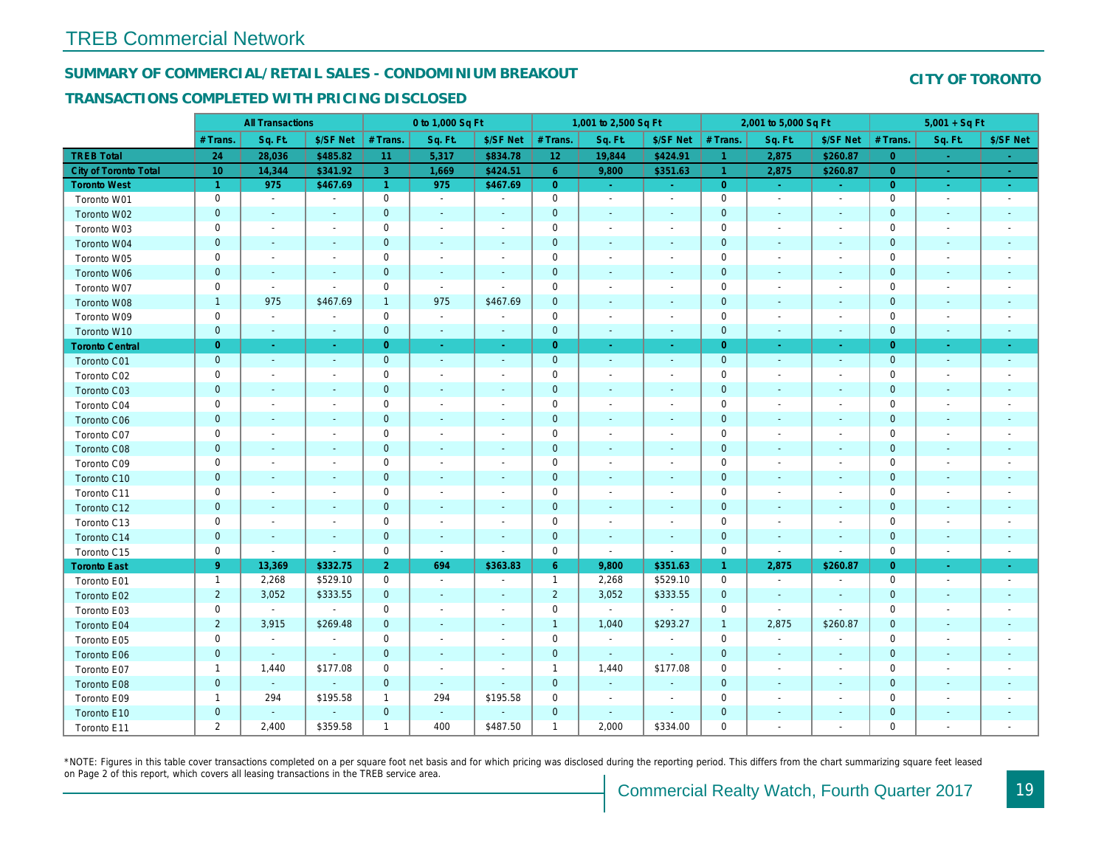#### SUMMARY OF COMMERCIAL/RETAIL SALES - CONDOMINIUM BREAKOUT

#### TRANSACTIONS COMPLETED WITH PRICING DISCLOSED

|                              |                 | <b>All Transactions</b>  |                          |                | 0 to 1,000 Sq Ft |                          |                     | 1,001 to 2,500 Sq Ft     |                          |                | 2,001 to 5,000 Sq Ft     |                          |
|------------------------------|-----------------|--------------------------|--------------------------|----------------|------------------|--------------------------|---------------------|--------------------------|--------------------------|----------------|--------------------------|--------------------------|
|                              | # Trans.        | Sq. Ft.                  | \$/SF Net                | # Trans.       | Sq. Ft.          | \$/SF Net                | # Trans.            | Sq. Ft.                  | \$/SF Net                | # Trans.       | Sq. Ft.                  | \$/SF Ne                 |
| <b>TREB Total</b>            | 24              | 28,036                   | \$485.82                 | 11             | 5,317            | \$834.78                 | 12                  | 19,844                   | \$424.91                 | $\vert$ 1      | 2,875                    | \$260.8                  |
| <b>City of Toronto Total</b> | 10 <sup>°</sup> | 14,344                   | \$341.92                 | 3 <sup>°</sup> | 1,669            | \$424.51                 | 6 <sup>°</sup>      | 9,800                    | \$351.63                 | $\mathbf{1}$   | 2,875                    | \$260.87                 |
| <b>Toronto West</b>          | $\mathbf{1}$    | 975                      | \$467.69                 | $\overline{1}$ | 975              | \$467.69                 | $\overline{0}$      | $\sim$                   | $\omega_{\rm c}$         | $\overline{0}$ | $\sim$                   | $\sim$                   |
| Toronto W01                  | 0               | $\sim$                   | $\blacksquare$           | 0              | $\sim$           | $\blacksquare$           | $\mathsf{O}\xspace$ | $\blacksquare$           | $\blacksquare$           | $\mathbf 0$    | $\blacksquare$           | $\sim$                   |
| Toronto W02                  | $\mathbf 0$     | $\sim$                   |                          | $\pmb{0}$      | $\sim$           | $\blacksquare$           | $\mathbf 0$         | $\blacksquare$           | $\sim$                   | $\mathbf 0$    | $\blacksquare$           | $\blacksquare$           |
| Toronto W03                  | 0               | $\sim$                   | $\overline{\phantom{a}}$ | 0              | $\blacksquare$   | $\overline{\phantom{a}}$ | $\mathbf 0$         | $\blacksquare$           | $\blacksquare$           | 0              | $\blacksquare$           | $\blacksquare$           |
| Toronto W04                  | $\mathbf{0}$    | $\sim$                   | $\sim$                   | $\mathbf 0$    | $\sim$           | $\sim$                   | $\pmb{0}$           | $\sim$                   | $\blacksquare$           | $\mathbf 0$    | $\omega$                 | $\blacksquare$           |
| Toronto W05                  | 0               | $\sim$                   | $\overline{\phantom{a}}$ | $\mathbf 0$    | $\blacksquare$   | $\blacksquare$           | $\mathsf 0$         | $\blacksquare$           | $\blacksquare$           | $\mathbf 0$    | $\sim$                   | $\overline{\phantom{a}}$ |
| Toronto W06                  | $\mathbf 0$     | $\overline{\phantom{a}}$ | $\sim$                   | $\mathbf 0$    | $\blacksquare$   | ٠                        | $\mathbf 0$         | $\blacksquare$           | $\blacksquare$           | $\mathbf 0$    | $\overline{\phantom{a}}$ | $\blacksquare$           |
| Toronto W07                  | 0               | $\sim$                   | $\sim$                   | $\mathbf 0$    | $\sim$           | $\blacksquare$           | $\mathbf 0$         | $\overline{a}$           | $\blacksquare$           | 0              | $\sim$                   | $\overline{\phantom{a}}$ |
| Toronto W08                  | $\mathbf{1}$    | 975                      | \$467.69                 | $\mathbf{1}$   | 975              | \$467.69                 | $\mathbf 0$         | $\blacksquare$           | $\blacksquare$           | $\mathbf 0$    | $\blacksquare$           | $\blacksquare$           |
| Toronto W09                  | 0               | $\blacksquare$           | $\overline{\phantom{a}}$ | $\mathbf 0$    | $\blacksquare$   | $\sim$                   | $\mathbf 0$         | $\overline{a}$           | $\blacksquare$           | $\mathbf 0$    | $\overline{\phantom{a}}$ | $\blacksquare$           |
| Toronto W10                  | $\mathbf 0$     | $\blacksquare$           | $\blacksquare$           | $\mathbf 0$    | $\blacksquare$   | $\blacksquare$           | $\mathbf 0$         | $\blacksquare$           | $\blacksquare$           | $\mathbf{0}$   | $\blacksquare$           | $\blacksquare$           |
| <b>Toronto Central</b>       | $\overline{0}$  | $\sim$                   | $\sim$                   | $\overline{0}$ | $\sim$           | $\blacksquare$           | $\overline{0}$      | $\blacksquare$           | $\blacksquare$           | $\overline{0}$ | $\blacksquare$           | $\blacksquare$           |
| Toronto C01                  | $\mathbf 0$     | $\sim$                   | $\sim$                   | $\mathbf 0$    | $\sim$           | $\sim$                   | $\mathbf 0$         | $\sim$                   | $\sim$                   | $\mathbf 0$    | $\sim$                   | $\sim$                   |
| Toronto C02                  | 0               | $\sim$                   |                          | $\mathbf 0$    | $\blacksquare$   | $\blacksquare$           | $\mathsf{O}\xspace$ | $\overline{a}$           | $\blacksquare$           | $\mathbf 0$    | ÷,                       | $\blacksquare$           |
| Toronto C03                  | $\mathbf 0$     |                          |                          | $\mathbf 0$    | ٠                | $\blacksquare$           | $\mathbf 0$         | $\overline{\phantom{a}}$ | $\overline{\phantom{a}}$ | $\mathbf 0$    | $\blacksquare$           |                          |
| Toronto C04                  | 0               | $\overline{\phantom{a}}$ |                          | $\mathbf 0$    | $\blacksquare$   |                          | $\mathbf 0$         | $\overline{a}$           | $\overline{a}$           | $\mathbf 0$    | $\overline{a}$           | $\blacksquare$           |
| Toronto C06                  | $\pmb{0}$       | $\blacksquare$           | $\overline{\phantom{a}}$ | $\mathbf 0$    | $\blacksquare$   | $\blacksquare$           | $\mathbf 0$         | $\blacksquare$           | $\blacksquare$           | $\mathbf 0$    | $\blacksquare$           | ٠                        |
| Toronto C07                  | 0               | $\blacksquare$           | $\overline{\phantom{a}}$ | $\mathsf 0$    | $\sim$           | $\blacksquare$           | $\mathbf 0$         | $\overline{a}$           | $\overline{a}$           | $\mathbf 0$    | $\blacksquare$           | $\overline{\phantom{a}}$ |
| Toronto C08                  | $\mathbf 0$     | $\blacksquare$           | $\sim$                   | $\mathbf 0$    | $\blacksquare$   | $\blacksquare$           | $\mathbf 0$         | $\blacksquare$           | $\blacksquare$           | $\mathbf 0$    | $\blacksquare$           | $\blacksquare$           |
| Toronto C09                  | 0               | $\overline{\phantom{a}}$ | $\overline{\phantom{a}}$ | $\mathbf 0$    | $\sim$           | $\blacksquare$           | $\mathbf 0$         | $\overline{\phantom{a}}$ | $\blacksquare$           | $\mathbf 0$    | $\overline{a}$           | $\blacksquare$           |
| Toronto C10                  | $\mathbf 0$     | $\sim$                   | $\sim$                   | $\mathbf 0$    | $\blacksquare$   | $\overline{\phantom{a}}$ | $\mathbf 0$         | $\blacksquare$           | $\blacksquare$           | $\mathbf 0$    | $\blacksquare$           | $\blacksquare$           |
| Toronto C11                  | 0               | $\overline{\phantom{a}}$ | $\overline{\phantom{a}}$ | $\mathsf 0$    | $\sim$           | $\blacksquare$           | $\mathbf 0$         | $\overline{a}$           | $\blacksquare$           | $\mathbf 0$    | $\blacksquare$           | $\blacksquare$           |
| Toronto C12                  | $\mathbf{0}$    | $\sim$                   | $\sim$                   | $\mathbf 0$    | $\sim$           | $\blacksquare$           | $\pmb{0}$           | $\blacksquare$           | $\blacksquare$           | $\mathbf{0}$   | $\sim$                   | $\overline{\phantom{a}}$ |
| Toronto C13                  | 0               | $\blacksquare$           | $\overline{\phantom{a}}$ | $\mathbf 0$    | $\sim$           | $\overline{\phantom{a}}$ | $\mathbf 0$         | $\blacksquare$           | $\blacksquare$           | 0              | $\blacksquare$           | $\overline{\phantom{a}}$ |
| Toronto C14                  | $\mathbf 0$     | $\sim$                   | $\sim$                   | $\mathbf 0$    | $\sim$           | $\overline{\phantom{a}}$ | $\mathbf 0$         | $\blacksquare$           | $\blacksquare$           | $\mathbf 0$    | $\blacksquare$           | $\sim$                   |
| Toronto C15                  | 0               | $\blacksquare$           | $\blacksquare$           | $\mathbf 0$    | $\blacksquare$   | $\blacksquare$           | $\mathbf 0$         | $\blacksquare$           | $\sim$                   | $\mathbf 0$    | $\sim$                   | $\blacksquare$           |
| <b>Toronto East</b>          | 9 <sup>°</sup>  | 13,369                   | \$332.75                 | 2 <sup>1</sup> | 694              | \$363.83                 | 6 <sup>°</sup>      | 9,800                    | \$351.63                 | $\mathbf{1}$   | 2,875                    | \$260.87                 |
| Toronto E01                  | $\mathbf{1}$    | 2,268                    | \$529.10                 | $\mathbf 0$    | $\blacksquare$   | $\overline{\phantom{a}}$ | $\mathbf{1}$        | 2,268                    | \$529.10                 | $\mathbf 0$    | $\blacksquare$           | $\blacksquare$           |
| Toronto E02                  | $\overline{2}$  | 3,052                    | \$333.55                 | $\mathbf 0$    | $\sim$           | $\blacksquare$           | $\overline{2}$      | 3,052                    | \$333.55                 | $\mathbf 0$    | $\blacksquare$           | $\sim$                   |
| Toronto E03                  | 0               | $\blacksquare$           | $\blacksquare$           | $\mathbf 0$    | $\sim$           | $\overline{\phantom{a}}$ | $\mathbf 0$         | $\blacksquare$           | $\sim$                   | $\mathbf 0$    | $\blacksquare$           | $\blacksquare$           |
| Toronto E04                  | $\overline{2}$  | 3,915                    | \$269.48                 | $\mathbf{0}$   | $\sim$           | $\blacksquare$           | $\overline{1}$      | 1,040                    | \$293.27                 | $\overline{1}$ | 2,875                    | \$260.87                 |
| Toronto E05                  | 0               | $\blacksquare$           | $\blacksquare$           | $\mathbf 0$    | $\blacksquare$   | $\blacksquare$           | $\mathbf 0$         | $\sim$                   | $\blacksquare$           | $\mathbf 0$    | $\blacksquare$           | $\blacksquare$           |
| Toronto E06                  | $\mathbf 0$     | $\blacksquare$           | $\blacksquare$           | $\mathbf 0$    | $\blacksquare$   |                          | $\mathbf 0$         | $\blacksquare$           | $\blacksquare$           | $\mathbf 0$    | $\blacksquare$           | $\blacksquare$           |
| Toronto E07                  | $\mathbf{1}$    | 1,440                    | \$177.08                 | 0              | $\blacksquare$   | $\blacksquare$           | $\mathbf{1}$        | 1,440                    | \$177.08                 | 0              | $\overline{\phantom{a}}$ | $\overline{\phantom{a}}$ |
| Toronto E08                  | $\mathbf 0$     | $\omega$                 | $\omega$                 | $\mathbf 0$    | $\sim$           | $\sim$                   | $\pmb{0}$           | $\omega$                 | ÷,                       | $\mathbf 0$    | $\blacksquare$           | $\blacksquare$           |
| Toronto E09                  | $\mathbf{1}$    | 294                      | \$195.58                 | $\mathbf{1}$   | 294              | \$195.58                 | $\mathbf 0$         | $\blacksquare$           | $\blacksquare$           | $\mathbf 0$    | $\blacksquare$           | $\blacksquare$           |
| Toronto E10                  | $\mathbf 0$     | $\sim$                   |                          | $\mathbf 0$    | $\sim$           |                          | $\mathbf 0$         | $\blacksquare$           | $\blacksquare$           | $\mathbf 0$    | $\blacksquare$           |                          |
| Toronto E11                  | $\overline{2}$  | 2,400                    | \$359.58                 | $\mathbf{1}$   | 400              | \$487.50                 | $\mathbf{1}$        | 2,000                    | \$334.00                 | $\mathbf 0$    | $\blacksquare$           | $\overline{\phantom{a}}$ |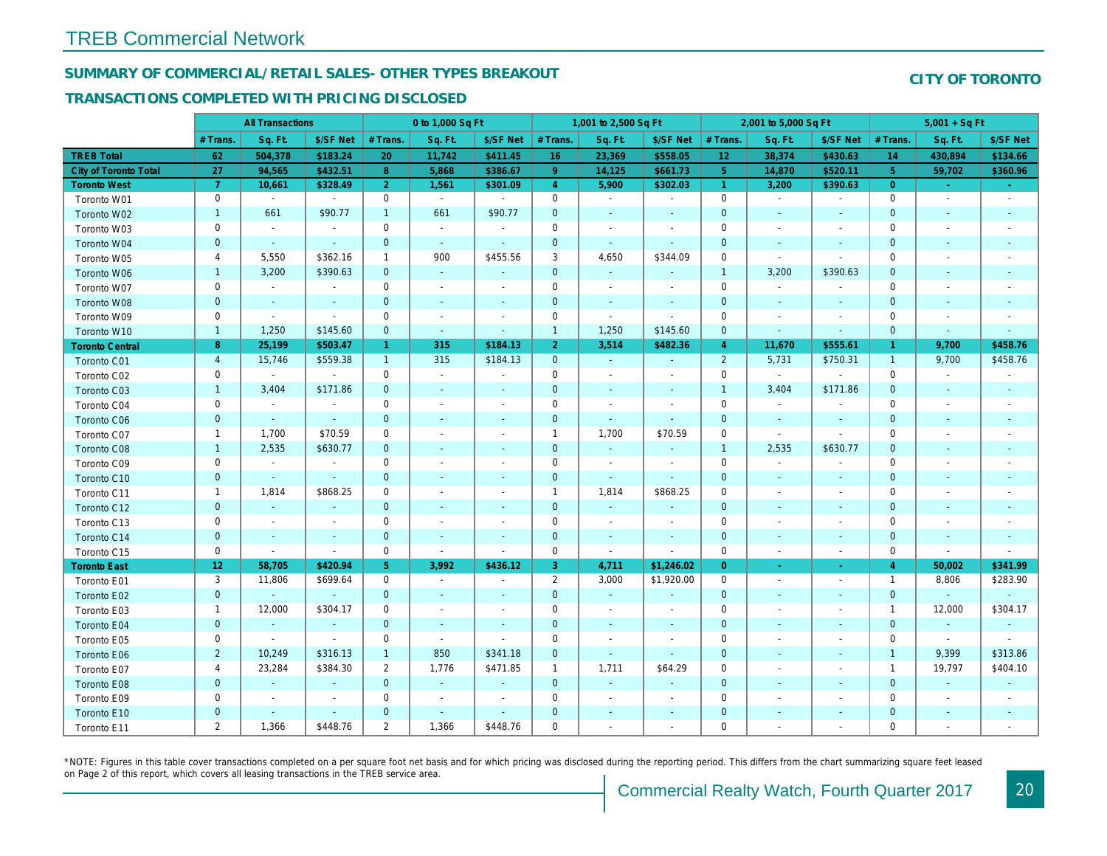## SUMMARY OF COMMERCIAL/RETAIL SALES- OTHER TYPES BREAKOUT

#### TRANSACTIONS COMPLETED WITH PRICING DISCLOSED

|                              |                 | <b>All Transactions</b>  |                          |                | 0 to 1,000 Sq Ft      |                          |                | 1,001 to 2,500 Sq Ft     |                |                 | 2,001 to 5,000 Sq Ft     |                          |
|------------------------------|-----------------|--------------------------|--------------------------|----------------|-----------------------|--------------------------|----------------|--------------------------|----------------|-----------------|--------------------------|--------------------------|
|                              | # Trans         | Sq. Ft.                  | \$/SF Net                | # Trans.       | Sq. Ft.               | \$/SF Net                | # Trans.       | Sq. Ft.                  | \$/SF Net      | # Trans.        | Sq. Ft.                  | \$/SF Ne                 |
| <b>TREB Total</b>            | 62              | 504,378                  | \$183.24                 | 20             | 11,742                | \$411.45                 | 16             | 23,369                   | \$558.05       | 12 <sub>1</sub> | 38,374                   | \$430.63                 |
| <b>City of Toronto Total</b> | 27              | 94,565                   | \$432.51                 | 8              | 5,868                 | \$386.67                 | 9 <sup>°</sup> | 14,125                   | \$661.73       | $5^{\circ}$     | 14,870                   | \$520.1                  |
| <b>Toronto West</b>          | $\overline{7}$  | 10,661                   | \$328.49                 | $\overline{2}$ | 1,561                 | \$301.09                 | $\overline{4}$ | 5,900                    | \$302.03       | $\overline{1}$  | 3,200                    | \$390.63                 |
| Toronto W01                  | $\mathbf 0$     | $\blacksquare$           | $\blacksquare$           | 0              | $\sim$                | $\blacksquare$           | $\mathbf 0$    | $\blacksquare$           | $\blacksquare$ | $\mathbf 0$     | $\blacksquare$           | $\blacksquare$           |
| Toronto W02                  | $\mathbf{1}$    | 661                      | \$90.77                  | $\mathbf{1}$   | 661                   | \$90.77                  | $\mathbf 0$    | $\blacksquare$           | ٠              | $\mathbf 0$     | $\blacksquare$           | $\blacksquare$           |
| Toronto W03                  | 0               | $\blacksquare$           | $\blacksquare$           | $\mathbf 0$    | $\sim$                | $\blacksquare$           | $\mathbf 0$    | $\blacksquare$           | $\blacksquare$ | 0               | $\blacksquare$           | $\blacksquare$           |
| Toronto W04                  | $\mathbf{0}$    | $\omega$                 | $\omega$                 | $\overline{0}$ | $\sim$                | $\mathbf{r}$             | $\mathbf{0}$   | $\omega$                 | $\Delta$       | $\mathbf{0}$    | $\omega$                 | $\blacksquare$           |
| Toronto W05                  | 4               | 5,550                    | \$362.16                 | $\mathbf{1}$   | 900                   | \$455.56                 | 3              | 4,650                    | \$344.09       | $\mathbf 0$     | $\blacksquare$           | $\blacksquare$           |
| Toronto W06                  | $\mathbf{1}$    | 3,200                    | \$390.63                 | $\mathbf 0$    | $\blacksquare$        | $\blacksquare$           | $\mathbf 0$    | $\blacksquare$           | $\blacksquare$ | $\mathbf{1}$    | 3,200                    | \$390.63                 |
| Toronto W07                  | 0               | $\blacksquare$           | $\overline{\phantom{a}}$ | 0              | $\sim$                | $\blacksquare$           | 0              | $\overline{\phantom{a}}$ | $\blacksquare$ | 0               | $\overline{\phantom{a}}$ | $\overline{\phantom{a}}$ |
| Toronto W08                  | $\mathbf{0}$    | $\sim$                   | $\sim$                   | $\mathbf{0}$   | $\sim$                | $\blacksquare$           | $\mathbf 0$    | $\blacksquare$           | $\omega$       | $\mathbf{0}$    | $\blacksquare$           | $\blacksquare$           |
| Toronto W09                  | 0               | $\sim$                   | $\sim$                   | $\mathbf 0$    | $\tilde{\phantom{a}}$ | $\blacksquare$           | $\mathbf 0$    | $\blacksquare$           | $\blacksquare$ | $\mathbf 0$     | $\sim$                   | $\blacksquare$           |
| Toronto W10                  | $\mathbf{1}$    | 1,250                    | \$145.60                 | $\mathbf 0$    | $\sim$                | $\blacksquare$           | $\mathbf{1}$   | 1,250                    | \$145.60       | $\mathbf 0$     | $\blacksquare$           | $\bullet$                |
| <b>Toronto Central</b>       | 8               | 25,199                   | \$503.47                 | $\mathbf{1}$   | 315                   | \$184.13                 | 2 <sup>1</sup> | 3,514                    | \$482.36       | $\overline{4}$  | 11,670                   | \$555.6'                 |
| Toronto C01                  | $\overline{4}$  | 15,746                   | \$559.38                 | $\mathbf{1}$   | 315                   | \$184.13                 | $\mathbf{0}$   | $\sim$                   | $\sim$         | 2               | 5,731                    | \$750.3                  |
| Toronto C02                  | 0               | $\sim$                   | $\blacksquare$           | $\mathbf 0$    | $\mathbf{r}$          | $\overline{a}$           | $\mathbf 0$    | $\blacksquare$           | $\blacksquare$ | $\mathbf 0$     | $\blacksquare$           | $\blacksquare$           |
| Toronto C03                  | $\mathbf{1}$    | 3,404                    | \$171.86                 | $\mathbf{0}$   | $\blacksquare$        | $\blacksquare$           | $\mathbf 0$    | ٠                        | ٠              | $\mathbf{1}$    | 3,404                    | \$171.86                 |
| Toronto C04                  | 0               | $\blacksquare$           | $\blacksquare$           | $\mathbf 0$    | $\blacksquare$        | $\blacksquare$           | $\mathbf 0$    | $\overline{\phantom{a}}$ | $\sim$         | $\mathbf 0$     | $\blacksquare$           | $\overline{\phantom{a}}$ |
| Toronto C06                  | $\mathbf 0$     | $\sim$                   | $\omega$                 | $\mathbf 0$    | $\blacksquare$        | $\blacksquare$           | $\mathbf 0$    | $\blacksquare$           | $\blacksquare$ | $\mathbf{0}$    | $\blacksquare$           | $\bullet$                |
| Toronto C07                  | $\mathbf{1}$    | 1,700                    | \$70.59                  | $\pmb{0}$      | $\sim$                | $\blacksquare$           | $\mathbf{1}$   | 1,700                    | \$70.59        | $\mathbf 0$     | $\blacksquare$           | $\blacksquare$           |
| Toronto C08                  | $\mathbf{1}$    | 2,535                    | \$630.77                 | $\mathbf 0$    | $\blacksquare$        | $\blacksquare$           | $\mathbf 0$    | $\blacksquare$           | $\blacksquare$ | $\mathbf{1}$    | 2,535                    | \$630.77                 |
| Toronto C09                  | 0               | $\blacksquare$           | $\sim$                   | 0              | $\blacksquare$        | $\blacksquare$           | $\mathbf 0$    | $\blacksquare$           | $\blacksquare$ | 0               | $\blacksquare$           | $\overline{\phantom{a}}$ |
| Toronto C10                  | $\pmb{0}$       | $\omega$                 | $\omega$                 | $\mathbf 0$    | $\blacksquare$        | $\blacksquare$           | $\mathbf 0$    | $\sim$                   | $\blacksquare$ | $\mathbf 0$     | $\sim$                   | $\sim$                   |
| Toronto C11                  | $\mathbf{1}$    | 1,814                    | \$868.25                 | $\mathbf 0$    | $\sim$                | $\blacksquare$           | $\mathbf{1}$   | 1,814                    | \$868.25       | $\mathbf 0$     | $\blacksquare$           | $\blacksquare$           |
| Toronto C12                  | $\mathbf{0}$    | $\omega$                 | $\omega$                 | $\overline{0}$ | $\sim$                | $\omega$                 | $\mathbf 0$    | $\omega$                 | $\blacksquare$ | $\mathbf 0$     | $\sim$                   | $\sim$                   |
| Toronto C13                  | 0               | $\blacksquare$           | $\overline{\phantom{a}}$ | $\mathbf 0$    | $\sim$                | $\blacksquare$           | $\pmb{0}$      | $\blacksquare$           | $\sim$         | 0               | $\blacksquare$           | $\overline{\phantom{a}}$ |
| Toronto C14                  | $\mathbf 0$     | $\overline{\phantom{a}}$ | $\sim$                   | $\mathbf 0$    | $\sim$                | $\blacksquare$           | $\mathbf 0$    | $\blacksquare$           | $\blacksquare$ | $\mathbf 0$     | $\blacksquare$           | $\sim$                   |
| Toronto C15                  | 0               | $\blacksquare$           | $\blacksquare$           | $\mathbf 0$    | $\blacksquare$        | $\blacksquare$           | $\mathbf 0$    | $\blacksquare$           | $\blacksquare$ | $\mathbf 0$     | $\blacksquare$           | $\sim$                   |
| <b>Toronto East</b>          | 12 <sub>2</sub> | 58,705                   | \$420.94                 | 5 <sup>5</sup> | 3,992                 | \$436.12                 | 3              | 4,711                    | \$1,246.02     | $\overline{0}$  | $\sim$                   | $\sim$                   |
| Toronto E01                  | 3               | 11,806                   | \$699.64                 | 0              | $\omega$              | $\blacksquare$           | $\overline{2}$ | 3,000                    | \$1,920.00     | $\mathbf 0$     | $\blacksquare$           | $\sim$                   |
| Toronto E02                  | $\pmb{0}$       | $\sim$                   | $\sim$                   | $\mathbf{0}$   | $\sim$                | $\blacksquare$           | $\mathbf 0$    | $\sim$                   | $\sim$         | $\mathbf 0$     | $\sim$                   | $\sim$                   |
| Toronto E03                  | $\mathbf{1}$    | 12,000                   | \$304.17                 | 0              | $\sim$                | $\overline{\phantom{a}}$ | $\mathbf 0$    | $\blacksquare$           | $\blacksquare$ | $\mathbf 0$     | $\blacksquare$           | $\blacksquare$           |
| Toronto E04                  | $\mathbf{0}$    | $\omega$                 | $\sim$                   | $\overline{0}$ | $\blacksquare$        | $\blacksquare$           | $\mathbf{0}$   | $\blacksquare$           | $\sim$         | $\mathbf{0}$    | $\sim$                   | $\blacksquare$           |
| Toronto E05                  | 0               | $\blacksquare$           | $\blacksquare$           | $\mathbf 0$    | $\blacksquare$        | $\blacksquare$           | $\mathbf 0$    | $\overline{\phantom{a}}$ | $\blacksquare$ | $\mathbf 0$     | $\overline{\phantom{a}}$ | $\blacksquare$           |
| Toronto E06                  | $\overline{2}$  | 10,249                   | \$316.13                 | $\mathbf{1}$   | 850                   | \$341.18                 | $\mathbf 0$    | ÷,                       | $\blacksquare$ | $\mathbf 0$     | $\blacksquare$           |                          |
| Toronto E07                  | 4               | 23,284                   | \$384.30                 | $\overline{2}$ | 1,776                 | \$471.85                 | $\mathbf{1}$   | 1,711                    | \$64.29        | 0               | $\blacksquare$           | $\blacksquare$           |
| Toronto E08                  | $\mathbf{0}$    | $\omega$                 | $\omega$                 | $\mathbf 0$    | $\sim$                | $\blacksquare$           | $\mathbf 0$    | $\omega$                 | $\omega$       | $\mathbf{0}$    | $\sim$                   |                          |
| Toronto E09                  | 0               | $\blacksquare$           | $\sim$                   | $\mathbf 0$    | $\blacksquare$        | $\blacksquare$           | $\mathbf 0$    | $\blacksquare$           | $\blacksquare$ | $\mathbf 0$     | $\blacksquare$           | $\blacksquare$           |
| Toronto E10                  | $\mathbf 0$     |                          | $\sim$                   | $\mathbf 0$    | $\blacksquare$        | $\blacksquare$           | $\mathbf 0$    |                          |                | $\mathbf 0$     | $\blacksquare$           |                          |
| Toronto E11                  | 2               | 1,366                    | \$448.76                 | $\overline{2}$ | 1,366                 | \$448.76                 | $\mathbf 0$    | $\blacksquare$           | $\blacksquare$ | $\mathbf 0$     | $\blacksquare$           | $\overline{\phantom{a}}$ |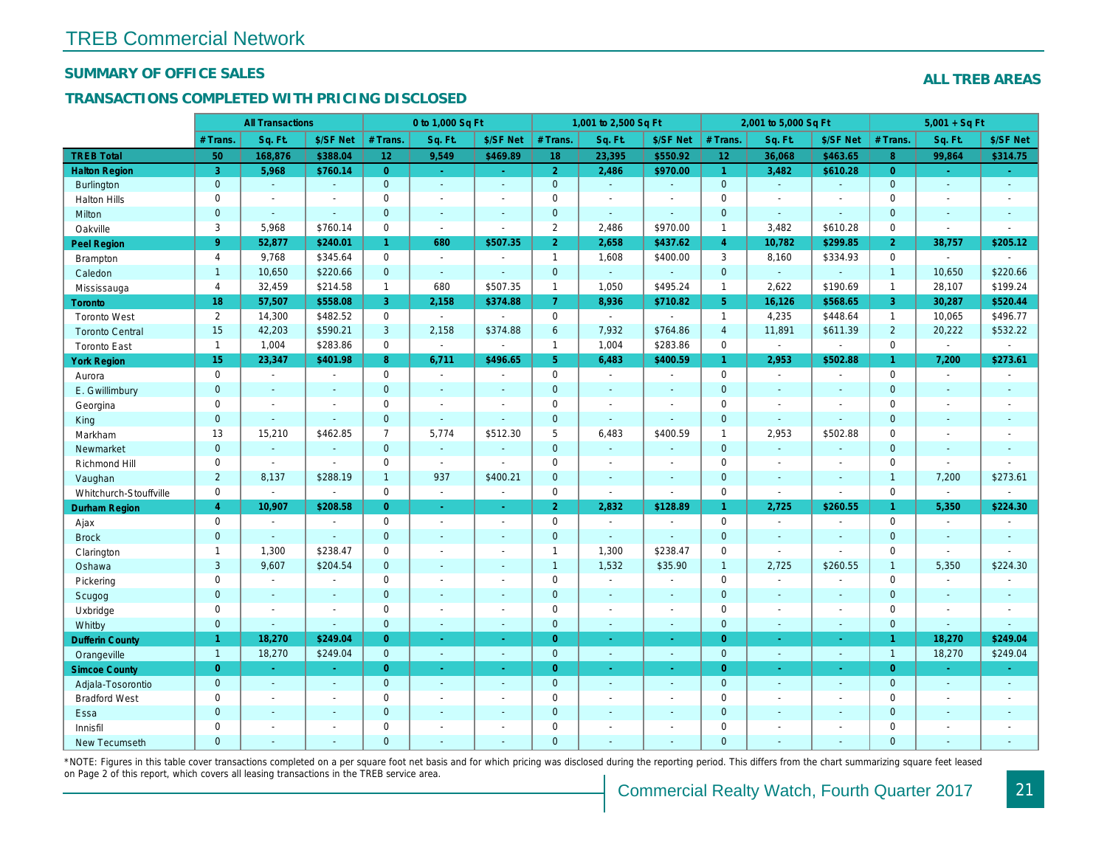#### SUMMARY OF OFFICE SALES

### TRANSACTIONS COMPLETED WITH PRICING DISCLOSED

|                        |                | <b>All Transactions</b>  |                |                      | 0 to 1,000 Sq Ft      |                          |                     | 1,001 to 2,500 Sq Ft |                |                 | 2,001 to 5,000 Sq Ft |                          |
|------------------------|----------------|--------------------------|----------------|----------------------|-----------------------|--------------------------|---------------------|----------------------|----------------|-----------------|----------------------|--------------------------|
|                        | # Trans.       | Sq. Ft.                  | \$/SF Net      | # Trans.             | Sq. Ft.               | \$/SF Net                | # Trans.            | Sq. Ft.              | \$/SF Net      | # Trans.        | Sq. Ft.              | \$/SF Ne                 |
| <b>TREB Total</b>      | 50             | 168,876                  | \$388.04       | 12 <sup>°</sup>      | 9,549                 | \$469.89                 | 18                  | 23,395               | \$550.92       | 12 <sup>°</sup> | 36,068               | \$463.6                  |
| <b>Halton Region</b>   | 3              | 5,968                    | \$760.14       | $\overline{0}$       | $\sim$                | $\omega_{\rm{eff}}$      | 2 <sup>1</sup>      | 2,486                | \$970.00       | $\mathbf{1}$    | 3,482                | \$610.28                 |
| <b>Burlington</b>      | $\mathbf{0}$   | $\omega$                 | $\omega$       | $\mathbf{0}$         | $\omega$              | $\blacksquare$           | $\mathbf{0}$        | $\omega$             | $\blacksquare$ | $\overline{0}$  | $\omega$             | $\blacksquare$           |
| <b>Halton Hills</b>    | $\mathbf 0$    | $\sim$                   | $\sim$         | $\mathbf 0$          | $\blacksquare$        | $\blacksquare$           | $\mathbf 0$         | $\sim$               | ÷.             | $\Omega$        | ÷.                   | $\overline{\phantom{a}}$ |
| Milton                 | $\mathbf 0$    | $\sim$                   | $\sim$         | $\mathbf 0$          | $\blacksquare$        | $\blacksquare$           | $\mathbf 0$         | $\blacksquare$       | $\blacksquare$ | $\mathbf{0}$    | $\blacksquare$       | $\blacksquare$           |
| Oakville               | 3              | 5,968                    | \$760.14       | $\mathbf 0$          | $\blacksquare$        | $\blacksquare$           | $\overline{2}$      | 2,486                | \$970.00       | $\mathbf{1}$    | 3,482                | \$610.28                 |
| Peel Region            | $9^{\circ}$    | 52,877                   | \$240.01       | $\blacktriangleleft$ | 680                   | \$507.35                 | $\overline{2}$      | 2,658                | \$437.62       | $\overline{4}$  | 10,782               | \$299.8                  |
| Brampton               | $\overline{4}$ | 9,768                    | \$345.64       | $\mathbf 0$          | $\sim$                | $\blacksquare$           | $\mathbf{1}$        | 1,608                | \$400.00       | 3               | 8,160                | \$334.93                 |
| Caledon                | $\mathbf{1}$   | 10,650                   | \$220.66       | $\mathbf{0}$         | $\sim$                | $\sim$                   | $\mathbf 0$         | $\omega$             | $\Delta$       | $\mathbf{0}$    | $\omega$             | $\sim$                   |
| Mississauga            | $\overline{4}$ | 32,459                   | \$214.58       | $\mathbf{1}$         | 680                   | \$507.35                 | $\mathbf{1}$        | 1,050                | \$495.24       | $\overline{1}$  | 2,622                | \$190.69                 |
| <b>Toronto</b>         | 18             | 57,507                   | \$558.08       | 3                    | 2,158                 | \$374.88                 | $\mathbf{7}$        | 8,936                | \$710.82       | 5 <sup>5</sup>  | 16,126               | \$568.6                  |
| <b>Toronto West</b>    | $\overline{2}$ | 14,300                   | \$482.52       | $\mathbf 0$          | $\sim$                | $\blacksquare$           | $\mathbf 0$         | $\blacksquare$       | $\sim$         | $\overline{1}$  | 4,235                | \$448.64                 |
| <b>Toronto Central</b> | 15             | 42,203                   | \$590.21       | 3                    | 2,158                 | \$374.88                 | $6\phantom{.}6$     | 7,932                | \$764.86       | $\overline{4}$  | 11,891               | \$611.39                 |
| <b>Toronto East</b>    | $\mathbf{1}$   | 1,004                    | \$283.86       | $\mathbf 0$          | $\omega$              | $\sim$                   | $\mathbf{1}$        | 1,004                | \$283.86       | $\mathbf 0$     | $\blacksquare$       | $\blacksquare$           |
| <b>York Region</b>     | 15             | 23,347                   | \$401.98       | 8                    | 6,711                 | \$496.65                 | 5 <sub>5</sub>      | 6,483                | \$400.59       | 1 <sup>1</sup>  | 2,953                | \$502.88                 |
| Aurora                 | $\mathbf 0$    | $\blacksquare$           | $\sim$         | $\mathbf 0$          | $\sim$                | $\sim$                   | $\mathbf 0$         | $\sim$               | $\sim$         | $\mathbf 0$     | $\blacksquare$       | $\blacksquare$           |
| E. Gwillimbury         | $\mathbf{0}$   | $\sim$                   | $\sim$         | $\mathbf{0}$         | $\sim$                | ٠                        | $\mathbf{0}$        | $\blacksquare$       | $\omega$       | $\mathbf{0}$    | $\omega$             | $\blacksquare$           |
| Georgina               | 0              | $\blacksquare$           | $\blacksquare$ | $\mathbf 0$          | $\blacksquare$        | $\blacksquare$           | $\mathsf 0$         | $\blacksquare$       | $\blacksquare$ | $\mathbf 0$     | $\blacksquare$       | $\blacksquare$           |
| King                   | $\mathbf{0}$   | $\overline{\phantom{a}}$ | $\sim$         | $\mathbf{0}$         | $\sim$                | $\sim$                   | $\mathbf 0$         | $\omega$             | $\blacksquare$ | $\mathbf{0}$    | $\blacksquare$       | $\blacksquare$           |
| Markham                | 13             | 15,210                   | \$462.85       | $\overline{7}$       | 5,774                 | \$512.30                 | 5                   | 6,483                | \$400.59       | $\mathbf{1}$    | 2,953                | \$502.88                 |
| Newmarket              | $\mathbf{0}$   | $\omega$                 | $\sim$         | $\mathbf{0}$         | $\omega$              | $\sim$                   | $\mathbf{0}$        | $\omega$             | ÷.             | $\mathbf{0}$    | $\omega$             | $\sim$                   |
| Richmond Hill          | 0              | $\sim$                   | $\blacksquare$ | $\mathbf 0$          | $\sim$                | $\sim$                   | $\mathbf 0$         | $\blacksquare$       | $\blacksquare$ | 0               | $\blacksquare$       | $\blacksquare$           |
| Vaughan                | $\overline{2}$ | 8,137                    | \$288.19       | $\mathbf{1}$         | 937                   | \$400.21                 | $\mathbf{0}$        | $\omega$             | $\omega$       | $\mathbf{0}$    | $\sim$               | $\sim$                   |
| Whitchurch-Stouffville | $\mathbf 0$    | $\blacksquare$           | $\sim$         | $\mathbf 0$          | $\mathbf{r}$          | $\sim$                   | $\mathbf 0$         | $\sim$               | $\blacksquare$ | $\mathbf 0$     | $\sim$               | $\sim$                   |
| Durham Region          | $\overline{4}$ | 10,907                   | \$208.58       | $\overline{0}$       | $\sim$                | $\frac{1}{\sqrt{2}}$     | 2 <sup>1</sup>      | 2,832                | \$128.89       | $\mathbf{1}$    | 2,725                | \$260.5                  |
| Ajax                   | $\mathbf 0$    | $\sim$                   | $\sim$         | $\mathbf 0$          | $\sim$                | $\blacksquare$           | $\mathbf 0$         | $\omega$             | $\sim$         | $\mathbf 0$     | $\blacksquare$       | $\blacksquare$           |
| <b>Brock</b>           | $\mathbf{0}$   | $\omega$                 | $\mathbf{r}$   | $\overline{0}$       | $\sim$                | $\blacksquare$           | $\mathbf{0}$        | $\omega$             | $\Delta$       | $\mathbf{0}$    | $\omega$             | $\sim$                   |
| Clarington             | $\mathbf{1}$   | 1,300                    | \$238.47       | $\mathbf 0$          | $\tilde{\phantom{a}}$ | $\blacksquare$           | $\mathbf{1}$        | 1,300                | \$238.47       | $\mathbf 0$     | $\sim$               | $\blacksquare$           |
| Oshawa                 | 3              | 9,607                    | \$204.54       | $\mathbf{0}$         | ä,                    | $\blacksquare$           | $\mathbf{1}$        | 1,532                | \$35.90        | $\mathbf{1}$    | 2,725                | \$260.55                 |
| Pickering              | $\mathbf 0$    | $\blacksquare$           |                | $\mathbf 0$          | $\blacksquare$        | $\blacksquare$           | $\mathbf 0$         | $\blacksquare$       | $\sim$         | $\mathbf 0$     | $\blacksquare$       | $\blacksquare$           |
| Scugog                 | $\mathbf{0}$   | $\sim$                   | $\sim$         | $\mathbf{0}$         | $\Delta$              | $\blacksquare$           | $\mathbf{0}$        | $\omega$             | $\sim$         | $\mathbf{0}$    | $\omega$             | $\blacksquare$           |
| Uxbridge               | 0              | $\sim$                   | $\sim$         | $\mathbf 0$          | $\blacksquare$        | $\overline{\phantom{a}}$ | $\mathbf 0$         | $\blacksquare$       | $\blacksquare$ | $\mathbf 0$     | $\blacksquare$       | $\overline{\phantom{a}}$ |
| Whitby                 | $\mathbf{0}$   | $\overline{\phantom{a}}$ | $\sim$         | $\overline{0}$       | $\blacksquare$        | $\sim$                   | $\mathbf{0}$        | $\blacksquare$       | $\sim$         | $\mathbf{0}$    | $\blacksquare$       | $\sim$                   |
| <b>Dufferin County</b> | $\mathbf{1}$   | 18,270                   | \$249.04       | $\overline{0}$       | ÷.                    | $\blacksquare$           | $\overline{0}$      | ÷.                   | $\sim$         | $\overline{0}$  | $\sim$               | $\sim$                   |
| Orangeville            | $\mathbf{1}$   | 18,270                   | \$249.04       | $\overline{0}$       | $\omega$              | $\omega$                 | $\mathbf{0}$        | $\omega$             | $\omega$       | $\mathbf{0}$    | $\omega$             | $\omega_{\rm c}$         |
| <b>Simcoe County</b>   | $\overline{0}$ | $\omega$                 | $\sim$         | $\overline{0}$       | $\omega$              | Ξ                        | $\overline{0}$      | $\omega$             | $\omega$       | $\overline{0}$  | $\blacksquare$       | $\sim$                   |
| Adjala-Tosorontio      | $\mathbf{0}$   | $\omega$                 | $\sim$         | $\mathbf{0}$         | $\Delta$              | $\Delta$                 | $\mathbf{0}$        | $\Delta$             | $\Delta$       | $\overline{0}$  | $\Delta$             | $\sim$                   |
| <b>Bradford West</b>   | $\mathbf 0$    | $\blacksquare$           | $\sim$         | $\pmb{0}$            | $\tilde{\phantom{a}}$ | $\sim$                   | $\mathsf{O}\xspace$ | $\blacksquare$       | $\omega$       | $\mathbf 0$     | $\blacksquare$       | $\omega$                 |
| Essa                   | $\mathbf{0}$   |                          |                | $\overline{0}$       | $\sim$                | $\blacksquare$           | $\mathbf 0$         |                      | $\omega$       | $\mathbf{0}$    | $\sim$               |                          |
| Innisfil               | $\mathbf 0$    |                          | $\sim$         | $\mathbf 0$          | $\blacksquare$        | $\blacksquare$           | $\mathbf 0$         | ä,                   | $\blacksquare$ | $\mathbf 0$     | $\sim$               | $\blacksquare$           |
| New Tecumseth          | $\Omega$       |                          |                | $\Omega$             |                       |                          | $\mathbf{0}$        |                      |                | $\Omega$        |                      |                          |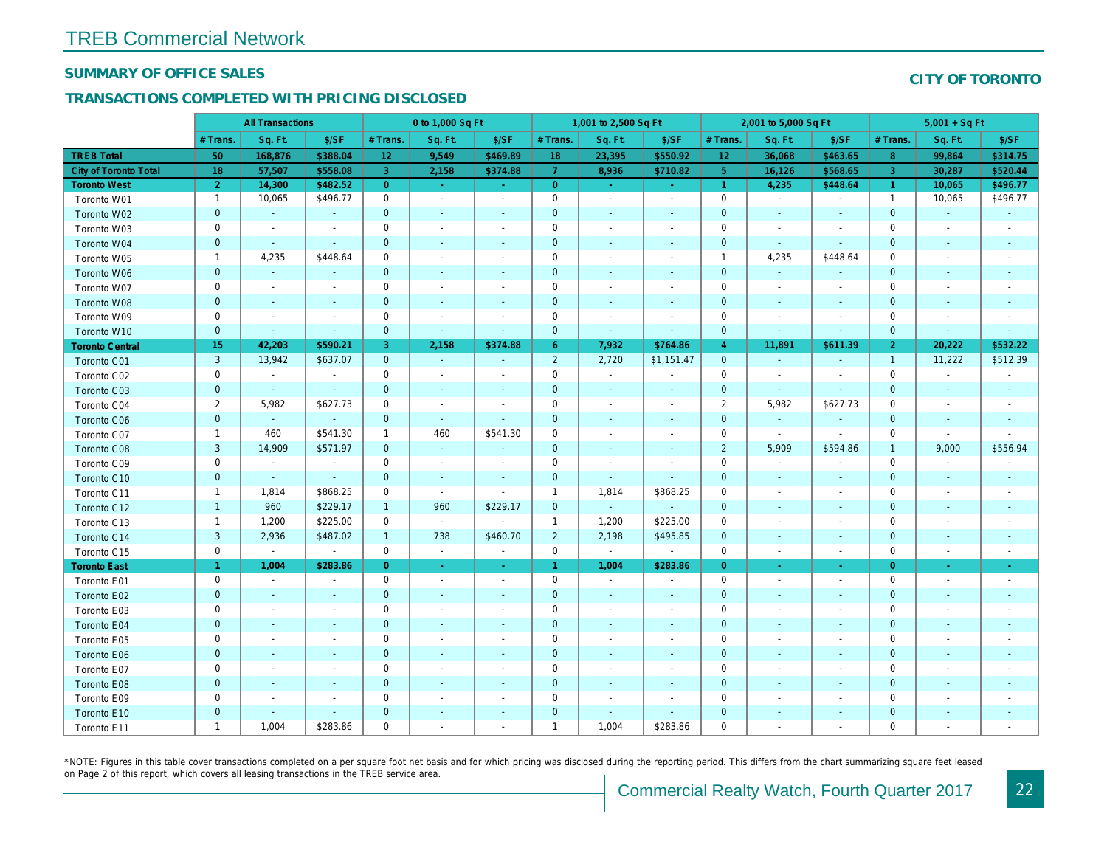#### SUMMARY OF OFFICE SALES

### TRANSACTIONS COMPLETED WITH PRICING DISCLOSED

|                              |                      | <b>All Transactions</b>     |                          |                 | 0 to 1,000 Sq Ft         |                |                | 1,001 to 2,500 Sq Ft     |                          |                      | 2,001 to 5,000 Sq Ft     |                          |
|------------------------------|----------------------|-----------------------------|--------------------------|-----------------|--------------------------|----------------|----------------|--------------------------|--------------------------|----------------------|--------------------------|--------------------------|
|                              | # Trans.             | Sq. Ft.                     | \$/SF                    | # Trans.        | Sq. Ft.                  | \$/SF          | # Trans.       | Sq. Ft.                  | \$/SF                    | # Trans.             | Sq. Ft.                  | \$/SF                    |
| <b>TREB Total</b>            | 50                   | 168,876                     | \$388.04                 | 12 <sub>2</sub> | 9,549                    | \$469.89       | 18             | 23,395                   | \$550.92                 | 12                   | 36,068                   | \$463.65                 |
| <b>City of Toronto Total</b> | 18                   | 57,507                      | \$558.08                 | 3               | 2,158                    | \$374.88       | $\overline{7}$ | 8,936                    | \$710.82                 | 5 <sup>5</sup>       | 16,126                   | \$568.65                 |
| <b>Toronto West</b>          | 2 <sup>1</sup>       | 14,300                      | \$482.52                 | $\overline{0}$  | $\omega$                 | $\sim$         | $\overline{0}$ | $\omega$                 | $\omega$                 | $\blacktriangleleft$ | 4,235                    | \$448.64                 |
| Toronto W01                  | $\mathbf{1}$         | 10,065                      | \$496.77                 | $\mathbf 0$     | $\blacksquare$           | $\blacksquare$ | $\mathbf 0$    | $\blacksquare$           | $\overline{\phantom{a}}$ | $\mathbf 0$          | $\sim$                   | $\blacksquare$           |
| Toronto W02                  | $\mathbf 0$          | $\blacksquare$              | $\blacksquare$           | $\mathbf 0$     | $\blacksquare$           | $\sim$         | $\mathbf 0$    | $\blacksquare$           |                          | $\mathbf 0$          | $\blacksquare$           | $\sim$                   |
| Toronto W03                  | 0                    | $\blacksquare$              | $\blacksquare$           | 0               | $\sim$                   | $\blacksquare$ | 0              | $\blacksquare$           | $\overline{\phantom{a}}$ | 0                    | $\overline{\phantom{a}}$ | $\overline{\phantom{a}}$ |
| Toronto W04                  | $\mathbf 0$          | $\sim$                      | $\sim$                   | $\mathbf 0$     | $\blacksquare$           | $\blacksquare$ | 0              | $\blacksquare$           | $\overline{\phantom{a}}$ | $\mathbf 0$          | $\sim$                   | $\blacksquare$           |
| Toronto W05                  | $\mathbf{1}$         | 4,235                       | \$448.64                 | $\mathbf 0$     | $\overline{a}$           | $\blacksquare$ | 0              | $\blacksquare$           | $\overline{\phantom{a}}$ | $\mathbf{1}$         | 4,235                    | \$448.64                 |
| Toronto W06                  | $\mathbf 0$          | $\blacksquare$              | $\blacksquare$           | $\mathbf 0$     | $\blacksquare$           | $\blacksquare$ | 0              | $\blacksquare$           |                          | $\mathbf 0$          | $\blacksquare$           | $\blacksquare$           |
| Toronto W07                  | $\pmb{0}$            | $\overline{\phantom{a}}$    | $\blacksquare$           | $\mathbf 0$     | $\blacksquare$           | $\blacksquare$ | 0              | $\blacksquare$           |                          | $\mathbf 0$          | $\overline{\phantom{a}}$ | $\overline{\phantom{a}}$ |
| Toronto W08                  | $\mathbf 0$          | $\blacksquare$              | $\blacksquare$           | $\mathbf 0$     | $\blacksquare$           | $\blacksquare$ | 0              | $\blacksquare$           | $\overline{\phantom{a}}$ | $\pmb{0}$            | $\blacksquare$           | $\blacksquare$           |
| Toronto W09                  | $\mathbf 0$          | $\blacksquare$              | $\overline{\phantom{a}}$ | $\mathbf 0$     | $\overline{\phantom{a}}$ | $\blacksquare$ | 0              | $\blacksquare$           | $\overline{\phantom{a}}$ | $\mathbf 0$          |                          | $\overline{\phantom{a}}$ |
| Toronto W10                  | $\mathbf 0$          | $\blacksquare$              | $\sim$                   | $\mathbf{0}$    | $\blacksquare$           | $\blacksquare$ | $\pmb{0}$      | $\blacksquare$           | $\sim$                   | $\mathbf 0$          | $\frac{1}{2}$            | $\blacksquare$           |
| <b>Toronto Central</b>       | 15                   | 42,203                      | \$590.21                 | 3               | 2,158                    | \$374.88       | $6^{\circ}$    | 7,932                    | \$764.86                 | $\overline{4}$       | 11,891                   | \$611.39                 |
| Toronto C01                  | $\mathbf{3}$         | 13,942                      | \$637.07                 | $\mathbf{0}$    | $\blacksquare$           | $\blacksquare$ | $\overline{2}$ | 2,720                    | \$1,151.47               | $\mathbf 0$          | $\blacksquare$           | $\blacksquare$           |
| Toronto C02                  | $\pmb{0}$            | $\blacksquare$              | $\blacksquare$           | $\mathbf 0$     | $\blacksquare$           | $\overline{a}$ | 0              | $\overline{\phantom{a}}$ |                          | $\mathbf 0$          |                          | $\blacksquare$           |
| Toronto C03                  | $\mathbf 0$          | $\blacksquare$              | $\blacksquare$           | $\mathbf{0}$    | $\blacksquare$           | $\blacksquare$ | 0              | $\blacksquare$           | $\overline{\phantom{a}}$ | $\mathbf 0$          | $\sim$                   |                          |
| Toronto C04                  | $\overline{2}$       | 5,982                       | \$627.73                 | $\mathbf 0$     | $\sim$                   | $\blacksquare$ | $\mathbf 0$    | $\blacksquare$           |                          | $\overline{2}$       | 5,982                    | \$627.73                 |
| Toronto C06                  | $\pmb{0}$            | $\mathcal{L}_{\mathcal{C}}$ | $\blacksquare$           | $\mathbf{0}$    | $\omega$                 | $\blacksquare$ | $\pmb{0}$      | $\blacksquare$           | $\overline{\phantom{a}}$ | $\mathbf 0$          | $\sim$                   |                          |
| Toronto C07                  | $\mathbf{1}$         | 460                         | \$541.30                 | $\mathbf{1}$    | 460                      | \$541.30       | $\pmb{0}$      | $\overline{\phantom{a}}$ | $\overline{\phantom{a}}$ | $\mathbf 0$          | $\blacksquare$           | $\blacksquare$           |
| Toronto C08                  | $\sqrt{3}$           | 14,909                      | \$571.97                 | $\mathbf 0$     | $\blacksquare$           | $\blacksquare$ | $\mathbf 0$    | $\blacksquare$           | $\overline{\phantom{a}}$ | $\overline{2}$       | 5,909                    | \$594.86                 |
| Toronto C09                  | $\mathbf 0$          | $\blacksquare$              | $\blacksquare$           | $\mathbf 0$     | $\blacksquare$           | $\sim$         | $\mathbf 0$    | $\blacksquare$           | $\sim$                   | $\mathbf 0$          | $\sim$                   | $\sim$                   |
| Toronto C10                  | $\mathbf 0$          | $\omega$                    | $\sim$                   | $\mathbf{0}$    | $\sim$                   | $\blacksquare$ | $\mathbf 0$    | $\sim$                   | $\sim$                   | $\mathbf 0$          | $\sim$                   | $\sim$                   |
| Toronto C11                  | $\mathbf{1}$         | 1,814                       | \$868.25                 | $\mathbf 0$     | $\sim$                   | $\blacksquare$ | $\overline{1}$ | 1,814                    | \$868.25                 | $\mathbf 0$          | $\overline{\phantom{a}}$ | $\blacksquare$           |
| Toronto C12                  | $\mathbf{1}$         | 960                         | \$229.17                 | $\mathbf{1}$    | 960                      | \$229.17       | $\mathbf 0$    | $\bullet$                |                          | $\mathbf 0$          | $\sim$                   | $\overline{\phantom{a}}$ |
| Toronto C13                  | $\mathbf{1}$         | 1,200                       | \$225.00                 | 0               | $\blacksquare$           |                | $\overline{1}$ | 1,200                    | \$225.00                 | 0                    | $\overline{\phantom{a}}$ | $\overline{\phantom{a}}$ |
| Toronto C14                  | $\mathbf{3}$         | 2,936                       | \$487.02                 | $\mathbf{1}$    | 738                      | \$460.70       | $\overline{2}$ | 2,198                    | \$495.85                 | $\mathbf 0$          | $\sim$                   | $\sim$                   |
| Toronto C15                  | $\mathbf 0$          | $\omega$                    | $\sim$                   | $\mathbf 0$     | $\blacksquare$           | $\blacksquare$ | 0              | $\blacksquare$           | $\blacksquare$           | $\mathbf 0$          | $\overline{\phantom{a}}$ | $\sim$                   |
| <b>Toronto East</b>          | $\blacktriangleleft$ | 1,004                       | \$283.86                 | $\overline{0}$  | $\blacksquare$           | $\bullet$      | $\mathbf{1}$   | 1,004                    | \$283.86                 | $\overline{0}$       | $\blacksquare$           | $\sim$                   |
| Toronto E01                  | $\pmb{0}$            | $\sim$                      | $\blacksquare$           | $\mathbf 0$     | $\blacksquare$           | $\blacksquare$ | 0              | $\sim$                   | $\overline{\phantom{a}}$ | $\mathbf 0$          | $\blacksquare$           | $\sim$                   |
| Toronto E02                  | $\mathbf 0$          | $\sim$                      | $\sim$                   | $\mathbf 0$     | $\sim$                   | $\blacksquare$ | $\mathbf 0$    | $\blacksquare$           | $\blacksquare$           | $\mathbf 0$          | $\overline{a}$           | $\sim$                   |
| Toronto E03                  | $\mathbf 0$          | $\blacksquare$              | $\blacksquare$           | $\mathbf 0$     | $\blacksquare$           | $\blacksquare$ | $\mathbf 0$    | $\blacksquare$           | $\blacksquare$           | $\mathbf 0$          | $\blacksquare$           | $\blacksquare$           |
| Toronto E04                  | $\pmb{0}$            | $\blacksquare$              | $\blacksquare$           | $\mathbf{0}$    | $\sim$                   | $\blacksquare$ | $\pmb{0}$      | $\blacksquare$           | $\sim$                   | $\mathbf 0$          | $\blacksquare$           |                          |
| Toronto E05                  | $\pmb{0}$            | $\overline{\phantom{a}}$    | $\blacksquare$           | $\mathbf 0$     | $\blacksquare$           | $\blacksquare$ | $\pmb{0}$      | $\blacksquare$           | $\blacksquare$           | $\mathbf 0$          | $\overline{\phantom{a}}$ | $\overline{\phantom{a}}$ |
| <b>Toronto E06</b>           | $\pmb{0}$            |                             |                          | $\mathbf 0$     |                          |                | $\mathbf 0$    | $\blacksquare$           |                          | $\pmb{0}$            |                          |                          |
| Toronto E07                  | $\mathbf 0$          | $\blacksquare$              | $\blacksquare$           | 0               | $\blacksquare$           | $\blacksquare$ | 0              | $\blacksquare$           | $\overline{\phantom{a}}$ | 0                    | $\blacksquare$           | $\sim$                   |
| Toronto E08                  | $\pmb{0}$            | $\blacksquare$              | $\blacksquare$           | $\mathbf 0$     | ä,                       | $\blacksquare$ | $\pmb{0}$      | $\blacksquare$           | $\sim$                   | $\mathbf 0$          | $\blacksquare$           |                          |
| Toronto E09                  | $\pmb{0}$            | $\blacksquare$              | $\blacksquare$           | $\mathbf 0$     | $\sim$                   | $\blacksquare$ | $\pmb{0}$      | $\blacksquare$           | $\blacksquare$           | $\mathbf 0$          | $\blacksquare$           | $\blacksquare$           |
| Toronto E10                  | $\pmb{0}$            | $\blacksquare$              | $\blacksquare$           | $\mathbf 0$     |                          | $\blacksquare$ | $\mathbf 0$    | $\overline{\phantom{a}}$ | $\overline{\phantom{a}}$ | $\mathbf 0$          |                          |                          |
| Toronto E11                  | $\mathbf{1}$         | 1,004                       | \$283.86                 | $\mathbf 0$     | $\blacksquare$           | $\blacksquare$ | $\overline{1}$ | 1,004                    | \$283.86                 | $\mathbf 0$          | $\blacksquare$           | $\blacksquare$           |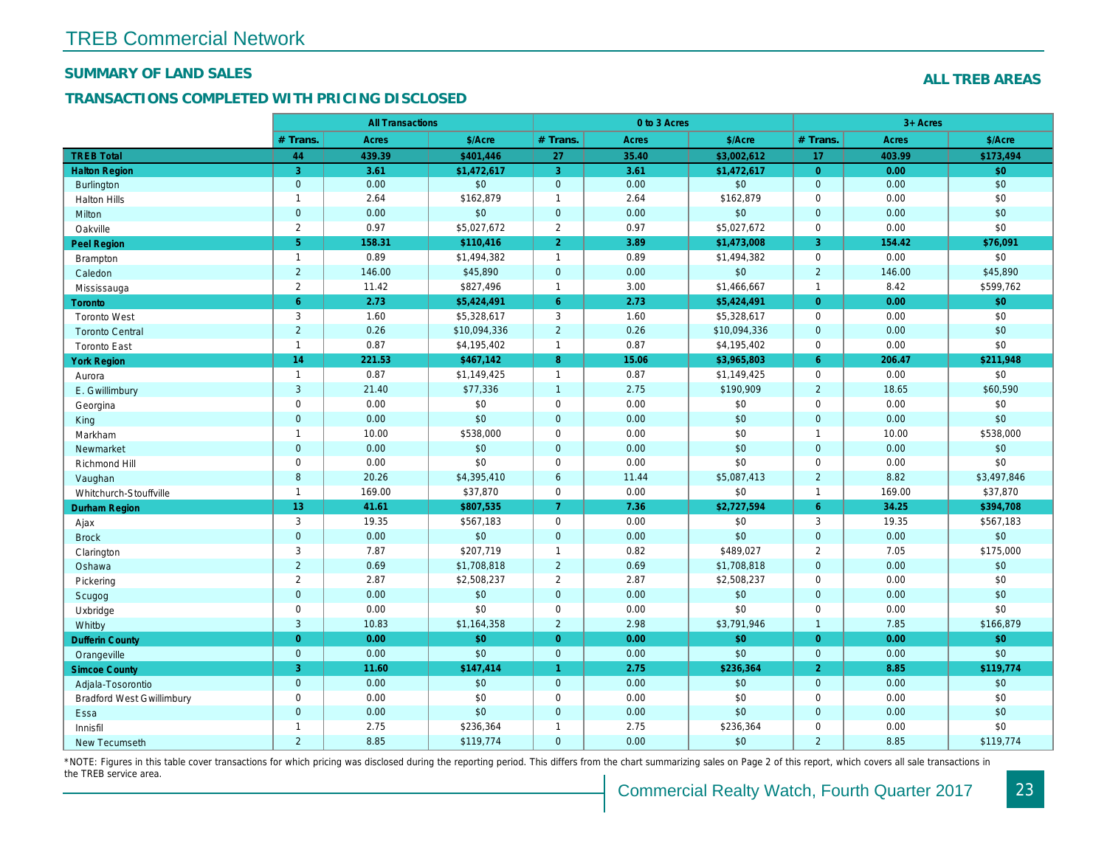#### SUMMARY OF LAND SALES

### TRANSACTIONS COMPLETED WITH PRICING DISCLOSED

|                                  |                | <b>All Transactions</b> |              |                      | 0 to 3 Acres |              |                |
|----------------------------------|----------------|-------------------------|--------------|----------------------|--------------|--------------|----------------|
|                                  | # Trans.       | Acres                   | \$/Acre      | # Trans.             | <b>Acres</b> | \$/Acre      | # Trans.       |
| <b>TREB Total</b>                | 44             | 439.39                  | \$401,446    | 27                   | 35.40        | \$3,002,612  | 17             |
| <b>Halton Region</b>             | 3              | 3.61                    | \$1,472,617  | 3                    | 3.61         | \$1,472,617  | $\overline{0}$ |
| <b>Burlington</b>                | $\mathbf 0$    | 0.00                    | \$0          | $\mathbf{0}$         | 0.00         | \$0          | $\mathbf 0$    |
| <b>Halton Hills</b>              | $\mathbf{1}$   | 2.64                    | \$162,879    | $\mathbf{1}$         | 2.64         | \$162,879    | $\mathbf 0$    |
| Milton                           | $\mathbf 0$    | 0.00                    | \$0          | $\mathbf{0}$         | 0.00         | \$0          | $\mathbf 0$    |
| Oakville                         | 2              | 0.97                    | \$5,027,672  | 2                    | 0.97         | \$5,027,672  | $\mathbf 0$    |
| <b>Peel Region</b>               | $\sqrt{5}$     | 158.31                  | \$110,416    | $\overline{2}$       | 3.89         | \$1,473,008  | 3              |
| <b>Brampton</b>                  | $\mathbf{1}$   | 0.89                    | \$1,494,382  | $\mathbf{1}$         | 0.89         | \$1,494,382  | $\mathbf 0$    |
| Caledon                          | $\overline{2}$ | 146.00                  | \$45,890     | $\mathbf 0$          | 0.00         | \$0          | $\overline{2}$ |
| Mississauga                      | $\overline{2}$ | 11.42                   | \$827,496    | $\mathbf{1}$         | 3.00         | \$1,466,667  | $\overline{1}$ |
| Toronto                          | $6^{\circ}$    | 2.73                    | \$5,424,491  | $6^{\circ}$          | 2.73         | \$5,424,491  | $\overline{0}$ |
| <b>Toronto West</b>              | $\mathsf 3$    | 1.60                    | \$5,328,617  | $\mathsf 3$          | 1.60         | \$5,328,617  | $\mathbf 0$    |
| <b>Toronto Central</b>           | $\overline{2}$ | 0.26                    | \$10,094,336 | $\overline{2}$       | 0.26         | \$10,094,336 | $\mathbf{0}$   |
| <b>Toronto East</b>              | $\mathbf{1}$   | 0.87                    | \$4,195,402  | $\mathbf{1}$         | 0.87         | \$4,195,402  | $\mathbf 0$    |
| <b>York Region</b>               | 14             | 221.53                  | \$467,142    | 8                    | 15.06        | \$3,965,803  | 6              |
| Aurora                           | $\mathbf{1}$   | 0.87                    | \$1,149,425  | $\mathbf{1}$         | 0.87         | \$1,149,425  | $\mathbf 0$    |
| E. Gwillimbury                   | 3              | 21.40                   | \$77,336     | $\mathbf{1}$         | 2.75         | \$190,909    | $\overline{2}$ |
| Georgina                         | $\mathsf 0$    | 0.00                    | \$0          | $\mathsf 0$          | 0.00         | \$0          | $\mathbf 0$    |
| King                             | $\mathbf 0$    | 0.00                    | \$0          | $\mathbf 0$          | 0.00         | \$0          | $\mathbf 0$    |
| Markham                          | $\mathbf{1}$   | 10.00                   | \$538,000    | $\mathbf 0$          | 0.00         | \$0          | $\overline{1}$ |
| Newmarket                        | $\mathbf 0$    | 0.00                    | \$0          | $\mathbf 0$          | 0.00         | \$0          | $\mathbf 0$    |
| Richmond Hill                    | $\mathbf 0$    | 0.00                    | \$0          | $\mathbf 0$          | 0.00         | \$0          | $\mathbf 0$    |
| Vaughan                          | $\bf8$         | 20.26                   | \$4,395,410  | $6\phantom{1}6$      | 11.44        | \$5,087,413  | 2              |
| Whitchurch-Stouffville           | $\mathbf{1}$   | 169.00                  | \$37,870     | $\mathbf 0$          | 0.00         | \$0          | $\overline{1}$ |
| <b>Durham Region</b>             | 13             | 41.61                   | \$807,535    | $\overline{7}$       | 7.36         | \$2,727,594  | $6^{\circ}$    |
| Ajax                             | 3              | 19.35                   | \$567,183    | $\mathbf 0$          | 0.00         | \$0          | 3              |
| <b>Brock</b>                     | $\mathbf 0$    | 0.00                    | \$0          | $\mathbf 0$          | 0.00         | \$0          | $\overline{0}$ |
| Clarington                       | 3              | 7.87                    | \$207,719    | $\mathbf{1}$         | 0.82         | \$489,027    | $\overline{2}$ |
| Oshawa                           | $\overline{2}$ | 0.69                    | \$1,708,818  | $\overline{2}$       | 0.69         | \$1,708,818  | $\mathbf{0}$   |
| Pickering                        | $\overline{2}$ | 2.87                    | \$2,508,237  | $\overline{2}$       | 2.87         | \$2,508,237  | $\mathbf 0$    |
| Scugog                           | $\mathbf 0$    | 0.00                    | \$0          | $\mathbf{0}$         | 0.00         | \$0          | $\mathbf{0}$   |
| Uxbridge                         | $\mathbf 0$    | 0.00                    | \$0          | $\mathbf 0$          | 0.00         | \$0          | $\mathbf 0$    |
| Whitby                           | 3              | 10.83                   | \$1,164,358  | $\overline{2}$       | 2.98         | \$3,791,946  | $\overline{1}$ |
| <b>Dufferin County</b>           | $\overline{0}$ | 0.00                    | \$0          | $\overline{0}$       | 0.00         | \$0          | $\overline{0}$ |
| Orangeville                      | $\mathbf{0}$   | 0.00                    | \$0          | $\mathbf 0$          | 0.00         | \$0          | $\mathbf{0}$   |
| <b>Simcoe County</b>             | 3              | 11.60                   | \$147,414    | $\blacktriangleleft$ | 2.75         | \$236,364    | $\overline{2}$ |
| Adjala-Tosorontio                | $\mathbf{0}$   | 0.00                    | \$0          | $\mathbf{0}$         | 0.00         | \$0          | $\mathbf 0$    |
| <b>Bradford West Gwillimbury</b> | $\mathsf 0$    | 0.00                    | \$0          | $\mathbf 0$          | 0.00         | \$0          | $\mathbf 0$    |
| Essa                             | $\mathbf{0}$   | 0.00                    | \$0          | $\overline{0}$       | 0.00         | \$0          | $\Omega$       |
| Innisfil                         | $\mathbf{1}$   | 2.75                    | \$236,364    | $\mathbf{1}$         | 2.75         | \$236,364    | $\mathbf 0$    |
| New Tecumseth                    | $\overline{2}$ | 8.85                    | \$119,774    | $\mathbf{0}$         | 0.00         | \$0          | $\overline{2}$ |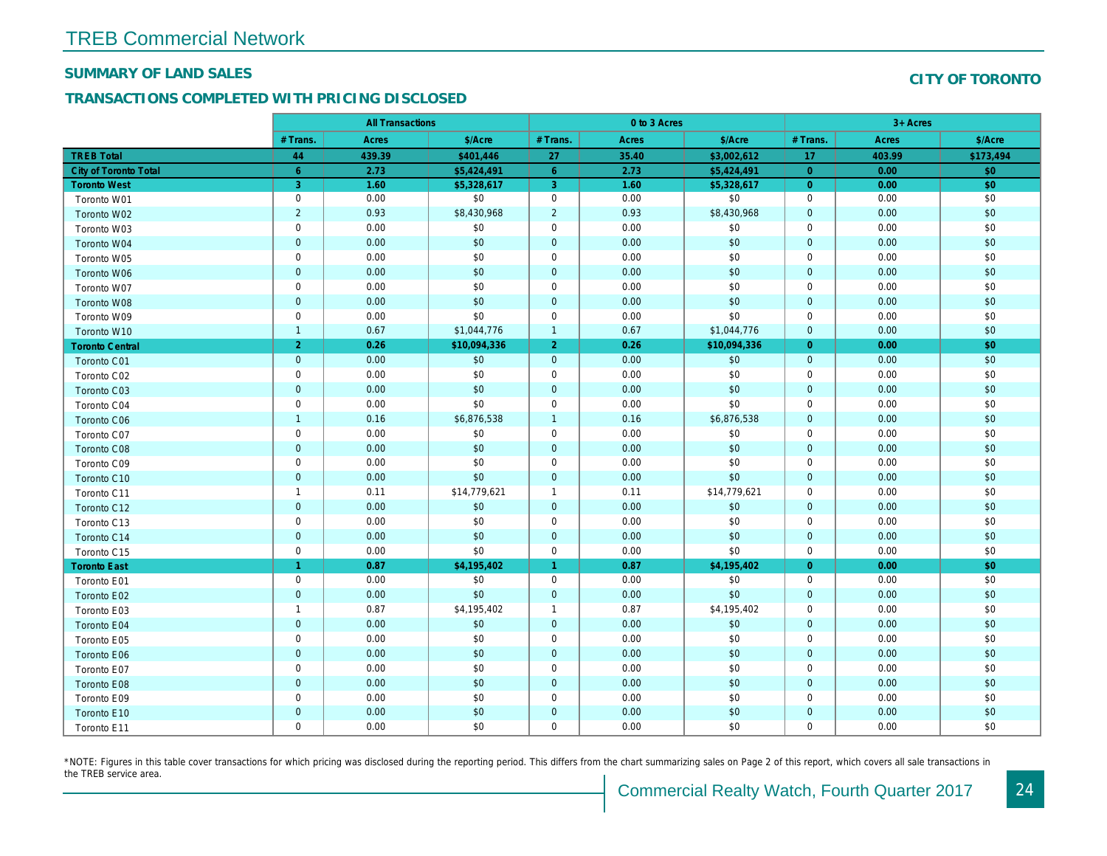#### SUMMARY OF LAND SALES

### TRANSACTIONS COMPLETED WITH PRICING DISCLOSED

|                              |                 | <b>All Transactions</b> |              |                      | 0 to 3 Acres |              |                |  |
|------------------------------|-----------------|-------------------------|--------------|----------------------|--------------|--------------|----------------|--|
|                              | # Trans.        | <b>Acres</b>            | \$/Acre      | # Trans.             | Acres        | \$/Acre      | # Trans.       |  |
| <b>TREB Total</b>            | 44              | 439.39                  | \$401,446    | 27                   | 35.40        | \$3,002,612  | 17             |  |
| <b>City of Toronto Total</b> | $6\phantom{1}6$ | 2.73                    | \$5,424,491  | 6                    | 2.73         | \$5,424,491  | $\overline{0}$ |  |
| <b>Toronto West</b>          | 3               | 1.60                    | \$5,328,617  | 3                    | 1.60         | \$5,328,617  | $\overline{0}$ |  |
| Toronto W01                  | $\mathbf 0$     | 0.00                    | \$0          | $\mathbf 0$          | 0.00         | \$0          | $\mathbf 0$    |  |
| Toronto W02                  | $\sqrt{2}$      | 0.93                    | \$8,430,968  | $\overline{2}$       | 0.93         | \$8,430,968  | $\mathbf{0}$   |  |
| Toronto W03                  | $\mathbf 0$     | 0.00                    | \$0          | $\mathbf 0$          | 0.00         | \$0          | 0              |  |
| Toronto W04                  | $\overline{0}$  | 0.00                    | \$0          | $\mathbf 0$          | 0.00         | \$0          | $\mathbf{0}$   |  |
| Toronto W05                  | $\mathbf 0$     | 0.00                    | \$0          | $\mathbf 0$          | 0.00         | \$0          | $\mathbf 0$    |  |
| Toronto W06                  | $\mathbf 0$     | 0.00                    | \$0          | $\mathbf 0$          | 0.00         | \$0          | $\mathbf{0}$   |  |
| Toronto W07                  | $\mathbf 0$     | 0.00                    | \$0          | $\mathbf 0$          | 0.00         | \$0          | 0              |  |
| Toronto W08                  | $\overline{0}$  | 0.00                    | \$0          | $\mathbf{0}$         | 0.00         | \$0          | $\mathbf{0}$   |  |
| Toronto W09                  | $\mathbf 0$     | 0.00                    | \$0          | $\mathbf 0$          | 0.00         | \$0          | $\mathbf 0$    |  |
| Toronto W10                  | $\overline{1}$  | 0.67                    | \$1,044,776  | $\mathbf{1}$         | 0.67         | \$1,044,776  | $\overline{0}$ |  |
| <b>Toronto Central</b>       | $\overline{2}$  | 0.26                    | \$10,094,336 | 2 <sup>1</sup>       | 0.26         | \$10,094,336 | $\overline{0}$ |  |
| <b>Toronto C01</b>           | $\mathbf 0$     | 0.00                    | \$0          | $\mathbf{0}$         | 0.00         | \$0          | $\mathbf{0}$   |  |
| Toronto C02                  | $\mathbf 0$     | 0.00                    | \$0          | $\mathbf 0$          | 0.00         | \$0          | 0              |  |
| Toronto C03                  | $\overline{0}$  | 0.00                    | \$0          | $\mathbf 0$          | 0.00         | \$0          | $\overline{0}$ |  |
| Toronto C04                  | $\mathbf 0$     | 0.00                    | \$0          | $\mathbf 0$          | 0.00         | \$0          | $\mathbf 0$    |  |
| <b>Toronto C06</b>           | $\overline{1}$  | 0.16                    | \$6,876,538  | $\mathbf{1}$         | 0.16         | \$6,876,538  | $\mathbf{0}$   |  |
| Toronto C07                  | $\mathbf 0$     | 0.00                    | \$0          | $\mathbf 0$          | 0.00         | \$0          | $\mathbf{0}$   |  |
| Toronto C08                  | $\overline{0}$  | 0.00                    | \$0          | $\mathbf 0$          | 0.00         | \$0          | $\mathbf{0}$   |  |
| Toronto C09                  | $\mathbf 0$     | 0.00                    | \$0          | $\mathbf 0$          | 0.00         | \$0          | 0              |  |
| Toronto C10                  | $\mathbf{0}$    | 0.00                    | \$0          | $\mathbf{0}$         | 0.00         | \$0          | $\mathbf{0}$   |  |
| Toronto C11                  | $\overline{1}$  | 0.11                    | \$14,779,621 | $\mathbf{1}$         | 0.11         | \$14,779,621 | $\mathbf 0$    |  |
| Toronto C12                  | $\mathbf 0$     | 0.00                    | \$0          | $\mathbf 0$          | 0.00         | \$0          | $\mathbf 0$    |  |
| Toronto C13                  | $\mathbf 0$     | 0.00                    | \$0          | $\mathbf 0$          | 0.00         | \$0          | $\mathbf 0$    |  |
| Toronto C14                  | $\mathbf 0$     | 0.00                    | \$0          | $\mathbf 0$          | 0.00         | \$0          | $\mathbf{0}$   |  |
| Toronto C15                  | $\mathbf 0$     | 0.00                    | \$0          | 0                    | 0.00         | \$0          | $\mathbf 0$    |  |
| <b>Toronto East</b>          | $\overline{1}$  | 0.87                    | \$4,195,402  | $\blacktriangleleft$ | 0.87         | \$4,195,402  | $\Omega$       |  |
| Toronto E01                  | $\mathbf 0$     | 0.00                    | \$0          | 0                    | 0.00         | \$0          | 0              |  |
| Toronto E02                  | $\mathbf 0$     | 0.00                    | \$0          | $\mathbf 0$          | 0.00         | \$0          | $\mathbf{0}$   |  |
| Toronto E03                  | $\overline{1}$  | 0.87                    | \$4,195,402  | $\mathbf{1}$         | 0.87         | \$4,195,402  | $\mathbf 0$    |  |
| Toronto E04                  | $\mathbf 0$     | 0.00                    | \$0          | $\mathbf 0$          | 0.00         | \$0          | $\mathbf{0}$   |  |
| Toronto E05                  | $\mathbf 0$     | 0.00                    | \$0          | 0                    | 0.00         | \$0          | 0              |  |
| Toronto E06                  | $\mathbf 0$     | 0.00                    | \$0          | $\mathbf{0}$         | 0.00         | \$0          | $\overline{0}$ |  |
| Toronto E07                  | $\mathbf 0$     | 0.00                    | \$0          | $\mathbf 0$          | 0.00         | \$0          | $\mathbf 0$    |  |
| Toronto E08                  | $\mathbf 0$     | 0.00                    | \$0          | $\mathbf 0$          | 0.00         | \$0          | $\mathbf 0$    |  |
| Toronto E09                  | $\mathbf 0$     | 0.00                    | \$0          | $\mathbf 0$          | 0.00         | \$0          | 0              |  |
| Toronto E10                  | $\mathbf 0$     | 0.00                    | \$0          | $\mathbf 0$          | 0.00         | \$0          | $\mathbf 0$    |  |
| Toronto E11                  | $\mathbf 0$     | 0.00                    | \$0          | $\mathbf 0$          | 0.00         | \$0          | 0              |  |